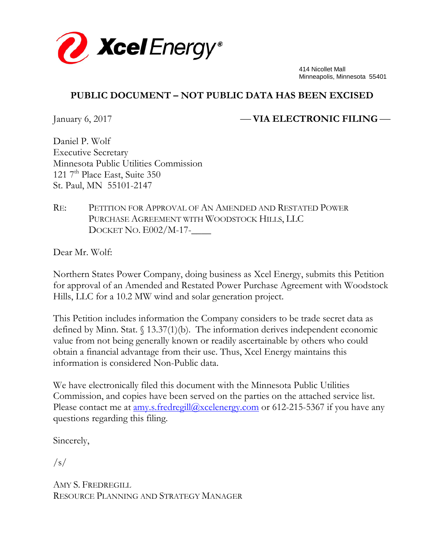

414 Nicollet Mall Minneapolis, Minnesota 55401

### **PUBLIC DOCUMENT – NOT PUBLIC DATA HAS BEEN EXCISED**

### January 6, 2017 **VIA ELECTRONIC FILING**

Daniel P. Wolf Executive Secretary Minnesota Public Utilities Commission 121 7<sup>th</sup> Place East, Suite 350 St. Paul, MN 55101-2147

RE: PETITION FOR APPROVAL OF AN AMENDED AND RESTATED POWER PURCHASE AGREEMENT WITH WOODSTOCK HILLS, LLC DOCKET NO. E002/M-17-\_\_\_\_

Dear Mr. Wolf:

Northern States Power Company, doing business as Xcel Energy, submits this Petition for approval of an Amended and Restated Power Purchase Agreement with Woodstock Hills, LLC for a 10.2 MW wind and solar generation project.

This Petition includes information the Company considers to be trade secret data as defined by Minn. Stat. § 13.37(1)(b). The information derives independent economic value from not being generally known or readily ascertainable by others who could obtain a financial advantage from their use. Thus, Xcel Energy maintains this information is considered Non-Public data.

We have electronically filed this document with the Minnesota Public Utilities Commission, and copies have been served on the parties on the attached service list. Please contact me at  $\frac{amv.s.fredregill@xcelenergy.com}{amv.s.fredregll@xcelenergy.com}$  or 612-215-5367 if you have any questions regarding this filing.

Sincerely,

 $\sqrt{s/2}$ 

AMY S. FREDREGILL RESOURCE PLANNING AND STRATEGY MANAGER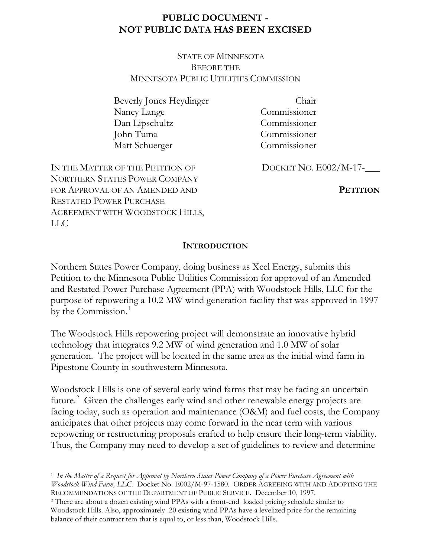#### STATE OF MINNESOTA BEFORE THE MINNESOTA PUBLIC UTILITIES COMMISSION

| Beverly Jones Heydinger |
|-------------------------|
| Nancy Lange             |
| Dan Lipschultz          |
| John Tuma               |
| Matt Schuerger          |

Chair Commissioner Commissioner Commissioner Commissioner

IN THE MATTER OF THE PETITION OF NORTHERN STATES POWER COMPANY FOR APPROVAL OF AN AMENDED AND RESTATED POWER PURCHASE AGREEMENT WITH WOODSTOCK HILLS, LLC

DOCKET NO. E002/M-17-\_\_\_

**PETITION**

### **INTRODUCTION**

Northern States Power Company, doing business as Xcel Energy, submits this Petition to the Minnesota Public Utilities Commission for approval of an Amended and Restated Power Purchase Agreement (PPA) with Woodstock Hills, LLC for the purpose of repowering a 10.2 MW wind generation facility that was approved in 1997 by the Commission.<sup>[1](#page-1-0)</sup>

The Woodstock Hills repowering project will demonstrate an innovative hybrid technology that integrates 9.2 MW of wind generation and 1.0 MW of solar generation. The project will be located in the same area as the initial wind farm in Pipestone County in southwestern Minnesota.

Woodstock Hills is one of several early wind farms that may be facing an uncertain future. [2](#page-1-1) Given the challenges early wind and other renewable energy projects are facing today, such as operation and maintenance (O&M) and fuel costs, the Company anticipates that other projects may come forward in the near term with various repowering or restructuring proposals crafted to help ensure their long-term viability. Thus, the Company may need to develop a set of guidelines to review and determine

<span id="page-1-0"></span>1 *In the Matter of a Request for Approval by Northern States Power Company of a Power Purchase Agreement with Woodstock Wind Farm, LLC.* Docket No. E002/M-97-1580. ORDER AGREEING WITH AND ADOPTING THE

<span id="page-1-1"></span>RECOMMENDATIONS OF THE DEPARTMENT OF PUBLIC SERVICE. December 10, 1997.<br><sup>2</sup> There are about a dozen existing wind PPAs with a front-end loaded pricing schedule similar to Woodstock Hills. Also, approximately 20 existing wind PPAs have a levelized price for the remaining balance of their contract tem that is equal to, or less than, Woodstock Hills.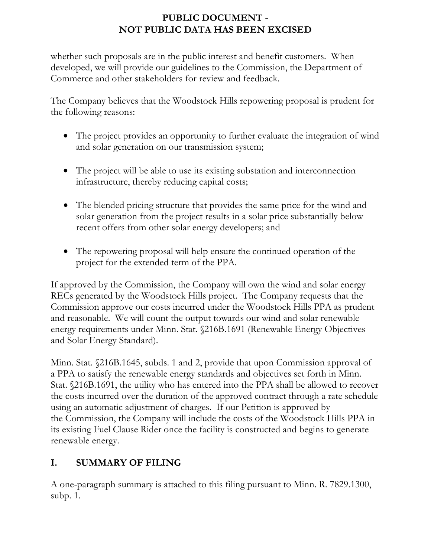whether such proposals are in the public interest and benefit customers. When developed, we will provide our guidelines to the Commission, the Department of Commerce and other stakeholders for review and feedback.

The Company believes that the Woodstock Hills repowering proposal is prudent for the following reasons:

- The project provides an opportunity to further evaluate the integration of wind and solar generation on our transmission system;
- The project will be able to use its existing substation and interconnection infrastructure, thereby reducing capital costs;
- The blended pricing structure that provides the same price for the wind and solar generation from the project results in a solar price substantially below recent offers from other solar energy developers; and
- The repowering proposal will help ensure the continued operation of the project for the extended term of the PPA.

If approved by the Commission, the Company will own the wind and solar energy RECs generated by the Woodstock Hills project. The Company requests that the Commission approve our costs incurred under the Woodstock Hills PPA as prudent and reasonable. We will count the output towards our wind and solar renewable energy requirements under Minn. Stat. §216B.1691 (Renewable Energy Objectives and Solar Energy Standard).

Minn. Stat. §216B.1645, subds. 1 and 2, provide that upon Commission approval of a PPA to satisfy the renewable energy standards and objectives set forth in Minn. Stat. §216B.1691, the utility who has entered into the PPA shall be allowed to recover the costs incurred over the duration of the approved contract through a rate schedule using an automatic adjustment of charges. If our Petition is approved by the Commission, the Company will include the costs of the Woodstock Hills PPA in its existing Fuel Clause Rider once the facility is constructed and begins to generate renewable energy.

## **I. SUMMARY OF FILING**

A one-paragraph summary is attached to this filing pursuant to Minn. R. 7829.1300, subp. 1.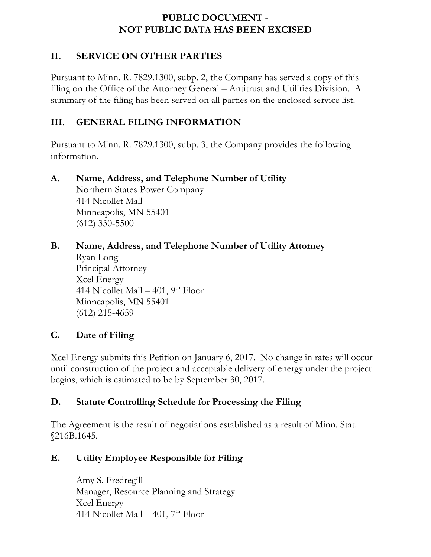### **II. SERVICE ON OTHER PARTIES**

Pursuant to Minn. R. 7829.1300, subp. 2, the Company has served a copy of this filing on the Office of the Attorney General – Antitrust and Utilities Division. A summary of the filing has been served on all parties on the enclosed service list.

### **III. GENERAL FILING INFORMATION**

Pursuant to Minn. R. 7829.1300, subp. 3, the Company provides the following information.

### **A. Name, Address, and Telephone Number of Utility**

Northern States Power Company 414 Nicollet Mall Minneapolis, MN 55401 (612) 330-5500

### **B. Name, Address, and Telephone Number of Utility Attorney**

Ryan Long Principal Attorney Xcel Energy 414 Nicollet Mall –  $401, 9<sup>th</sup>$  Floor Minneapolis, MN 55401 (612) 215-4659

### **C. Date of Filing**

Xcel Energy submits this Petition on January 6, 2017. No change in rates will occur until construction of the project and acceptable delivery of energy under the project begins, which is estimated to be by September 30, 2017*.*

### **D. Statute Controlling Schedule for Processing the Filing**

The Agreement is the result of negotiations established as a result of Minn. Stat. §216B.1645.

### **E. Utility Employee Responsible for Filing**

Amy S. Fredregill Manager, Resource Planning and Strategy Xcel Energy 414 Nicollet Mall – 401,  $7<sup>th</sup>$  Floor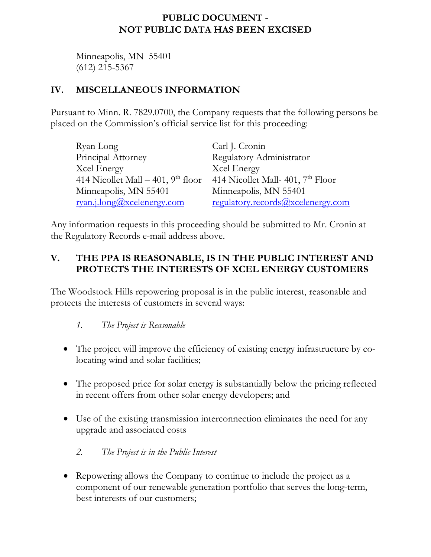Minneapolis, MN 55401 (612) 215-5367

## **IV. MISCELLANEOUS INFORMATION**

Pursuant to Minn. R. 7829.0700, the Company requests that the following persons be placed on the Commission's official service list for this proceeding:

| Ryan Long                                      | Carl J. Cronin                      |
|------------------------------------------------|-------------------------------------|
| Principal Attorney                             | Regulatory Administrator            |
| Xcel Energy                                    | <b>Xcel Energy</b>                  |
| 414 Nicollet Mall – 401, 9 <sup>th</sup> floor | 414 Nicollet Mall- 401, $7th$ Floor |
| Minneapolis, MN 55401                          | Minneapolis, MN 55401               |
| ryan.j.long@xcelenergy.com                     | regulatory.records@xcelenergy.com   |

Any information requests in this proceeding should be submitted to Mr. Cronin at the Regulatory Records e-mail address above.

### **V. THE PPA IS REASONABLE, IS IN THE PUBLIC INTEREST AND PROTECTS THE INTERESTS OF XCEL ENERGY CUSTOMERS**

The Woodstock Hills repowering proposal is in the public interest, reasonable and protects the interests of customers in several ways:

### *1. The Project is Reasonable*

- The project will improve the efficiency of existing energy infrastructure by colocating wind and solar facilities;
- The proposed price for solar energy is substantially below the pricing reflected in recent offers from other solar energy developers; and
- Use of the existing transmission interconnection eliminates the need for any upgrade and associated costs
	- *2. The Project is in the Public Interest*
- Repowering allows the Company to continue to include the project as a component of our renewable generation portfolio that serves the long-term, best interests of our customers;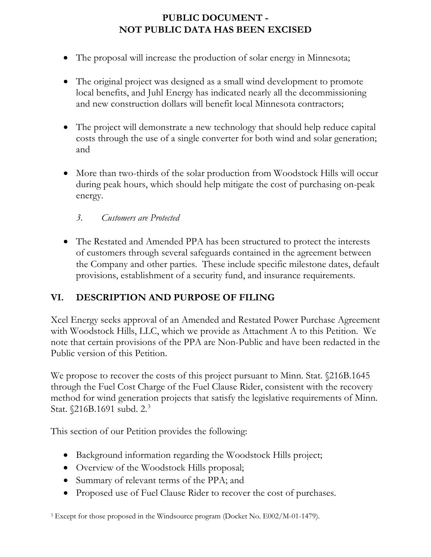- The proposal will increase the production of solar energy in Minnesota;
- The original project was designed as a small wind development to promote local benefits, and Juhl Energy has indicated nearly all the decommissioning and new construction dollars will benefit local Minnesota contractors;
- The project will demonstrate a new technology that should help reduce capital costs through the use of a single converter for both wind and solar generation; and
- More than two-thirds of the solar production from Woodstock Hills will occur during peak hours, which should help mitigate the cost of purchasing on-peak energy.

### *3. Customers are Protected*

• The Restated and Amended PPA has been structured to protect the interests of customers through several safeguards contained in the agreement between the Company and other parties. These include specific milestone dates, default provisions, establishment of a security fund, and insurance requirements.

### **VI. DESCRIPTION AND PURPOSE OF FILING**

Xcel Energy seeks approval of an Amended and Restated Power Purchase Agreement with Woodstock Hills, LLC, which we provide as Attachment A to this Petition. We note that certain provisions of the PPA are Non-Public and have been redacted in the Public version of this Petition.

We propose to recover the costs of this project pursuant to Minn. Stat.  $\&216B.1645$ through the Fuel Cost Charge of the Fuel Clause Rider, consistent with the recovery method for wind generation projects that satisfy the legislative requirements of Minn. Stat. §216B.1691 subd. 2.<sup>[3](#page-5-0)</sup>

This section of our Petition provides the following:

- Background information regarding the Woodstock Hills project;
- Overview of the Woodstock Hills proposal;
- Summary of relevant terms of the PPA; and
- Proposed use of Fuel Clause Rider to recover the cost of purchases.

<span id="page-5-0"></span><sup>3</sup> Except for those proposed in the Windsource program (Docket No. E002/M-01-1479).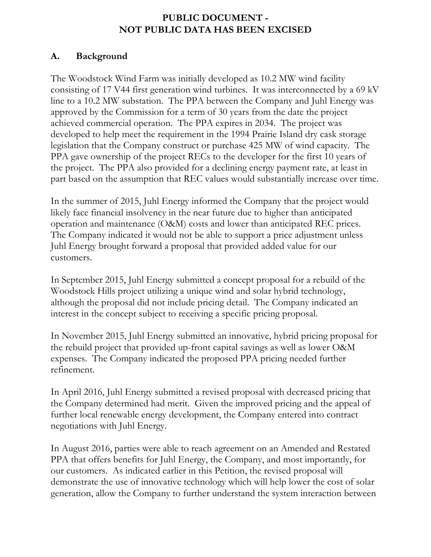### **A. Background**

The Woodstock Wind Farm was initially developed as 10.2 MW wind facility consisting of 17 V44 first generation wind turbines. It was interconnected by a 69 kV line to a 10.2 MW substation. The PPA between the Company and Juhl Energy was approved by the Commission for a term of 30 years from the date the project achieved commercial operation. The PPA expires in 2034. The project was developed to help meet the requirement in the 1994 Prairie Island dry cask storage legislation that the Company construct or purchase 425 MW of wind capacity. The PPA gave ownership of the project RECs to the developer for the first 10 years of the project. The PPA also provided for a declining energy payment rate, at least in part based on the assumption that REC values would substantially increase over time.

In the summer of 2015, Juhl Energy informed the Company that the project would likely face financial insolvency in the near future due to higher than anticipated operation and maintenance (O&M) costs and lower than anticipated REC prices. The Company indicated it would not be able to support a price adjustment unless Juhl Energy brought forward a proposal that provided added value for our customers.

In September 2015, Juhl Energy submitted a concept proposal for a rebuild of the Woodstock Hills project utilizing a unique wind and solar hybrid technology, although the proposal did not include pricing detail. The Company indicated an interest in the concept subject to receiving a specific pricing proposal.

In November 2015, Juhl Energy submitted an innovative, hybrid pricing proposal for the rebuild project that provided up-front capital savings as well as lower O&M expenses. The Company indicated the proposed PPA pricing needed further refinement.

In April 2016, Juhl Energy submitted a revised proposal with decreased pricing that the Company determined had merit. Given the improved pricing and the appeal of further local renewable energy development, the Company entered into contract negotiations with Juhl Energy.

In August 2016, parties were able to reach agreement on an Amended and Restated PPA that offers benefits for Juhl Energy, the Company, and most importantly, for our customers. As indicated earlier in this Petition, the revised proposal will demonstrate the use of innovative technology which will help lower the cost of solar generation, allow the Company to further understand the system interaction between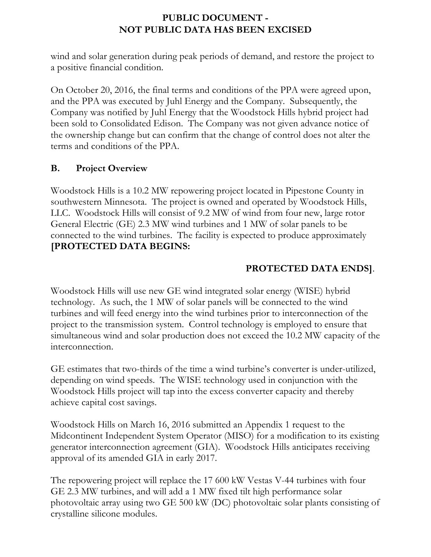wind and solar generation during peak periods of demand, and restore the project to a positive financial condition.

On October 20, 2016, the final terms and conditions of the PPA were agreed upon, and the PPA was executed by Juhl Energy and the Company. Subsequently, the Company was notified by Juhl Energy that the Woodstock Hills hybrid project had been sold to Consolidated Edison. The Company was not given advance notice of the ownership change but can confirm that the change of control does not alter the terms and conditions of the PPA.

### **B. Project Overview**

Woodstock Hills is a 10.2 MW repowering project located in Pipestone County in southwestern Minnesota. The project is owned and operated by Woodstock Hills, LLC. Woodstock Hills will consist of 9.2 MW of wind from four new, large rotor General Electric (GE) 2.3 MW wind turbines and 1 MW of solar panels to be connected to the wind turbines. The facility is expected to produce approximately **[PROTECTED DATA BEGINS:**

### **PROTECTED DATA ENDS]**.

Woodstock Hills will use new GE wind integrated solar energy (WISE) hybrid technology. As such, the 1 MW of solar panels will be connected to the wind turbines and will feed energy into the wind turbines prior to interconnection of the project to the transmission system. Control technology is employed to ensure that simultaneous wind and solar production does not exceed the 10.2 MW capacity of the interconnection.

GE estimates that two-thirds of the time a wind turbine's converter is under-utilized, depending on wind speeds. The WISE technology used in conjunction with the Woodstock Hills project will tap into the excess converter capacity and thereby achieve capital cost savings.

Woodstock Hills on March 16, 2016 submitted an Appendix 1 request to the Midcontinent Independent System Operator (MISO) for a modification to its existing generator interconnection agreement (GIA). Woodstock Hills anticipates receiving approval of its amended GIA in early 2017.

The repowering project will replace the 17 600 kW Vestas V-44 turbines with four GE 2.3 MW turbines, and will add a 1 MW fixed tilt high performance solar photovoltaic array using two GE 500 kW (DC) photovoltaic solar plants consisting of crystalline silicone modules.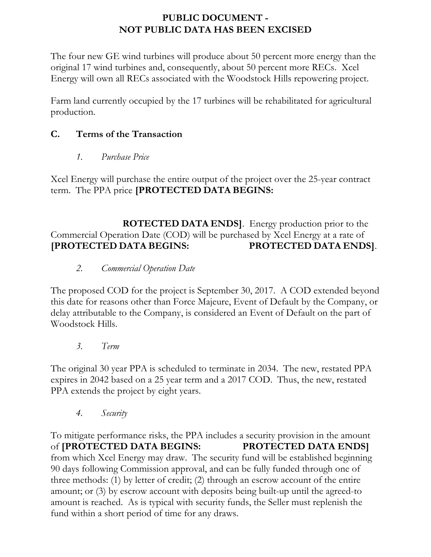The four new GE wind turbines will produce about 50 percent more energy than the original 17 wind turbines and, consequently, about 50 percent more RECs. Xcel Energy will own all RECs associated with the Woodstock Hills repowering project.

Farm land currently occupied by the 17 turbines will be rehabilitated for agricultural production.

### **C. Terms of the Transaction**

*1. Purchase Price*

Xcel Energy will purchase the entire output of the project over the 25-year contract term. The PPA price **[PROTECTED DATA BEGINS:** 

**ROTECTED DATA ENDS]**. Energy production prior to the Commercial Operation Date (COD) will be purchased by Xcel Energy at a rate of **[PROTECTED DATA BEGINS: PROTECTED DATA ENDS]**.

*2. Commercial Operation Date*

The proposed COD for the project is September 30, 2017. A COD extended beyond this date for reasons other than Force Majeure, Event of Default by the Company, or delay attributable to the Company, is considered an Event of Default on the part of Woodstock Hills.

*3. Term*

The original 30 year PPA is scheduled to terminate in 2034. The new, restated PPA expires in 2042 based on a 25 year term and a 2017 COD. Thus, the new, restated PPA extends the project by eight years.

*4. Security*

To mitigate performance risks, the PPA includes a security provision in the amount of **[PROTECTED DATA BEGINS: PROTECTED DATA ENDS]** from which Xcel Energy may draw. The security fund will be established beginning 90 days following Commission approval, and can be fully funded through one of three methods: (1) by letter of credit; (2) through an escrow account of the entire amount; or (3) by escrow account with deposits being built-up until the agreed-to amount is reached. As is typical with security funds, the Seller must replenish the fund within a short period of time for any draws.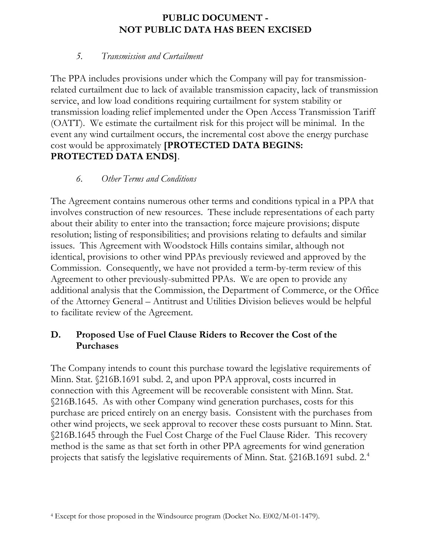#### *5. Transmission and Curtailment*

The PPA includes provisions under which the Company will pay for transmissionrelated curtailment due to lack of available transmission capacity, lack of transmission service, and low load conditions requiring curtailment for system stability or transmission loading relief implemented under the Open Access Transmission Tariff (OATT). We estimate the curtailment risk for this project will be minimal. In the event any wind curtailment occurs, the incremental cost above the energy purchase cost would be approximately **[PROTECTED DATA BEGINS: PROTECTED DATA ENDS]**.

### *6. Other Terms and Conditions*

The Agreement contains numerous other terms and conditions typical in a PPA that involves construction of new resources. These include representations of each party about their ability to enter into the transaction; force majeure provisions; dispute resolution; listing of responsibilities; and provisions relating to defaults and similar issues. This Agreement with Woodstock Hills contains similar, although not identical, provisions to other wind PPAs previously reviewed and approved by the Commission. Consequently, we have not provided a term-by-term review of this Agreement to other previously-submitted PPAs. We are open to provide any additional analysis that the Commission, the Department of Commerce, or the Office of the Attorney General – Antitrust and Utilities Division believes would be helpful to facilitate review of the Agreement.

### **D. Proposed Use of Fuel Clause Riders to Recover the Cost of the Purchases**

The Company intends to count this purchase toward the legislative requirements of Minn. Stat. §216B.1691 subd. 2, and upon PPA approval, costs incurred in connection with this Agreement will be recoverable consistent with Minn. Stat. §216B.1645. As with other Company wind generation purchases, costs for this purchase are priced entirely on an energy basis. Consistent with the purchases from other wind projects, we seek approval to recover these costs pursuant to Minn. Stat. §216B.1645 through the Fuel Cost Charge of the Fuel Clause Rider. This recovery method is the same as that set forth in other PPA agreements for wind generation projects that satisfy the legislative requirements of Minn. Stat. §216B.1691 subd. 2.[4](#page-9-0)

<span id="page-9-0"></span><sup>4</sup> Except for those proposed in the Windsource program (Docket No. E002/M-01-1479).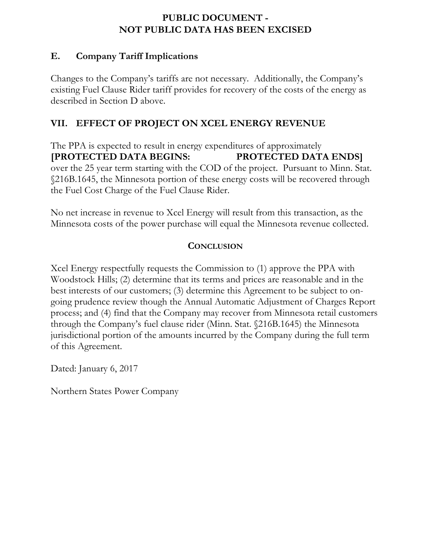#### **E. Company Tariff Implications**

Changes to the Company's tariffs are not necessary. Additionally, the Company's existing Fuel Clause Rider tariff provides for recovery of the costs of the energy as described in Section D above.

### **VII. EFFECT OF PROJECT ON XCEL ENERGY REVENUE**

The PPA is expected to result in energy expenditures of approximately **[PROTECTED DATA BEGINS: PROTECTED DATA ENDS]** over the 25 year term starting with the COD of the project. Pursuant to Minn. Stat. §216B.1645, the Minnesota portion of these energy costs will be recovered through the Fuel Cost Charge of the Fuel Clause Rider.

No net increase in revenue to Xcel Energy will result from this transaction, as the Minnesota costs of the power purchase will equal the Minnesota revenue collected.

### **CONCLUSION**

Xcel Energy respectfully requests the Commission to (1) approve the PPA with Woodstock Hills; (2) determine that its terms and prices are reasonable and in the best interests of our customers; (3) determine this Agreement to be subject to ongoing prudence review though the Annual Automatic Adjustment of Charges Report process; and (4) find that the Company may recover from Minnesota retail customers through the Company's fuel clause rider (Minn. Stat. §216B.1645) the Minnesota jurisdictional portion of the amounts incurred by the Company during the full term of this Agreement.

Dated: January 6, 2017

Northern States Power Company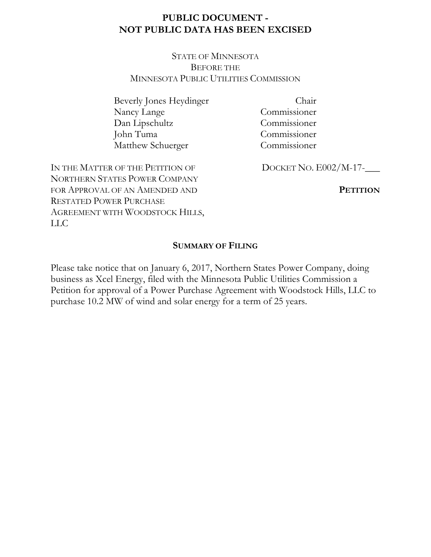### STATE OF MINNESOTA BEFORE THE MINNESOTA PUBLIC UTILITIES COMMISSION

| Beverly Jones Heydinger |
|-------------------------|
| Nancy Lange             |
| Dan Lipschultz          |
| John Tuma               |
| Matthew Schuerger       |

Chair Commissioner Commissioner Commissioner Commissioner

IN THE MATTER OF THE PETITION OF NORTHERN STATES POWER COMPANY FOR APPROVAL OF AN AMENDED AND RESTATED POWER PURCHASE AGREEMENT WITH WOODSTOCK HILLS, LLC

DOCKET NO. E002/M-17-\_\_\_

**PETITION**

### **SUMMARY OF FILING**

Please take notice that on January 6, 2017, Northern States Power Company, doing business as Xcel Energy, filed with the Minnesota Public Utilities Commission a Petition for approval of a Power Purchase Agreement with Woodstock Hills, LLC to purchase 10.2 MW of wind and solar energy for a term of 25 years.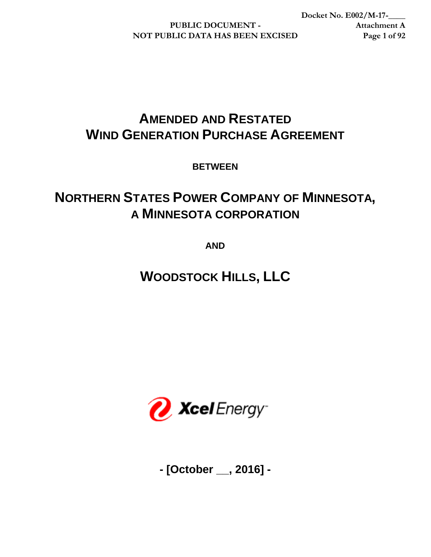**Docket No. E002/M-17-\_\_\_\_ Attachment A Page 1 of 92**

# **AMENDED AND RESTATED WIND GENERATION PURCHASE AGREEMENT**

**BETWEEN**

# **NORTHERN STATES POWER COMPANY OF MINNESOTA, A MINNESOTA CORPORATION**

**AND**

**WOODSTOCK HILLS, LLC** 



**- [October \_\_, 2016] -**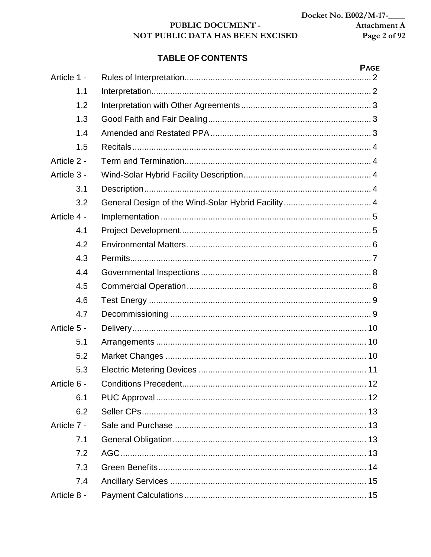Docket No. E002/M-17-Attachment A Page 2 of 92

### **TABLE OF CONTENTS**

| Article 1 - | <b>PAGE</b> |
|-------------|-------------|
| 1.1         |             |
| 1.2         |             |
| 1.3         |             |
| 1.4         |             |
| 1.5         |             |
| Article 2 - |             |
| Article 3 - |             |
| 3.1         |             |
| 3.2         |             |
| Article 4 - |             |
| 4.1         |             |
| 4.2         |             |
| 4.3         |             |
| 4.4         |             |
| 4.5         |             |
| 4.6         |             |
| 4.7         |             |
| Article 5 - |             |
| 5.1         |             |
| 5.2         |             |
| 5.3         |             |
| Article 6 - |             |
| 6.1         |             |
| 6.2         |             |
| Article 7 - |             |
| 7.1         |             |
| 7.2         |             |
| 7.3         |             |
| 7.4         |             |
| Article 8 - |             |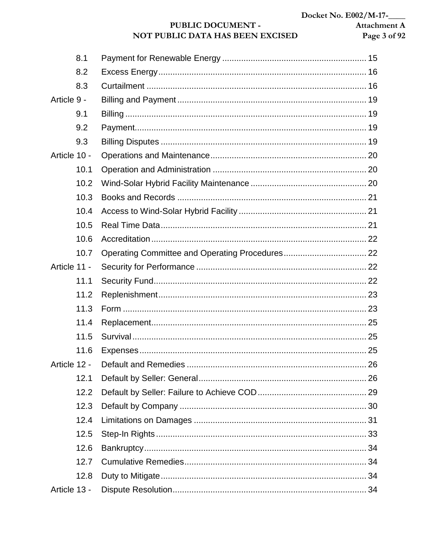| 8.1          |                            |
|--------------|----------------------------|
| 8.2          |                            |
| 8.3          |                            |
| Article 9 -  |                            |
| 9.1          |                            |
| 9.2          |                            |
| 9.3          |                            |
| Article 10 - |                            |
| 10.1         |                            |
| 10.2         |                            |
| 10.3         |                            |
| 10.4         |                            |
| 10.5         |                            |
| 10.6         |                            |
| 10.7         |                            |
| Article 11 - |                            |
| 11.1         |                            |
| 11.2         |                            |
| 11.3         |                            |
| 11.4         |                            |
| 11.5         |                            |
| 11.6         |                            |
| Article 12 - | Default and Remedies<br>26 |
| 12.1         |                            |
| 12.2         |                            |
| 12.3         |                            |
| 12.4         |                            |
| 12.5         |                            |
| 12.6         |                            |
| 12.7         |                            |
| 12.8         |                            |
| Article 13 - |                            |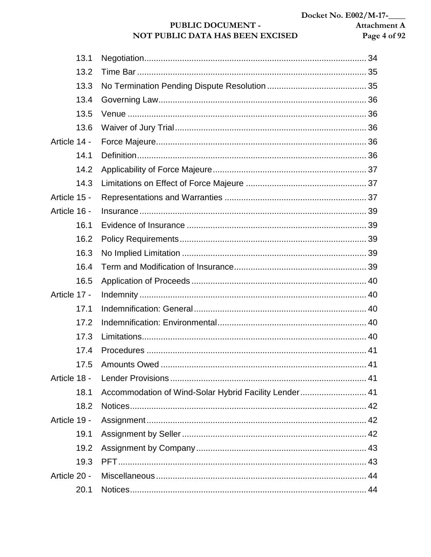| 13.1         |                                                       |    |
|--------------|-------------------------------------------------------|----|
| 13.2         |                                                       |    |
| 13.3         |                                                       |    |
| 13.4         |                                                       |    |
| 13.5         |                                                       |    |
| 13.6         |                                                       |    |
| Article 14 - |                                                       |    |
| 14.1         |                                                       |    |
| 14.2         |                                                       |    |
| 14.3         |                                                       |    |
| Article 15 - |                                                       |    |
| Article 16 - |                                                       |    |
| 16.1         |                                                       |    |
| 16.2         |                                                       |    |
| 16.3         |                                                       |    |
| 16.4         |                                                       |    |
| 16.5         |                                                       |    |
| Article 17 - |                                                       |    |
| 17.1         |                                                       |    |
| 17.2         |                                                       |    |
| 17.3         |                                                       |    |
| 17.4         |                                                       |    |
|              |                                                       | 41 |
| Article 18 - |                                                       |    |
| 18.1         | Accommodation of Wind-Solar Hybrid Facility Lender 41 |    |
| 18.2         |                                                       |    |
| Article 19 - |                                                       |    |
| 19.1         |                                                       |    |
| 19.2         |                                                       |    |
| 19.3         |                                                       |    |
| Article 20 - |                                                       |    |
| 20.1         |                                                       |    |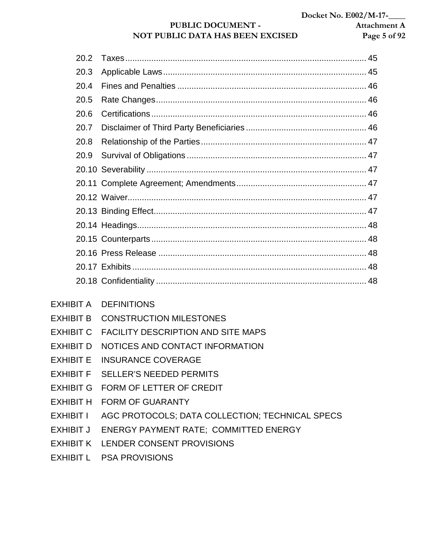| 20.2 |  |
|------|--|
| 20.3 |  |
| 20.4 |  |
| 20.5 |  |
| 20.6 |  |
| 20.7 |  |
| 20.8 |  |
| 20.9 |  |
|      |  |
|      |  |
|      |  |
|      |  |
|      |  |
|      |  |
|      |  |
|      |  |
|      |  |

### EXHIBIT A DEFINITIONS

- EXHIBIT B CONSTRUCTION MILESTONES
- EXHIBIT C FACILITY DESCRIPTION AND SITE MAPS
- EXHIBIT D NOTICES AND CONTACT INFORMATION
- EXHIBIT E INSURANCE COVERAGE
- EXHIBIT F SELLER'S NEEDED PERMITS
- EXHIBIT G FORM OF LETTER OF CREDIT
- EXHIBIT H FORM OF GUARANTY
- EXHIBIT I AGC PROTOCOLS; DATA COLLECTION; TECHNICAL SPECS
- EXHIBIT J ENERGY PAYMENT RATE; COMMITTED ENERGY
- EXHIBIT K LENDER CONSENT PROVISIONS
- EXHIBIT L PSA PROVISIONS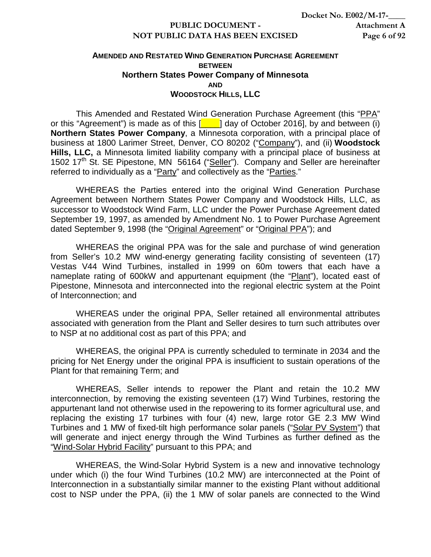**Docket No. E002/M-17-\_\_\_\_ Attachment A Page 6 of 92**

#### **AMENDED AND RESTATED WIND GENERATION PURCHASE AGREEMENT BETWEEN Northern States Power Company of Minnesota AND WOODSTOCK HILLS, LLC**

This Amended and Restated Wind Generation Purchase Agreement (this "PPA" or this "Agreement") is made as of this  $\begin{bmatrix} 1 \\ 1 \end{bmatrix}$  day of October 2016], by and between (i) **Northern States Power Company**, a Minnesota corporation, with a principal place of business at 1800 Larimer Street, Denver, CO 80202 ("Company"), and (ii) **Woodstock Hills, LLC,** a Minnesota limited liability company with a principal place of business at 1502 17<sup>th</sup> St. SE Pipestone, MN 56164 ("Seller"). Company and Seller are hereinafter referred to individually as a "Party" and collectively as the "Parties."

WHEREAS the Parties entered into the original Wind Generation Purchase Agreement between Northern States Power Company and Woodstock Hills, LLC, as successor to Woodstock Wind Farm, LLC under the Power Purchase Agreement dated September 19, 1997, as amended by Amendment No. 1 to Power Purchase Agreement dated September 9, 1998 (the "Original Agreement" or "Original PPA"); and

WHEREAS the original PPA was for the sale and purchase of wind generation from Seller's 10.2 MW wind-energy generating facility consisting of seventeen (17) Vestas V44 Wind Turbines, installed in 1999 on 60m towers that each have a nameplate rating of 600kW and appurtenant equipment (the "Plant"), located east of Pipestone, Minnesota and interconnected into the regional electric system at the Point of Interconnection; and

WHEREAS under the original PPA, Seller retained all environmental attributes associated with generation from the Plant and Seller desires to turn such attributes over to NSP at no additional cost as part of this PPA; and

WHEREAS, the original PPA is currently scheduled to terminate in 2034 and the pricing for Net Energy under the original PPA is insufficient to sustain operations of the Plant for that remaining Term; and

WHEREAS, Seller intends to repower the Plant and retain the 10.2 MW interconnection, by removing the existing seventeen (17) Wind Turbines, restoring the appurtenant land not otherwise used in the repowering to its former agricultural use, and replacing the existing 17 turbines with four (4) new, large rotor GE 2.3 MW Wind Turbines and 1 MW of fixed-tilt high performance solar panels ("Solar PV System") that will generate and inject energy through the Wind Turbines as further defined as the "Wind-Solar Hybrid Facility" pursuant to this PPA; and

WHEREAS, the Wind-Solar Hybrid System is a new and innovative technology under which (i) the four Wind Turbines (10.2 MW) are interconnected at the Point of Interconnection in a substantially similar manner to the existing Plant without additional cost to NSP under the PPA, (ii) the 1 MW of solar panels are connected to the Wind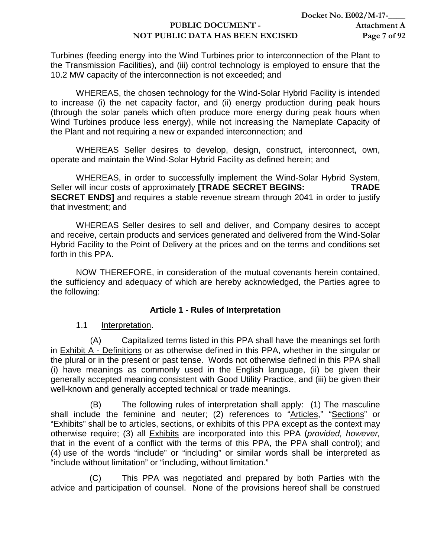Turbines (feeding energy into the Wind Turbines prior to interconnection of the Plant to the Transmission Facilities), and (iii) control technology is employed to ensure that the 10.2 MW capacity of the interconnection is not exceeded; and

WHEREAS, the chosen technology for the Wind-Solar Hybrid Facility is intended to increase (i) the net capacity factor, and (ii) energy production during peak hours (through the solar panels which often produce more energy during peak hours when Wind Turbines produce less energy), while not increasing the Nameplate Capacity of the Plant and not requiring a new or expanded interconnection; and

WHEREAS Seller desires to develop, design, construct, interconnect, own, operate and maintain the Wind-Solar Hybrid Facility as defined herein; and

WHEREAS, in order to successfully implement the Wind-Solar Hybrid System, Seller will incur costs of approximately **[TRADE SECRET BEGINS: TRADE SECRET ENDS**] and requires a stable revenue stream through 2041 in order to justify that investment; and

WHEREAS Seller desires to sell and deliver, and Company desires to accept and receive, certain products and services generated and delivered from the Wind-Solar Hybrid Facility to the Point of Delivery at the prices and on the terms and conditions set forth in this PPA.

NOW THEREFORE, in consideration of the mutual covenants herein contained, the sufficiency and adequacy of which are hereby acknowledged, the Parties agree to the following:

#### **Article 1 - Rules of Interpretation**

#### 1.1 Interpretation.

(A) Capitalized terms listed in this PPA shall have the meanings set forth in Exhibit A - Definitions or as otherwise defined in this PPA, whether in the singular or the plural or in the present or past tense. Words not otherwise defined in this PPA shall (i) have meanings as commonly used in the English language, (ii) be given their generally accepted meaning consistent with Good Utility Practice, and (iii) be given their well-known and generally accepted technical or trade meanings.

(B) The following rules of interpretation shall apply: (1) The masculine shall include the feminine and neuter; (2) references to "Articles," "Sections" or "Exhibits" shall be to articles, sections, or exhibits of this PPA except as the context may otherwise require; (3) all Exhibits are incorporated into this PPA (*provided, however,*  that in the event of a conflict with the terms of this PPA, the PPA shall control); and (4) use of the words "include" or "including" or similar words shall be interpreted as "include without limitation" or "including, without limitation."

(C) This PPA was negotiated and prepared by both Parties with the advice and participation of counsel. None of the provisions hereof shall be construed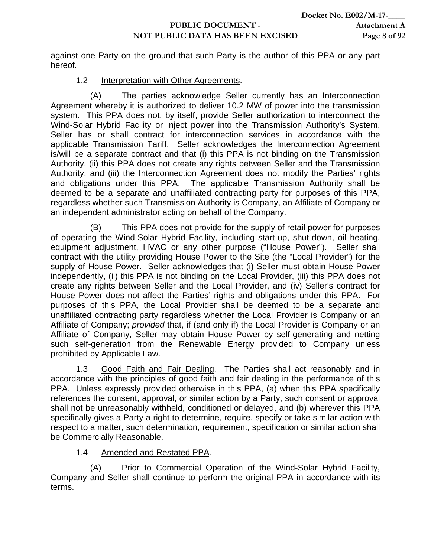**Docket No. E002/M-17-\_\_\_\_ Attachment A Page 8 of 92**

against one Party on the ground that such Party is the author of this PPA or any part hereof.

#### 1.2 Interpretation with Other Agreements.

(A) The parties acknowledge Seller currently has an Interconnection Agreement whereby it is authorized to deliver 10.2 MW of power into the transmission system. This PPA does not, by itself, provide Seller authorization to interconnect the Wind-Solar Hybrid Facility or inject power into the Transmission Authority's System. Seller has or shall contract for interconnection services in accordance with the applicable Transmission Tariff. Seller acknowledges the Interconnection Agreement is/will be a separate contract and that (i) this PPA is not binding on the Transmission Authority, (ii) this PPA does not create any rights between Seller and the Transmission Authority, and (iii) the Interconnection Agreement does not modify the Parties' rights and obligations under this PPA. The applicable Transmission Authority shall be deemed to be a separate and unaffiliated contracting party for purposes of this PPA, regardless whether such Transmission Authority is Company, an Affiliate of Company or an independent administrator acting on behalf of the Company.

(B) This PPA does not provide for the supply of retail power for purposes of operating the Wind-Solar Hybrid Facility, including start-up, shut-down, oil heating, equipment adjustment, HVAC or any other purpose ("House Power"). Seller shall contract with the utility providing House Power to the Site (the "Local Provider") for the supply of House Power. Seller acknowledges that (i) Seller must obtain House Power independently, (ii) this PPA is not binding on the Local Provider, (iii) this PPA does not create any rights between Seller and the Local Provider, and (iv) Seller's contract for House Power does not affect the Parties' rights and obligations under this PPA. For purposes of this PPA, the Local Provider shall be deemed to be a separate and unaffiliated contracting party regardless whether the Local Provider is Company or an Affiliate of Company; *provided* that, if (and only if) the Local Provider is Company or an Affiliate of Company, Seller may obtain House Power by self-generating and netting such self-generation from the Renewable Energy provided to Company unless prohibited by Applicable Law.

1.3 Good Faith and Fair Dealing. The Parties shall act reasonably and in accordance with the principles of good faith and fair dealing in the performance of this PPA. Unless expressly provided otherwise in this PPA, (a) when this PPA specifically references the consent, approval, or similar action by a Party, such consent or approval shall not be unreasonably withheld, conditioned or delayed, and (b) wherever this PPA specifically gives a Party a right to determine, require, specify or take similar action with respect to a matter, such determination, requirement, specification or similar action shall be Commercially Reasonable.

#### 1.4 Amended and Restated PPA.

(A) Prior to Commercial Operation of the Wind-Solar Hybrid Facility, Company and Seller shall continue to perform the original PPA in accordance with its terms.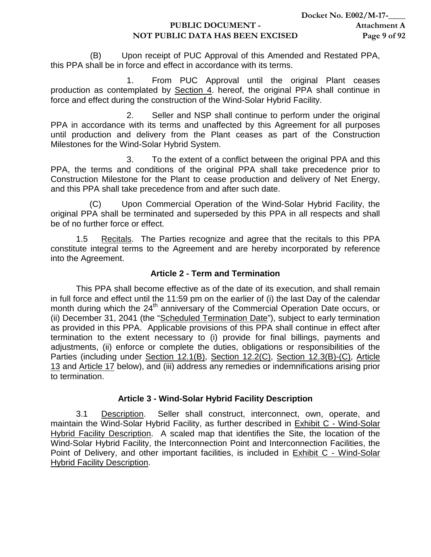(B) Upon receipt of PUC Approval of this Amended and Restated PPA, this PPA shall be in force and effect in accordance with its terms.

1. From PUC Approval until the original Plant ceases production as contemplated by Section 4. hereof, the original PPA shall continue in force and effect during the construction of the Wind-Solar Hybrid Facility.

2. Seller and NSP shall continue to perform under the original PPA in accordance with its terms and unaffected by this Agreement for all purposes until production and delivery from the Plant ceases as part of the Construction Milestones for the Wind-Solar Hybrid System.

3. To the extent of a conflict between the original PPA and this PPA, the terms and conditions of the original PPA shall take precedence prior to Construction Milestone for the Plant to cease production and delivery of Net Energy, and this PPA shall take precedence from and after such date.

(C) Upon Commercial Operation of the Wind-Solar Hybrid Facility, the original PPA shall be terminated and superseded by this PPA in all respects and shall be of no further force or effect.

1.5 Recitals. The Parties recognize and agree that the recitals to this PPA constitute integral terms to the Agreement and are hereby incorporated by reference into the Agreement.

#### **Article 2 - Term and Termination**

This PPA shall become effective as of the date of its execution, and shall remain in full force and effect until the 11:59 pm on the earlier of (i) the last Day of the calendar month during which the 24<sup>th</sup> anniversary of the Commercial Operation Date occurs, or (ii) December 31, 2041 (the "Scheduled Termination Date"), subject to early termination as provided in this PPA. Applicable provisions of this PPA shall continue in effect after termination to the extent necessary to (i) provide for final billings, payments and adjustments, (ii) enforce or complete the duties, obligations or responsibilities of the Parties (including under Section 12.1(B), Section 12.2(C), Section 12.3(B)-(C), Article 13 and Article 17 below), and (iii) address any remedies or indemnifications arising prior to termination.

#### **Article 3 - Wind-Solar Hybrid Facility Description**

3.1 Description. Seller shall construct, interconnect, own, operate, and maintain the Wind-Solar Hybrid Facility, as further described in Exhibit C - Wind-Solar Hybrid Facility Description. A scaled map that identifies the Site, the location of the Wind-Solar Hybrid Facility, the Interconnection Point and Interconnection Facilities, the Point of Delivery, and other important facilities, is included in Exhibit C - Wind-Solar Hybrid Facility Description.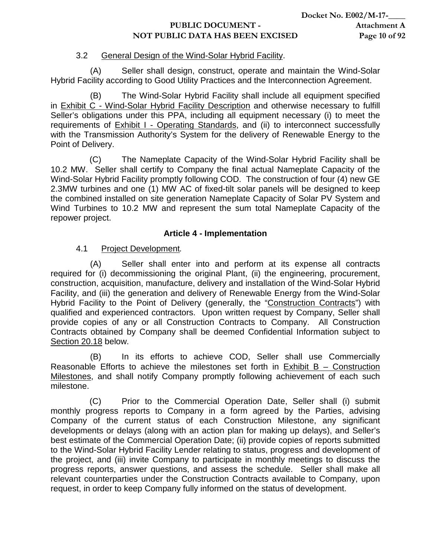#### 3.2 General Design of the Wind-Solar Hybrid Facility.

(A) Seller shall design, construct, operate and maintain the Wind-Solar Hybrid Facility according to Good Utility Practices and the Interconnection Agreement.

(B) The Wind-Solar Hybrid Facility shall include all equipment specified in Exhibit C - Wind-Solar Hybrid Facility Description and otherwise necessary to fulfill Seller's obligations under this PPA, including all equipment necessary (i) to meet the requirements of Exhibit I - Operating Standards, and (ii) to interconnect successfully with the Transmission Authority's System for the delivery of Renewable Energy to the Point of Delivery.

(C) The Nameplate Capacity of the Wind-Solar Hybrid Facility shall be 10.2 MW. Seller shall certify to Company the final actual Nameplate Capacity of the Wind-Solar Hybrid Facility promptly following COD. The construction of four (4) new GE 2.3MW turbines and one (1) MW AC of fixed-tilt solar panels will be designed to keep the combined installed on site generation Nameplate Capacity of Solar PV System and Wind Turbines to 10.2 MW and represent the sum total Nameplate Capacity of the repower project.

#### **Article 4 - Implementation**

#### 4.1 Project Development*.*

(A) Seller shall enter into and perform at its expense all contracts required for (i) decommissioning the original Plant, (ii) the engineering, procurement, construction, acquisition, manufacture, delivery and installation of the Wind-Solar Hybrid Facility, and (iii) the generation and delivery of Renewable Energy from the Wind-Solar Hybrid Facility to the Point of Delivery (generally, the "Construction Contracts") with qualified and experienced contractors. Upon written request by Company, Seller shall provide copies of any or all Construction Contracts to Company. All Construction Contracts obtained by Company shall be deemed Confidential Information subject to Section 20.18 below.

(B) In its efforts to achieve COD, Seller shall use Commercially Reasonable Efforts to achieve the milestones set forth in Exhibit  $B -$  Construction Milestones, and shall notify Company promptly following achievement of each such milestone.

(C) Prior to the Commercial Operation Date, Seller shall (i) submit monthly progress reports to Company in a form agreed by the Parties, advising Company of the current status of each Construction Milestone, any significant developments or delays (along with an action plan for making up delays), and Seller's best estimate of the Commercial Operation Date; (ii) provide copies of reports submitted to the Wind-Solar Hybrid Facility Lender relating to status, progress and development of the project, and (iii) invite Company to participate in monthly meetings to discuss the progress reports, answer questions, and assess the schedule. Seller shall make all relevant counterparties under the Construction Contracts available to Company, upon request, in order to keep Company fully informed on the status of development.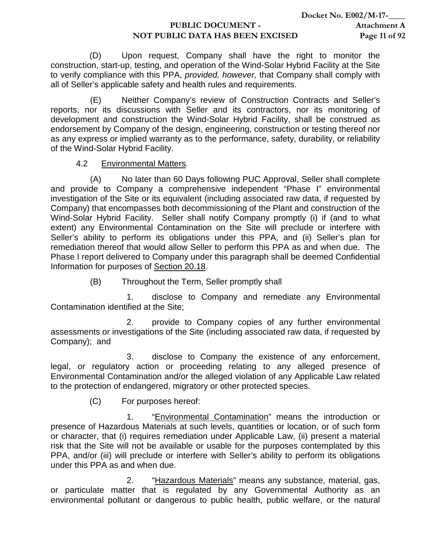(D) Upon request, Company shall have the right to monitor the construction, start-up, testing, and operation of the Wind-Solar Hybrid Facility at the Site to verify compliance with this PPA, *provided, however,* that Company shall comply with all of Seller's applicable safety and health rules and requirements.

(E) Neither Company's review of Construction Contracts and Seller's reports, nor its discussions with Seller and its contractors, nor its monitoring of development and construction the Wind-Solar Hybrid Facility, shall be construed as endorsement by Company of the design, engineering, construction or testing thereof nor as any express or implied warranty as to the performance, safety, durability, or reliability of the Wind-Solar Hybrid Facility.

#### 4.2 Environmental Matters*.*

(A) No later than 60 Days following PUC Approval, Seller shall complete and provide to Company a comprehensive independent "Phase I" environmental investigation of the Site or its equivalent (including associated raw data, if requested by Company) that encompasses both decommissioning of the Plant and construction of the Wind-Solar Hybrid Facility. Seller shall notify Company promptly (i) if (and to what extent) any Environmental Contamination on the Site will preclude or interfere with Seller's ability to perform its obligations under this PPA, and (ii) Seller's plan for remediation thereof that would allow Seller to perform this PPA as and when due. The Phase I report delivered to Company under this paragraph shall be deemed Confidential Information for purposes of Section 20.18.

(B) Throughout the Term, Seller promptly shall

1. disclose to Company and remediate any Environmental Contamination identified at the Site;

2. provide to Company copies of any further environmental assessments or investigations of the Site (including associated raw data, if requested by Company); and

3. disclose to Company the existence of any enforcement, legal, or regulatory action or proceeding relating to any alleged presence of Environmental Contamination and/or the alleged violation of any Applicable Law related to the protection of endangered, migratory or other protected species.

(C) For purposes hereof:

1. "Environmental Contamination" means the introduction or presence of Hazardous Materials at such levels, quantities or location, or of such form or character, that (i) requires remediation under Applicable Law, (ii) present a material risk that the Site will not be available or usable for the purposes contemplated by this PPA, and/or (iii) will preclude or interfere with Seller's ability to perform its obligations under this PPA as and when due.

2. "Hazardous Materials" means any substance, material, gas, or particulate matter that is regulated by any Governmental Authority as an environmental pollutant or dangerous to public health, public welfare, or the natural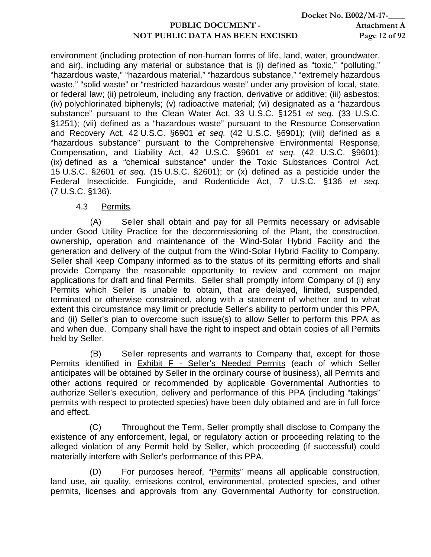environment (including protection of non-human forms of life, land, water, groundwater, and air), including any material or substance that is (i) defined as "toxic," "polluting," "hazardous waste," "hazardous material," "hazardous substance," "extremely hazardous waste," "solid waste" or "restricted hazardous waste" under any provision of local, state, or federal law; (ii) petroleum, including any fraction, derivative or additive; (iii) asbestos; (iv) polychlorinated biphenyls; (v) radioactive material; (vi) designated as a "hazardous substance" pursuant to the Clean Water Act, 33 U.S.C. §1251 *et seq.* (33 U.S.C. §1251); (vii) defined as a "hazardous waste" pursuant to the Resource Conservation and Recovery Act, 42 U.S.C. §6901 *et seq.* (42 U.S.C. §6901); (viii) defined as a "hazardous substance" pursuant to the Comprehensive Environmental Response, Compensation, and Liability Act, 42 U.S.C. §9601 *et seq.* (42 U.S.C. §9601); (ix) defined as a "chemical substance" under the Toxic Substances Control Act, 15 U.S.C. §2601 *et seq.* (15 U.S.C. §2601); or (x) defined as a pesticide under the Federal Insecticide, Fungicide, and Rodenticide Act, 7 U.S.C. §136 *et seq.* (7 U.S.C. §136).

4.3 Permits*.*

(A) Seller shall obtain and pay for all Permits necessary or advisable under Good Utility Practice for the decommissioning of the Plant, the construction, ownership, operation and maintenance of the Wind-Solar Hybrid Facility and the generation and delivery of the output from the Wind-Solar Hybrid Facility to Company. Seller shall keep Company informed as to the status of its permitting efforts and shall provide Company the reasonable opportunity to review and comment on major applications for draft and final Permits. Seller shall promptly inform Company of (i) any Permits which Seller is unable to obtain, that are delayed, limited, suspended, terminated or otherwise constrained, along with a statement of whether and to what extent this circumstance may limit or preclude Seller's ability to perform under this PPA, and (ii) Seller's plan to overcome such issue(s) to allow Seller to perform this PPA as and when due. Company shall have the right to inspect and obtain copies of all Permits held by Seller.

(B) Seller represents and warrants to Company that, except for those Permits identified in Exhibit F - Seller's Needed Permits (each of which Seller anticipates will be obtained by Seller in the ordinary course of business), all Permits and other actions required or recommended by applicable Governmental Authorities to authorize Seller's execution, delivery and performance of this PPA (including "takings" permits with respect to protected species) have been duly obtained and are in full force and effect.

(C) Throughout the Term, Seller promptly shall disclose to Company the existence of any enforcement, legal, or regulatory action or proceeding relating to the alleged violation of any Permit held by Seller, which proceeding (if successful) could materially interfere with Seller's performance of this PPA.

(D) For purposes hereof, "Permits" means all applicable construction, land use, air quality, emissions control, environmental, protected species, and other permits, licenses and approvals from any Governmental Authority for construction,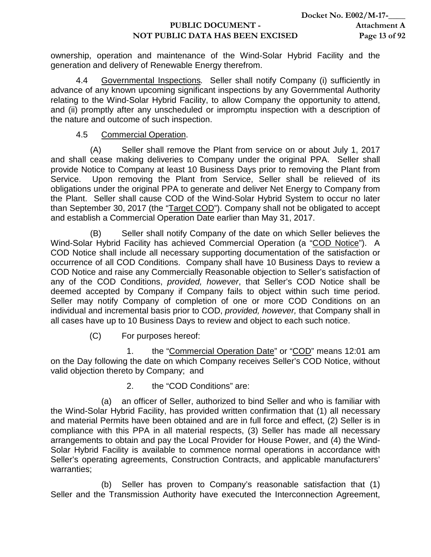ownership, operation and maintenance of the Wind-Solar Hybrid Facility and the generation and delivery of Renewable Energy therefrom.

4.4 Governmental Inspections*.* Seller shall notify Company (i) sufficiently in advance of any known upcoming significant inspections by any Governmental Authority relating to the Wind-Solar Hybrid Facility, to allow Company the opportunity to attend, and (ii) promptly after any unscheduled or impromptu inspection with a description of the nature and outcome of such inspection.

#### 4.5 Commercial Operation.

(A) Seller shall remove the Plant from service on or about July 1, 2017 and shall cease making deliveries to Company under the original PPA. Seller shall provide Notice to Company at least 10 Business Days prior to removing the Plant from Service. Upon removing the Plant from Service, Seller shall be relieved of its obligations under the original PPA to generate and deliver Net Energy to Company from the Plant. Seller shall cause COD of the Wind-Solar Hybrid System to occur no later than September 30, 2017 (the "Target COD"). Company shall not be obligated to accept and establish a Commercial Operation Date earlier than May 31, 2017.

(B) Seller shall notify Company of the date on which Seller believes the Wind-Solar Hybrid Facility has achieved Commercial Operation (a "COD Notice"). A COD Notice shall include all necessary supporting documentation of the satisfaction or occurrence of all COD Conditions. Company shall have 10 Business Days to review a COD Notice and raise any Commercially Reasonable objection to Seller's satisfaction of any of the COD Conditions, *provided, however*, that Seller's COD Notice shall be deemed accepted by Company if Company fails to object within such time period. Seller may notify Company of completion of one or more COD Conditions on an individual and incremental basis prior to COD, *provided, however,* that Company shall in all cases have up to 10 Business Days to review and object to each such notice.

(C) For purposes hereof:

1. the "Commercial Operation Date" or "COD" means 12:01 am on the Day following the date on which Company receives Seller's COD Notice, without valid objection thereto by Company; and

2. the "COD Conditions" are:

(a) an officer of Seller, authorized to bind Seller and who is familiar with the Wind-Solar Hybrid Facility, has provided written confirmation that (1) all necessary and material Permits have been obtained and are in full force and effect, (2) Seller is in compliance with this PPA in all material respects, (3) Seller has made all necessary arrangements to obtain and pay the Local Provider for House Power, and (4) the Wind-Solar Hybrid Facility is available to commence normal operations in accordance with Seller's operating agreements, Construction Contracts, and applicable manufacturers' warranties;

(b) Seller has proven to Company's reasonable satisfaction that (1) Seller and the Transmission Authority have executed the Interconnection Agreement,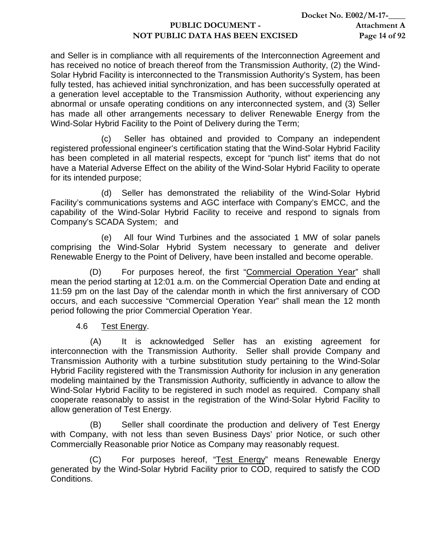and Seller is in compliance with all requirements of the Interconnection Agreement and has received no notice of breach thereof from the Transmission Authority, (2) the Wind-Solar Hybrid Facility is interconnected to the Transmission Authority's System, has been fully tested, has achieved initial synchronization, and has been successfully operated at a generation level acceptable to the Transmission Authority, without experiencing any abnormal or unsafe operating conditions on any interconnected system, and (3) Seller has made all other arrangements necessary to deliver Renewable Energy from the Wind-Solar Hybrid Facility to the Point of Delivery during the Term;

(c) Seller has obtained and provided to Company an independent registered professional engineer's certification stating that the Wind-Solar Hybrid Facility has been completed in all material respects, except for "punch list" items that do not have a Material Adverse Effect on the ability of the Wind-Solar Hybrid Facility to operate for its intended purpose;

(d) Seller has demonstrated the reliability of the Wind-Solar Hybrid Facility's communications systems and AGC interface with Company's EMCC, and the capability of the Wind-Solar Hybrid Facility to receive and respond to signals from Company's SCADA System; and

(e) All four Wind Turbines and the associated 1 MW of solar panels comprising the Wind-Solar Hybrid System necessary to generate and deliver Renewable Energy to the Point of Delivery, have been installed and become operable.

(D) For purposes hereof, the first "Commercial Operation Year" shall mean the period starting at 12:01 a.m. on the Commercial Operation Date and ending at 11:59 pm on the last Day of the calendar month in which the first anniversary of COD occurs, and each successive "Commercial Operation Year" shall mean the 12 month period following the prior Commercial Operation Year.

4.6 Test Energy.

(A) It is acknowledged Seller has an existing agreement for interconnection with the Transmission Authority. Seller shall provide Company and Transmission Authority with a turbine substitution study pertaining to the Wind-Solar Hybrid Facility registered with the Transmission Authority for inclusion in any generation modeling maintained by the Transmission Authority, sufficiently in advance to allow the Wind-Solar Hybrid Facility to be registered in such model as required. Company shall cooperate reasonably to assist in the registration of the Wind-Solar Hybrid Facility to allow generation of Test Energy.

(B) Seller shall coordinate the production and delivery of Test Energy with Company, with not less than seven Business Days' prior Notice, or such other Commercially Reasonable prior Notice as Company may reasonably request.

(C) For purposes hereof, "Test Energy" means Renewable Energy generated by the Wind-Solar Hybrid Facility prior to COD, required to satisfy the COD Conditions.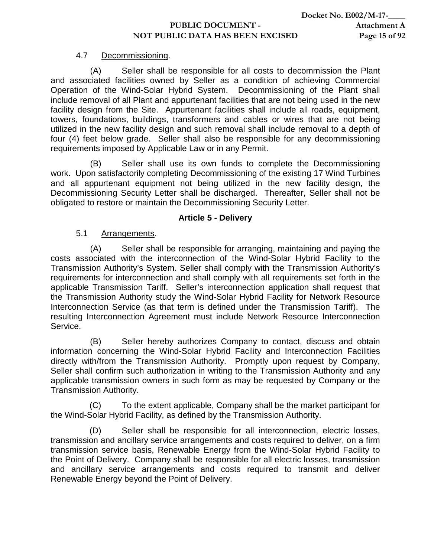#### 4.7 Decommissioning.

(A) Seller shall be responsible for all costs to decommission the Plant and associated facilities owned by Seller as a condition of achieving Commercial Operation of the Wind-Solar Hybrid System. Decommissioning of the Plant shall include removal of all Plant and appurtenant facilities that are not being used in the new facility design from the Site. Appurtenant facilities shall include all roads, equipment, towers, foundations, buildings, transformers and cables or wires that are not being utilized in the new facility design and such removal shall include removal to a depth of four (4) feet below grade. Seller shall also be responsible for any decommissioning requirements imposed by Applicable Law or in any Permit.

(B) Seller shall use its own funds to complete the Decommissioning work. Upon satisfactorily completing Decommissioning of the existing 17 Wind Turbines and all appurtenant equipment not being utilized in the new facility design, the Decommissioning Security Letter shall be discharged. Thereafter, Seller shall not be obligated to restore or maintain the Decommissioning Security Letter.

#### **Article 5 - Delivery**

#### 5.1 Arrangements.

(A) Seller shall be responsible for arranging, maintaining and paying the costs associated with the interconnection of the Wind-Solar Hybrid Facility to the Transmission Authority's System. Seller shall comply with the Transmission Authority's requirements for interconnection and shall comply with all requirements set forth in the applicable Transmission Tariff. Seller's interconnection application shall request that the Transmission Authority study the Wind-Solar Hybrid Facility for Network Resource Interconnection Service (as that term is defined under the Transmission Tariff). The resulting Interconnection Agreement must include Network Resource Interconnection Service.

(B) Seller hereby authorizes Company to contact, discuss and obtain information concerning the Wind-Solar Hybrid Facility and Interconnection Facilities directly with/from the Transmission Authority. Promptly upon request by Company, Seller shall confirm such authorization in writing to the Transmission Authority and any applicable transmission owners in such form as may be requested by Company or the Transmission Authority.

(C) To the extent applicable, Company shall be the market participant for the Wind-Solar Hybrid Facility, as defined by the Transmission Authority.

(D) Seller shall be responsible for all interconnection, electric losses, transmission and ancillary service arrangements and costs required to deliver, on a firm transmission service basis, Renewable Energy from the Wind-Solar Hybrid Facility to the Point of Delivery. Company shall be responsible for all electric losses, transmission and ancillary service arrangements and costs required to transmit and deliver Renewable Energy beyond the Point of Delivery.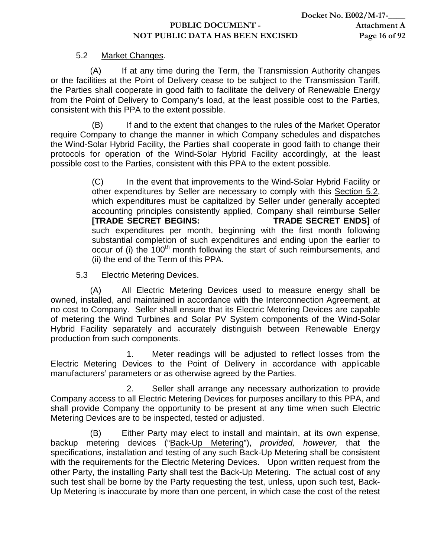#### 5.2 Market Changes.

(A) If at any time during the Term, the Transmission Authority changes or the facilities at the Point of Delivery cease to be subject to the Transmission Tariff, the Parties shall cooperate in good faith to facilitate the delivery of Renewable Energy from the Point of Delivery to Company's load, at the least possible cost to the Parties, consistent with this PPA to the extent possible.

(B) If and to the extent that changes to the rules of the Market Operator require Company to change the manner in which Company schedules and dispatches the Wind-Solar Hybrid Facility, the Parties shall cooperate in good faith to change their protocols for operation of the Wind-Solar Hybrid Facility accordingly, at the least possible cost to the Parties, consistent with this PPA to the extent possible.

> (C) In the event that improvements to the Wind-Solar Hybrid Facility or other expenditures by Seller are necessary to comply with this Section 5.2, which expenditures must be capitalized by Seller under generally accepted accounting principles consistently applied, Company shall reimburse Seller **[TRADE SECRET BEGINS: TRADE SECRET ENDS]** of such expenditures per month, beginning with the first month following substantial completion of such expenditures and ending upon the earlier to occur of (i) the 100<sup>th</sup> month following the start of such reimbursements, and (ii) the end of the Term of this PPA.

5.3 Electric Metering Devices.

(A) All Electric Metering Devices used to measure energy shall be owned, installed, and maintained in accordance with the Interconnection Agreement, at no cost to Company. Seller shall ensure that its Electric Metering Devices are capable of metering the Wind Turbines and Solar PV System components of the Wind-Solar Hybrid Facility separately and accurately distinguish between Renewable Energy production from such components.

1. Meter readings will be adjusted to reflect losses from the Electric Metering Devices to the Point of Delivery in accordance with applicable manufacturers' parameters or as otherwise agreed by the Parties.

2. Seller shall arrange any necessary authorization to provide Company access to all Electric Metering Devices for purposes ancillary to this PPA, and shall provide Company the opportunity to be present at any time when such Electric Metering Devices are to be inspected, tested or adjusted.

(B) Either Party may elect to install and maintain, at its own expense, backup metering devices ("Back-Up Metering"), *provided, however,* that the specifications, installation and testing of any such Back-Up Metering shall be consistent with the requirements for the Electric Metering Devices. Upon written request from the other Party, the installing Party shall test the Back-Up Metering. The actual cost of any such test shall be borne by the Party requesting the test, unless, upon such test, Back-Up Metering is inaccurate by more than one percent, in which case the cost of the retest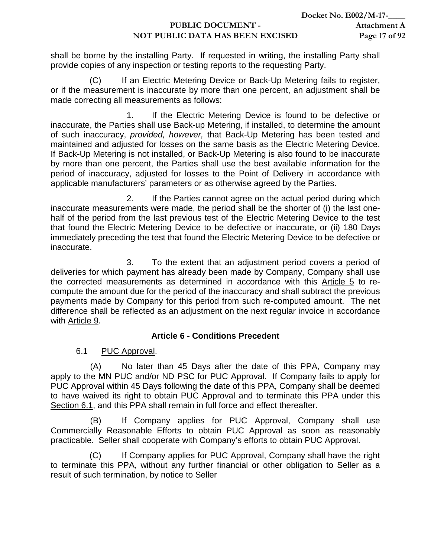shall be borne by the installing Party. If requested in writing, the installing Party shall provide copies of any inspection or testing reports to the requesting Party.

(C) If an Electric Metering Device or Back-Up Metering fails to register, or if the measurement is inaccurate by more than one percent, an adjustment shall be made correcting all measurements as follows:

1. If the Electric Metering Device is found to be defective or inaccurate, the Parties shall use Back-up Metering, if installed, to determine the amount of such inaccuracy, *provided, however,* that Back-Up Metering has been tested and maintained and adjusted for losses on the same basis as the Electric Metering Device. If Back-Up Metering is not installed, or Back-Up Metering is also found to be inaccurate by more than one percent, the Parties shall use the best available information for the period of inaccuracy, adjusted for losses to the Point of Delivery in accordance with applicable manufacturers' parameters or as otherwise agreed by the Parties.

2. If the Parties cannot agree on the actual period during which inaccurate measurements were made, the period shall be the shorter of (i) the last onehalf of the period from the last previous test of the Electric Metering Device to the test that found the Electric Metering Device to be defective or inaccurate, or (ii) 180 Days immediately preceding the test that found the Electric Metering Device to be defective or inaccurate.

3. To the extent that an adjustment period covers a period of deliveries for which payment has already been made by Company, Company shall use the corrected measurements as determined in accordance with this Article 5 to recompute the amount due for the period of the inaccuracy and shall subtract the previous payments made by Company for this period from such re-computed amount. The net difference shall be reflected as an adjustment on the next regular invoice in accordance with Article 9.

#### **Article 6 - Conditions Precedent**

#### 6.1 PUC Approval.

(A) No later than 45 Days after the date of this PPA, Company may apply to the MN PUC and/or ND PSC for PUC Approval. If Company fails to apply for PUC Approval within 45 Days following the date of this PPA, Company shall be deemed to have waived its right to obtain PUC Approval and to terminate this PPA under this Section 6.1, and this PPA shall remain in full force and effect thereafter.

(B) If Company applies for PUC Approval, Company shall use Commercially Reasonable Efforts to obtain PUC Approval as soon as reasonably practicable. Seller shall cooperate with Company's efforts to obtain PUC Approval.

(C) If Company applies for PUC Approval, Company shall have the right to terminate this PPA, without any further financial or other obligation to Seller as a result of such termination, by notice to Seller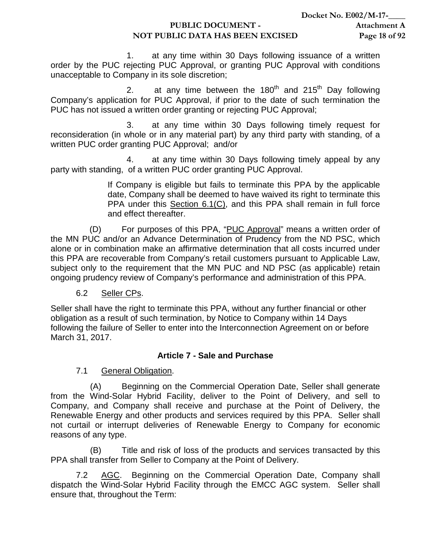1. at any time within 30 Days following issuance of a written order by the PUC rejecting PUC Approval, or granting PUC Approval with conditions unacceptable to Company in its sole discretion;

2. at any time between the  $180<sup>th</sup>$  and 215<sup>th</sup> Day following Company's application for PUC Approval, if prior to the date of such termination the PUC has not issued a written order granting or rejecting PUC Approval;

3. at any time within 30 Days following timely request for reconsideration (in whole or in any material part) by any third party with standing, of a written PUC order granting PUC Approval; and/or

4. at any time within 30 Days following timely appeal by any party with standing, of a written PUC order granting PUC Approval.

> If Company is eligible but fails to terminate this PPA by the applicable date, Company shall be deemed to have waived its right to terminate this PPA under this Section 6.1(C), and this PPA shall remain in full force and effect thereafter.

(D) For purposes of this PPA, "PUC Approval" means a written order of the MN PUC and/or an Advance Determination of Prudency from the ND PSC, which alone or in combination make an affirmative determination that all costs incurred under this PPA are recoverable from Company's retail customers pursuant to Applicable Law, subject only to the requirement that the MN PUC and ND PSC (as applicable) retain ongoing prudency review of Company's performance and administration of this PPA.

### 6.2 Seller CPs.

Seller shall have the right to terminate this PPA, without any further financial or other obligation as a result of such termination, by Notice to Company within 14 Days following the failure of Seller to enter into the Interconnection Agreement on or before March 31, 2017.

#### **Article 7 - Sale and Purchase**

#### 7.1 General Obligation.

(A) Beginning on the Commercial Operation Date, Seller shall generate from the Wind-Solar Hybrid Facility, deliver to the Point of Delivery, and sell to Company, and Company shall receive and purchase at the Point of Delivery, the Renewable Energy and other products and services required by this PPA. Seller shall not curtail or interrupt deliveries of Renewable Energy to Company for economic reasons of any type.

(B) Title and risk of loss of the products and services transacted by this PPA shall transfer from Seller to Company at the Point of Delivery.

7.2 AGC. Beginning on the Commercial Operation Date, Company shall dispatch the Wind-Solar Hybrid Facility through the EMCC AGC system. Seller shall ensure that, throughout the Term: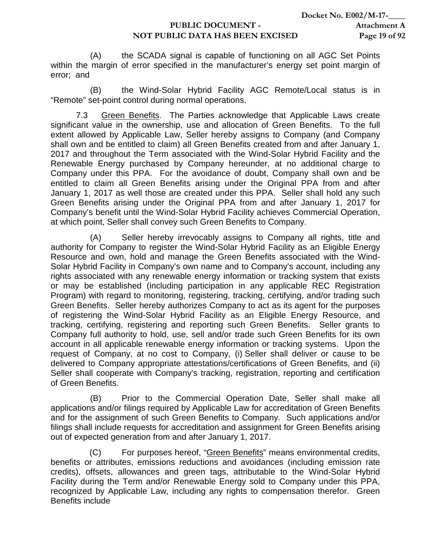(A) the SCADA signal is capable of functioning on all AGC Set Points within the margin of error specified in the manufacturer's energy set point margin of error; and

(B) the Wind-Solar Hybrid Facility AGC Remote/Local status is in "Remote" set-point control during normal operations.

7.3 Green Benefits. The Parties acknowledge that Applicable Laws create significant value in the ownership, use and allocation of Green Benefits. To the full extent allowed by Applicable Law, Seller hereby assigns to Company (and Company shall own and be entitled to claim) all Green Benefits created from and after January 1, 2017 and throughout the Term associated with the Wind-Solar Hybrid Facility and the Renewable Energy purchased by Company hereunder, at no additional charge to Company under this PPA. For the avoidance of doubt, Company shall own and be entitled to claim all Green Benefits arising under the Original PPA from and after January 1, 2017 as well those are created under this PPA. Seller shall hold any such Green Benefits arising under the Original PPA from and after January 1, 2017 for Company's benefit until the Wind-Solar Hybrid Facility achieves Commercial Operation, at which point, Seller shall convey such Green Benefits to Company.

(A) Seller hereby irrevocably assigns to Company all rights, title and authority for Company to register the Wind-Solar Hybrid Facility as an Eligible Energy Resource and own, hold and manage the Green Benefits associated with the Wind-Solar Hybrid Facility in Company's own name and to Company's account, including any rights associated with any renewable energy information or tracking system that exists or may be established (including participation in any applicable REC Registration Program) with regard to monitoring, registering, tracking, certifying, and/or trading such Green Benefits. Seller hereby authorizes Company to act as its agent for the purposes of registering the Wind-Solar Hybrid Facility as an Eligible Energy Resource, and tracking, certifying, registering and reporting such Green Benefits. Seller grants to Company full authority to hold, use, sell and/or trade such Green Benefits for its own account in all applicable renewable energy information or tracking systems. Upon the request of Company, at no cost to Company, (i) Seller shall deliver or cause to be delivered to Company appropriate attestations/certifications of Green Benefits, and (ii) Seller shall cooperate with Company's tracking, registration, reporting and certification of Green Benefits.

(B) Prior to the Commercial Operation Date, Seller shall make all applications and/or filings required by Applicable Law for accreditation of Green Benefits and for the assignment of such Green Benefits to Company. Such applications and/or filings shall include requests for accreditation and assignment for Green Benefits arising out of expected generation from and after January 1, 2017.

(C) For purposes hereof, "Green Benefits" means environmental credits, benefits or attributes, emissions reductions and avoidances (including emission rate credits), offsets, allowances and green tags, attributable to the Wind-Solar Hybrid Facility during the Term and/or Renewable Energy sold to Company under this PPA, recognized by Applicable Law, including any rights to compensation therefor. Green Benefits include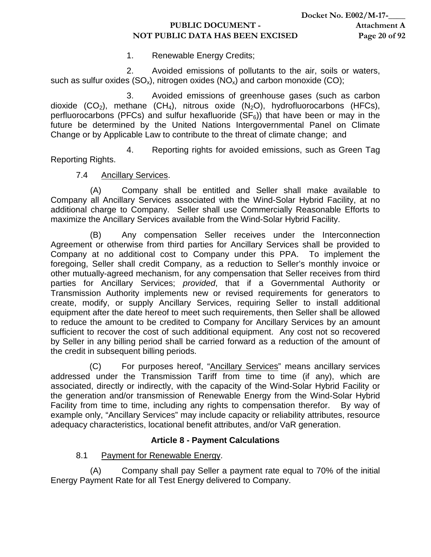1. Renewable Energy Credits;

2. Avoided emissions of pollutants to the air, soils or waters, such as sulfur oxides  $(SO_x)$ , nitrogen oxides  $(NO_x)$  and carbon monoxide  $(CO)$ ;

3. Avoided emissions of greenhouse gases (such as carbon dioxide  $(CO_2)$ , methane  $(CH_4)$ , nitrous oxide  $(N_2O)$ , hydrofluorocarbons (HFCs), perfluorocarbons (PFCs) and sulfur hexafluoride ( $SF<sub>6</sub>$ )) that have been or may in the future be determined by the United Nations Intergovernmental Panel on Climate Change or by Applicable Law to contribute to the threat of climate change; and

4. Reporting rights for avoided emissions, such as Green Tag Reporting Rights.

#### 7.4 Ancillary Services.

(A) Company shall be entitled and Seller shall make available to Company all Ancillary Services associated with the Wind-Solar Hybrid Facility, at no additional charge to Company. Seller shall use Commercially Reasonable Efforts to maximize the Ancillary Services available from the Wind-Solar Hybrid Facility.

(B) Any compensation Seller receives under the Interconnection Agreement or otherwise from third parties for Ancillary Services shall be provided to Company at no additional cost to Company under this PPA. To implement the foregoing, Seller shall credit Company, as a reduction to Seller's monthly invoice or other mutually-agreed mechanism, for any compensation that Seller receives from third parties for Ancillary Services; *provided*, that if a Governmental Authority or Transmission Authority implements new or revised requirements for generators to create, modify, or supply Ancillary Services, requiring Seller to install additional equipment after the date hereof to meet such requirements, then Seller shall be allowed to reduce the amount to be credited to Company for Ancillary Services by an amount sufficient to recover the cost of such additional equipment. Any cost not so recovered by Seller in any billing period shall be carried forward as a reduction of the amount of the credit in subsequent billing periods.

(C) For purposes hereof, "Ancillary Services" means ancillary services addressed under the Transmission Tariff from time to time (if any), which are associated, directly or indirectly, with the capacity of the Wind-Solar Hybrid Facility or the generation and/or transmission of Renewable Energy from the Wind-Solar Hybrid Facility from time to time, including any rights to compensation therefor. By way of example only, "Ancillary Services" may include capacity or reliability attributes, resource adequacy characteristics, locational benefit attributes, and/or VaR generation.

#### **Article 8 - Payment Calculations**

8.1 Payment for Renewable Energy.

(A) Company shall pay Seller a payment rate equal to 70% of the initial Energy Payment Rate for all Test Energy delivered to Company.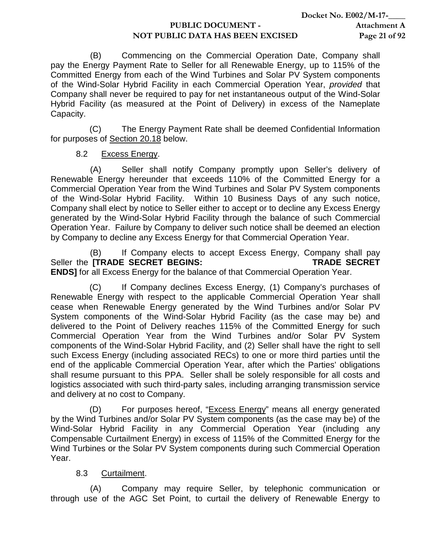(B) Commencing on the Commercial Operation Date, Company shall pay the Energy Payment Rate to Seller for all Renewable Energy, up to 115% of the Committed Energy from each of the Wind Turbines and Solar PV System components of the Wind-Solar Hybrid Facility in each Commercial Operation Year, *provided* that Company shall never be required to pay for net instantaneous output of the Wind-Solar Hybrid Facility (as measured at the Point of Delivery) in excess of the Nameplate Capacity.

(C) The Energy Payment Rate shall be deemed Confidential Information for purposes of Section 20.18 below.

#### 8.2 Excess Energy.

(A) Seller shall notify Company promptly upon Seller's delivery of Renewable Energy hereunder that exceeds 110% of the Committed Energy for a Commercial Operation Year from the Wind Turbines and Solar PV System components of the Wind-Solar Hybrid Facility. Within 10 Business Days of any such notice, Company shall elect by notice to Seller either to accept or to decline any Excess Energy generated by the Wind-Solar Hybrid Facility through the balance of such Commercial Operation Year. Failure by Company to deliver such notice shall be deemed an election by Company to decline any Excess Energy for that Commercial Operation Year.

(B) If Company elects to accept Excess Energy, Company shall pay Seller the **[TRADE SECRET BEGINS: TRADE SECRET ENDS]** for all Excess Energy for the balance of that Commercial Operation Year.

(C) If Company declines Excess Energy, (1) Company's purchases of Renewable Energy with respect to the applicable Commercial Operation Year shall cease when Renewable Energy generated by the Wind Turbines and/or Solar PV System components of the Wind-Solar Hybrid Facility (as the case may be) and delivered to the Point of Delivery reaches 115% of the Committed Energy for such Commercial Operation Year from the Wind Turbines and/or Solar PV System components of the Wind-Solar Hybrid Facility, and (2) Seller shall have the right to sell such Excess Energy (including associated RECs) to one or more third parties until the end of the applicable Commercial Operation Year, after which the Parties' obligations shall resume pursuant to this PPA. Seller shall be solely responsible for all costs and logistics associated with such third-party sales, including arranging transmission service and delivery at no cost to Company.

(D) For purposes hereof, "Excess Energy" means all energy generated by the Wind Turbines and/or Solar PV System components (as the case may be) of the Wind-Solar Hybrid Facility in any Commercial Operation Year (including any Compensable Curtailment Energy) in excess of 115% of the Committed Energy for the Wind Turbines or the Solar PV System components during such Commercial Operation Year.

#### 8.3 Curtailment.

(A) Company may require Seller, by telephonic communication or through use of the AGC Set Point, to curtail the delivery of Renewable Energy to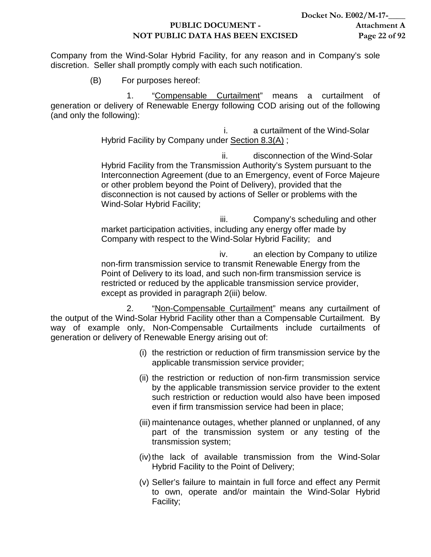#### **PUBLIC DOCUMENT - NOT PUBLIC DATA HAS BEEN EXCISED Docket No. E002/M-17-\_\_\_\_ Attachment A Page 22 of 92**

Company from the Wind-Solar Hybrid Facility, for any reason and in Company's sole discretion. Seller shall promptly comply with each such notification.

(B) For purposes hereof:

1. "Compensable Curtailment" means a curtailment of generation or delivery of Renewable Energy following COD arising out of the following (and only the following):

> i. a curtailment of the Wind-Solar Hybrid Facility by Company under Section 8.3(A) ;

ii. disconnection of the Wind-Solar Hybrid Facility from the Transmission Authority's System pursuant to the Interconnection Agreement (due to an Emergency, event of Force Majeure or other problem beyond the Point of Delivery), provided that the disconnection is not caused by actions of Seller or problems with the Wind-Solar Hybrid Facility;

iii. Company's scheduling and other market participation activities, including any energy offer made by Company with respect to the Wind-Solar Hybrid Facility; and

iv. an election by Company to utilize non-firm transmission service to transmit Renewable Energy from the Point of Delivery to its load, and such non-firm transmission service is restricted or reduced by the applicable transmission service provider, except as provided in paragraph 2(iii) below.

2. "Non-Compensable Curtailment" means any curtailment of the output of the Wind-Solar Hybrid Facility other than a Compensable Curtailment. By way of example only, Non-Compensable Curtailments include curtailments of generation or delivery of Renewable Energy arising out of:

- (i) the restriction or reduction of firm transmission service by the applicable transmission service provider;
- (ii) the restriction or reduction of non-firm transmission service by the applicable transmission service provider to the extent such restriction or reduction would also have been imposed even if firm transmission service had been in place;
- (iii) maintenance outages, whether planned or unplanned, of any part of the transmission system or any testing of the transmission system;
- (iv) the lack of available transmission from the Wind-Solar Hybrid Facility to the Point of Delivery;
- (v) Seller's failure to maintain in full force and effect any Permit to own, operate and/or maintain the Wind-Solar Hybrid Facility;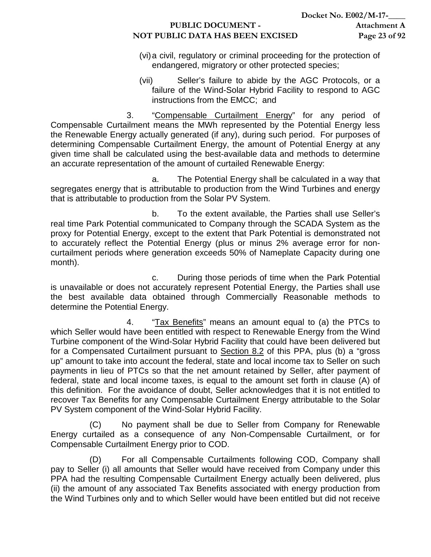- (vi)a civil, regulatory or criminal proceeding for the protection of endangered, migratory or other protected species;
- (vii) Seller's failure to abide by the AGC Protocols, or a failure of the Wind-Solar Hybrid Facility to respond to AGC instructions from the EMCC; and

3. "Compensable Curtailment Energy" for any period of Compensable Curtailment means the MWh represented by the Potential Energy less the Renewable Energy actually generated (if any), during such period. For purposes of determining Compensable Curtailment Energy, the amount of Potential Energy at any given time shall be calculated using the best-available data and methods to determine an accurate representation of the amount of curtailed Renewable Energy:

a. The Potential Energy shall be calculated in a way that segregates energy that is attributable to production from the Wind Turbines and energy that is attributable to production from the Solar PV System.

b. To the extent available, the Parties shall use Seller's real time Park Potential communicated to Company through the SCADA System as the proxy for Potential Energy, except to the extent that Park Potential is demonstrated not to accurately reflect the Potential Energy (plus or minus 2% average error for noncurtailment periods where generation exceeds 50% of Nameplate Capacity during one month).

c. During those periods of time when the Park Potential is unavailable or does not accurately represent Potential Energy, the Parties shall use the best available data obtained through Commercially Reasonable methods to determine the Potential Energy.

4. "Tax Benefits" means an amount equal to (a) the PTCs to which Seller would have been entitled with respect to Renewable Energy from the Wind Turbine component of the Wind-Solar Hybrid Facility that could have been delivered but for a Compensated Curtailment pursuant to Section 8.2 of this PPA, plus (b) a "gross up" amount to take into account the federal, state and local income tax to Seller on such payments in lieu of PTCs so that the net amount retained by Seller, after payment of federal, state and local income taxes, is equal to the amount set forth in clause (A) of this definition. For the avoidance of doubt, Seller acknowledges that it is not entitled to recover Tax Benefits for any Compensable Curtailment Energy attributable to the Solar PV System component of the Wind-Solar Hybrid Facility.

(C) No payment shall be due to Seller from Company for Renewable Energy curtailed as a consequence of any Non-Compensable Curtailment, or for Compensable Curtailment Energy prior to COD.

(D) For all Compensable Curtailments following COD, Company shall pay to Seller (i) all amounts that Seller would have received from Company under this PPA had the resulting Compensable Curtailment Energy actually been delivered, plus (ii) the amount of any associated Tax Benefits associated with energy production from the Wind Turbines only and to which Seller would have been entitled but did not receive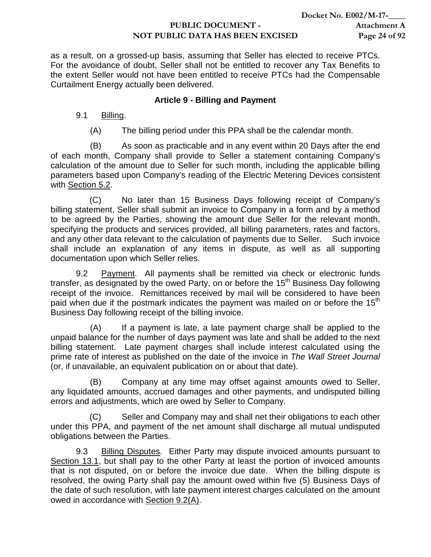#### **PUBLIC DOCUMENT - NOT PUBLIC DATA HAS BEEN EXCISED Docket No. E002/M-17-\_\_\_\_ Attachment A Page 24 of 92**

as a result, on a grossed-up basis, assuming that Seller has elected to receive PTCs. For the avoidance of doubt, Seller shall not be entitled to recover any Tax Benefits to the extent Seller would not have been entitled to receive PTCs had the Compensable Curtailment Energy actually been delivered.

#### **Article 9 - Billing and Payment**

- 9.1 Billing.
	- (A) The billing period under this PPA shall be the calendar month.

(B) As soon as practicable and in any event within 20 Days after the end of each month, Company shall provide to Seller a statement containing Company's calculation of the amount due to Seller for such month, including the applicable billing parameters based upon Company's reading of the Electric Metering Devices consistent with Section 5.2.

(C) No later than 15 Business Days following receipt of Company's billing statement, Seller shall submit an invoice to Company in a form and by a method to be agreed by the Parties, showing the amount due Seller for the relevant month, specifying the products and services provided, all billing parameters, rates and factors, and any other data relevant to the calculation of payments due to Seller. Such invoice shall include an explanation of any items in dispute, as well as all supporting documentation upon which Seller relies.

9.2 Payment. All payments shall be remitted via check or electronic funds transfer, as designated by the owed Party, on or before the 15<sup>th</sup> Business Day following receipt of the invoice. Remittances received by mail will be considered to have been paid when due if the postmark indicates the payment was mailed on or before the 15<sup>th</sup> Business Day following receipt of the billing invoice.

(A) If a payment is late, a late payment charge shall be applied to the unpaid balance for the number of days payment was late and shall be added to the next billing statement. Late payment charges shall include interest calculated using the prime rate of interest as published on the date of the invoice in *The Wall Street Journal* (or, if unavailable, an equivalent publication on or about that date).

(B) Company at any time may offset against amounts owed to Seller, any liquidated amounts, accrued damages and other payments, and undisputed billing errors and adjustments, which are owed by Seller to Company.

(C) Seller and Company may and shall net their obligations to each other under this PPA, and payment of the net amount shall discharge all mutual undisputed obligations between the Parties.

9.3 Billing Disputes. Either Party may dispute invoiced amounts pursuant to Section 13.1, but shall pay to the other Party at least the portion of invoiced amounts that is not disputed, on or before the invoice due date. When the billing dispute is resolved, the owing Party shall pay the amount owed within five (5) Business Days of the date of such resolution, with late payment interest charges calculated on the amount owed in accordance with Section 9.2(A).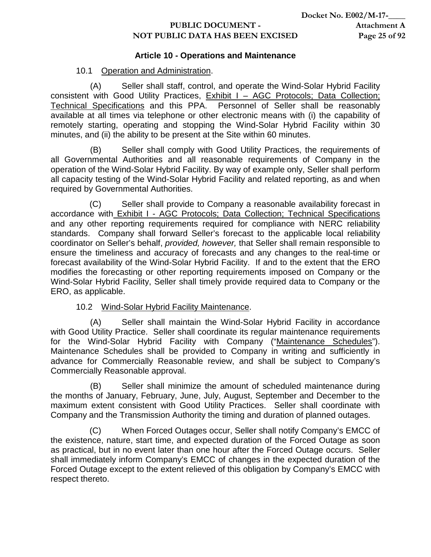#### **Article 10 - Operations and Maintenance**

### 10.1 Operation and Administration.

(A) Seller shall staff, control, and operate the Wind-Solar Hybrid Facility consistent with Good Utility Practices, Exhibit I – AGC Protocols; Data Collection; Technical Specifications and this PPA. Personnel of Seller shall be reasonably available at all times via telephone or other electronic means with (i) the capability of remotely starting, operating and stopping the Wind-Solar Hybrid Facility within 30 minutes, and (ii) the ability to be present at the Site within 60 minutes.

(B) Seller shall comply with Good Utility Practices, the requirements of all Governmental Authorities and all reasonable requirements of Company in the operation of the Wind-Solar Hybrid Facility. By way of example only, Seller shall perform all capacity testing of the Wind-Solar Hybrid Facility and related reporting, as and when required by Governmental Authorities.

(C) Seller shall provide to Company a reasonable availability forecast in accordance with Exhibit I - AGC Protocols; Data Collection; Technical Specifications and any other reporting requirements required for compliance with NERC reliability standards. Company shall forward Seller's forecast to the applicable local reliability coordinator on Seller's behalf, *provided, however,* that Seller shall remain responsible to ensure the timeliness and accuracy of forecasts and any changes to the real-time or forecast availability of the Wind-Solar Hybrid Facility. If and to the extent that the ERO modifies the forecasting or other reporting requirements imposed on Company or the Wind-Solar Hybrid Facility, Seller shall timely provide required data to Company or the ERO, as applicable.

#### 10.2 Wind-Solar Hybrid Facility Maintenance.

(A) Seller shall maintain the Wind-Solar Hybrid Facility in accordance with Good Utility Practice. Seller shall coordinate its regular maintenance requirements for the Wind-Solar Hybrid Facility with Company ("Maintenance Schedules"). Maintenance Schedules shall be provided to Company in writing and sufficiently in advance for Commercially Reasonable review, and shall be subject to Company's Commercially Reasonable approval.

(B) Seller shall minimize the amount of scheduled maintenance during the months of January, February, June, July, August, September and December to the maximum extent consistent with Good Utility Practices. Seller shall coordinate with Company and the Transmission Authority the timing and duration of planned outages.

(C) When Forced Outages occur, Seller shall notify Company's EMCC of the existence, nature, start time, and expected duration of the Forced Outage as soon as practical, but in no event later than one hour after the Forced Outage occurs. Seller shall immediately inform Company's EMCC of changes in the expected duration of the Forced Outage except to the extent relieved of this obligation by Company's EMCC with respect thereto.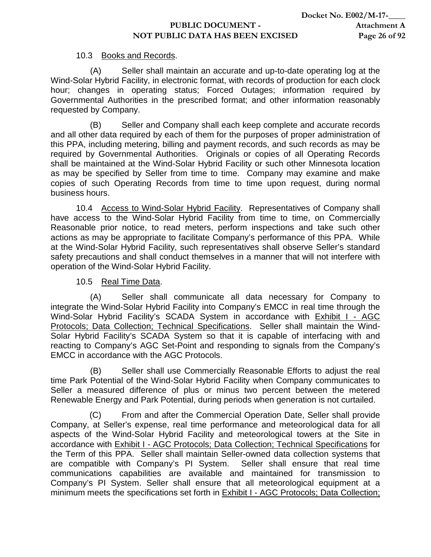#### 10.3 Books and Records.

(A) Seller shall maintain an accurate and up-to-date operating log at the Wind-Solar Hybrid Facility, in electronic format, with records of production for each clock hour; changes in operating status; Forced Outages; information required by Governmental Authorities in the prescribed format; and other information reasonably requested by Company.

(B) Seller and Company shall each keep complete and accurate records and all other data required by each of them for the purposes of proper administration of this PPA, including metering, billing and payment records, and such records as may be required by Governmental Authorities. Originals or copies of all Operating Records shall be maintained at the Wind-Solar Hybrid Facility or such other Minnesota location as may be specified by Seller from time to time. Company may examine and make copies of such Operating Records from time to time upon request, during normal business hours.

10.4 Access to Wind-Solar Hybrid Facility. Representatives of Company shall have access to the Wind-Solar Hybrid Facility from time to time, on Commercially Reasonable prior notice, to read meters, perform inspections and take such other actions as may be appropriate to facilitate Company's performance of this PPA. While at the Wind-Solar Hybrid Facility, such representatives shall observe Seller's standard safety precautions and shall conduct themselves in a manner that will not interfere with operation of the Wind-Solar Hybrid Facility.

### 10.5 Real Time Data.

(A) Seller shall communicate all data necessary for Company to integrate the Wind-Solar Hybrid Facility into Company's EMCC in real time through the Wind-Solar Hybrid Facility's SCADA System in accordance with Exhibit I - AGC Protocols; Data Collection; Technical Specifications. Seller shall maintain the Wind-Solar Hybrid Facility's SCADA System so that it is capable of interfacing with and reacting to Company's AGC Set-Point and responding to signals from the Company's EMCC in accordance with the AGC Protocols.

(B) Seller shall use Commercially Reasonable Efforts to adjust the real time Park Potential of the Wind-Solar Hybrid Facility when Company communicates to Seller a measured difference of plus or minus two percent between the metered Renewable Energy and Park Potential, during periods when generation is not curtailed.

(C) From and after the Commercial Operation Date, Seller shall provide Company, at Seller's expense, real time performance and meteorological data for all aspects of the Wind-Solar Hybrid Facility and meteorological towers at the Site in accordance with Exhibit I - AGC Protocols; Data Collection; Technical Specifications for the Term of this PPA. Seller shall maintain Seller-owned data collection systems that are compatible with Company's PI System. Seller shall ensure that real time communications capabilities are available and maintained for transmission to Company's PI System. Seller shall ensure that all meteorological equipment at a minimum meets the specifications set forth in Exhibit I - AGC Protocols; Data Collection;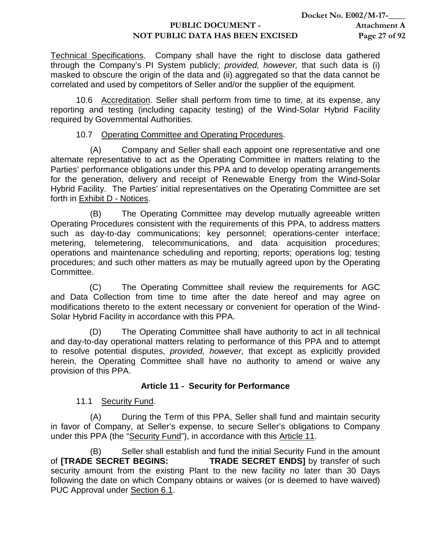Technical Specifications. Company shall have the right to disclose data gathered through the Company's PI System publicly; *provided, however,* that such data is (i) masked to obscure the origin of the data and (ii) aggregated so that the data cannot be correlated and used by competitors of Seller and/or the supplier of the equipment.

10.6 Accreditation. Seller shall perform from time to time, at its expense, any reporting and testing (including capacity testing) of the Wind-Solar Hybrid Facility required by Governmental Authorities.

### 10.7 Operating Committee and Operating Procedures.

(A) Company and Seller shall each appoint one representative and one alternate representative to act as the Operating Committee in matters relating to the Parties' performance obligations under this PPA and to develop operating arrangements for the generation, delivery and receipt of Renewable Energy from the Wind-Solar Hybrid Facility. The Parties' initial representatives on the Operating Committee are set forth in Exhibit D - Notices.

(B) The Operating Committee may develop mutually agreeable written Operating Procedures consistent with the requirements of this PPA, to address matters such as day-to-day communications; key personnel; operations-center interface; metering, telemetering, telecommunications, and data acquisition procedures; operations and maintenance scheduling and reporting; reports; operations log; testing procedures; and such other matters as may be mutually agreed upon by the Operating Committee.

(C) The Operating Committee shall review the requirements for AGC and Data Collection from time to time after the date hereof and may agree on modifications thereto to the extent necessary or convenient for operation of the Wind-Solar Hybrid Facility in accordance with this PPA.

(D) The Operating Committee shall have authority to act in all technical and day-to-day operational matters relating to performance of this PPA and to attempt to resolve potential disputes, *provided, however,* that except as explicitly provided herein, the Operating Committee shall have no authority to amend or waive any provision of this PPA.

## **Article 11 - Security for Performance**

11.1 Security Fund.

(A) During the Term of this PPA, Seller shall fund and maintain security in favor of Company, at Seller's expense, to secure Seller's obligations to Company under this PPA (the "Security Fund"), in accordance with this Article 11.

(B) Seller shall establish and fund the initial Security Fund in the amount of **[TRADE SECRET BEGINS: TRADE SECRET ENDS]** by transfer of such security amount from the existing Plant to the new facility no later than 30 Days following the date on which Company obtains or waives (or is deemed to have waived) PUC Approval under Section 6.1.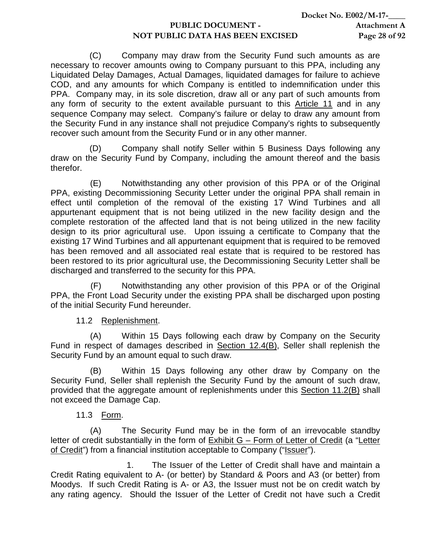(C) Company may draw from the Security Fund such amounts as are necessary to recover amounts owing to Company pursuant to this PPA, including any Liquidated Delay Damages, Actual Damages, liquidated damages for failure to achieve COD, and any amounts for which Company is entitled to indemnification under this PPA. Company may, in its sole discretion, draw all or any part of such amounts from any form of security to the extent available pursuant to this Article 11 and in any sequence Company may select. Company's failure or delay to draw any amount from the Security Fund in any instance shall not prejudice Company's rights to subsequently recover such amount from the Security Fund or in any other manner.

(D) Company shall notify Seller within 5 Business Days following any draw on the Security Fund by Company, including the amount thereof and the basis therefor.

(E) Notwithstanding any other provision of this PPA or of the Original PPA, existing Decommissioning Security Letter under the original PPA shall remain in effect until completion of the removal of the existing 17 Wind Turbines and all appurtenant equipment that is not being utilized in the new facility design and the complete restoration of the affected land that is not being utilized in the new facility design to its prior agricultural use. Upon issuing a certificate to Company that the existing 17 Wind Turbines and all appurtenant equipment that is required to be removed has been removed and all associated real estate that is required to be restored has been restored to its prior agricultural use, the Decommissioning Security Letter shall be discharged and transferred to the security for this PPA.

(F) Notwithstanding any other provision of this PPA or of the Original PPA, the Front Load Security under the existing PPA shall be discharged upon posting of the initial Security Fund hereunder.

11.2 Replenishment.

(A) Within 15 Days following each draw by Company on the Security Fund in respect of damages described in Section 12.4(B), Seller shall replenish the Security Fund by an amount equal to such draw.

(B) Within 15 Days following any other draw by Company on the Security Fund, Seller shall replenish the Security Fund by the amount of such draw, provided that the aggregate amount of replenishments under this Section 11.2(B) shall not exceed the Damage Cap.

## 11.3 Form.

(A) The Security Fund may be in the form of an irrevocable standby letter of credit substantially in the form of Exhibit G – Form of Letter of Credit (a "Letter of Credit") from a financial institution acceptable to Company ("Issuer").

1. The Issuer of the Letter of Credit shall have and maintain a Credit Rating equivalent to A- (or better) by Standard & Poors and A3 (or better) from Moodys. If such Credit Rating is A- or A3, the Issuer must not be on credit watch by any rating agency. Should the Issuer of the Letter of Credit not have such a Credit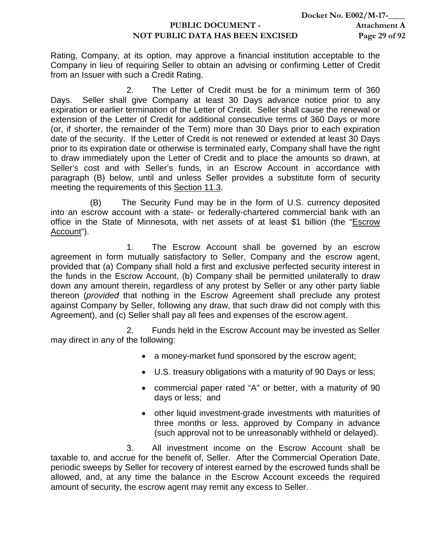Rating, Company, at its option, may approve a financial institution acceptable to the Company in lieu of requiring Seller to obtain an advising or confirming Letter of Credit from an Issuer with such a Credit Rating.

2. The Letter of Credit must be for a minimum term of 360 Days. Seller shall give Company at least 30 Days advance notice prior to any expiration or earlier termination of the Letter of Credit. Seller shall cause the renewal or extension of the Letter of Credit for additional consecutive terms of 360 Days or more (or, if shorter, the remainder of the Term) more than 30 Days prior to each expiration date of the security. If the Letter of Credit is not renewed or extended at least 30 Days prior to its expiration date or otherwise is terminated early, Company shall have the right to draw immediately upon the Letter of Credit and to place the amounts so drawn, at Seller's cost and with Seller's funds, in an Escrow Account in accordance with paragraph (B) below, until and unless Seller provides a substitute form of security meeting the requirements of this Section 11.3.

(B) The Security Fund may be in the form of U.S. currency deposited into an escrow account with a state- or federally-chartered commercial bank with an office in the State of Minnesota, with net assets of at least \$1 billion (the "Escrow Account").

1. The Escrow Account shall be governed by an escrow agreement in form mutually satisfactory to Seller, Company and the escrow agent, provided that (a) Company shall hold a first and exclusive perfected security interest in the funds in the Escrow Account, (b) Company shall be permitted unilaterally to draw down any amount therein, regardless of any protest by Seller or any other party liable thereon (*provided* that nothing in the Escrow Agreement shall preclude any protest against Company by Seller, following any draw, that such draw did not comply with this Agreement), and (c) Seller shall pay all fees and expenses of the escrow agent.

2. Funds held in the Escrow Account may be invested as Seller may direct in any of the following:

- a money-market fund sponsored by the escrow agent;
- U.S. treasury obligations with a maturity of 90 Days or less;
- commercial paper rated "A" or better, with a maturity of 90 days or less; and
- other liquid investment-grade investments with maturities of three months or less, approved by Company in advance (such approval not to be unreasonably withheld or delayed).

3. All investment income on the Escrow Account shall be taxable to, and accrue for the benefit of, Seller. After the Commercial Operation Date, periodic sweeps by Seller for recovery of interest earned by the escrowed funds shall be allowed, and, at any time the balance in the Escrow Account exceeds the required amount of security, the escrow agent may remit any excess to Seller.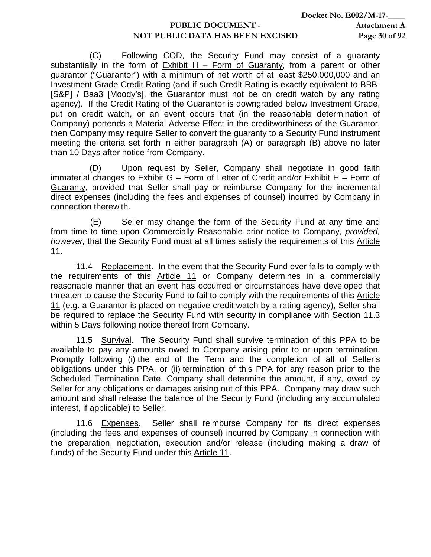(C) Following COD, the Security Fund may consist of a guaranty substantially in the form of  $Exhibit H - Form$  of Guaranty, from a parent or other guarantor ("Guarantor") with a minimum of net worth of at least \$250,000,000 and an Investment Grade Credit Rating (and if such Credit Rating is exactly equivalent to BBB- [S&P] / Baa3 [Moody's], the Guarantor must not be on credit watch by any rating agency). If the Credit Rating of the Guarantor is downgraded below Investment Grade, put on credit watch, or an event occurs that (in the reasonable determination of Company) portends a Material Adverse Effect in the creditworthiness of the Guarantor, then Company may require Seller to convert the guaranty to a Security Fund instrument meeting the criteria set forth in either paragraph (A) or paragraph (B) above no later than 10 Days after notice from Company.

(D) Upon request by Seller, Company shall negotiate in good faith immaterial changes to Exhibit G – Form of Letter of Credit and/or Exhibit H – Form of Guaranty, provided that Seller shall pay or reimburse Company for the incremental direct expenses (including the fees and expenses of counsel) incurred by Company in connection therewith.

(E) Seller may change the form of the Security Fund at any time and from time to time upon Commercially Reasonable prior notice to Company, *provided, however,* that the Security Fund must at all times satisfy the requirements of this Article 11.

11.4 Replacement. In the event that the Security Fund ever fails to comply with the requirements of this Article 11 or Company determines in a commercially reasonable manner that an event has occurred or circumstances have developed that threaten to cause the Security Fund to fail to comply with the requirements of this Article 11 (e.g. a Guarantor is placed on negative credit watch by a rating agency), Seller shall be required to replace the Security Fund with security in compliance with Section 11.3 within 5 Days following notice thereof from Company.

11.5 Survival. The Security Fund shall survive termination of this PPA to be available to pay any amounts owed to Company arising prior to or upon termination. Promptly following (i) the end of the Term and the completion of all of Seller's obligations under this PPA, or (ii) termination of this PPA for any reason prior to the Scheduled Termination Date, Company shall determine the amount, if any, owed by Seller for any obligations or damages arising out of this PPA. Company may draw such amount and shall release the balance of the Security Fund (including any accumulated interest, if applicable) to Seller.

11.6 Expenses. Seller shall reimburse Company for its direct expenses (including the fees and expenses of counsel) incurred by Company in connection with the preparation, negotiation, execution and/or release (including making a draw of funds) of the Security Fund under this Article 11.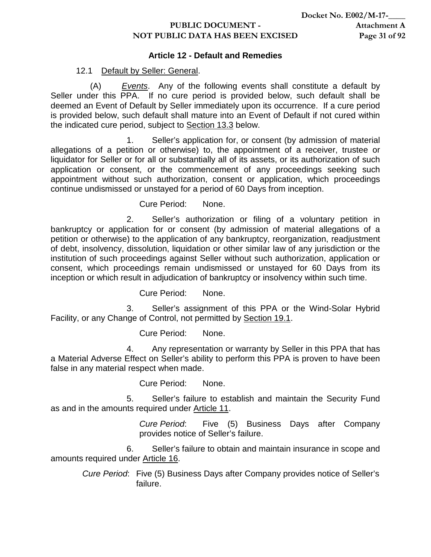#### **Article 12 - Default and Remedies**

#### 12.1 Default by Seller: General.

(A) *Events*. Any of the following events shall constitute a default by Seller under this PPA. If no cure period is provided below, such default shall be deemed an Event of Default by Seller immediately upon its occurrence. If a cure period is provided below, such default shall mature into an Event of Default if not cured within the indicated cure period, subject to Section 13.3 below.

1. Seller's application for, or consent (by admission of material allegations of a petition or otherwise) to, the appointment of a receiver, trustee or liquidator for Seller or for all or substantially all of its assets, or its authorization of such application or consent, or the commencement of any proceedings seeking such appointment without such authorization, consent or application, which proceedings continue undismissed or unstayed for a period of 60 Days from inception.

Cure Period: None.

2. Seller's authorization or filing of a voluntary petition in bankruptcy or application for or consent (by admission of material allegations of a petition or otherwise) to the application of any bankruptcy, reorganization, readjustment of debt, insolvency, dissolution, liquidation or other similar law of any jurisdiction or the institution of such proceedings against Seller without such authorization, application or consent, which proceedings remain undismissed or unstayed for 60 Days from its inception or which result in adjudication of bankruptcy or insolvency within such time.

Cure Period: None.

3. Seller's assignment of this PPA or the Wind-Solar Hybrid Facility, or any Change of Control, not permitted by Section 19.1.

Cure Period: None.

4. Any representation or warranty by Seller in this PPA that has a Material Adverse Effect on Seller's ability to perform this PPA is proven to have been false in any material respect when made.

Cure Period: None.

5. Seller's failure to establish and maintain the Security Fund as and in the amounts required under Article 11.

> *Cure Period*: Five (5) Business Days after Company provides notice of Seller's failure.

6. Seller's failure to obtain and maintain insurance in scope and amounts required under Article 16.

*Cure Period*: Five (5) Business Days after Company provides notice of Seller's failure.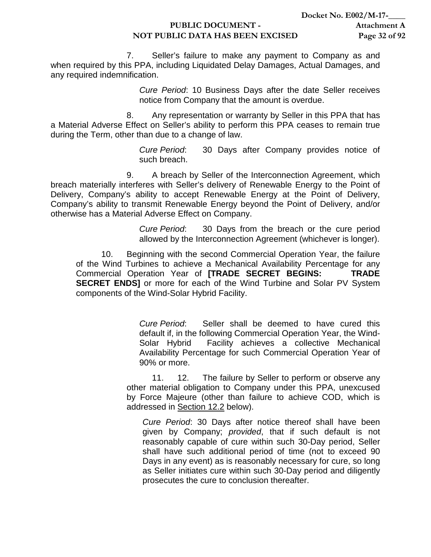7. Seller's failure to make any payment to Company as and when required by this PPA, including Liquidated Delay Damages, Actual Damages, and any required indemnification.

> *Cure Period*: 10 Business Days after the date Seller receives notice from Company that the amount is overdue.

8. Any representation or warranty by Seller in this PPA that has a Material Adverse Effect on Seller's ability to perform this PPA ceases to remain true during the Term, other than due to a change of law.

> *Cure Period*: 30 Days after Company provides notice of such breach.

9. A breach by Seller of the Interconnection Agreement, which breach materially interferes with Seller's delivery of Renewable Energy to the Point of Delivery, Company's ability to accept Renewable Energy at the Point of Delivery, Company's ability to transmit Renewable Energy beyond the Point of Delivery, and/or otherwise has a Material Adverse Effect on Company.

> *Cure Period*: 30 Days from the breach or the cure period allowed by the Interconnection Agreement (whichever is longer).

10. Beginning with the second Commercial Operation Year, the failure of the Wind Turbines to achieve a Mechanical Availability Percentage for any Commercial Operation Year of **[TRADE SECRET BEGINS: TRADE SECRET ENDS]** or more for each of the Wind Turbine and Solar PV System components of the Wind-Solar Hybrid Facility.

> *Cure Period*: Seller shall be deemed to have cured this default if, in the following Commercial Operation Year, the Wind-Solar Hybrid Facility achieves a collective Mechanical Availability Percentage for such Commercial Operation Year of 90% or more.

11. 12. The failure by Seller to perform or observe any other material obligation to Company under this PPA, unexcused by Force Majeure (other than failure to achieve COD, which is addressed in Section 12.2 below).

*Cure Period*: 30 Days after notice thereof shall have been given by Company; *provided*, that if such default is not reasonably capable of cure within such 30-Day period, Seller shall have such additional period of time (not to exceed 90 Days in any event) as is reasonably necessary for cure, so long as Seller initiates cure within such 30-Day period and diligently prosecutes the cure to conclusion thereafter.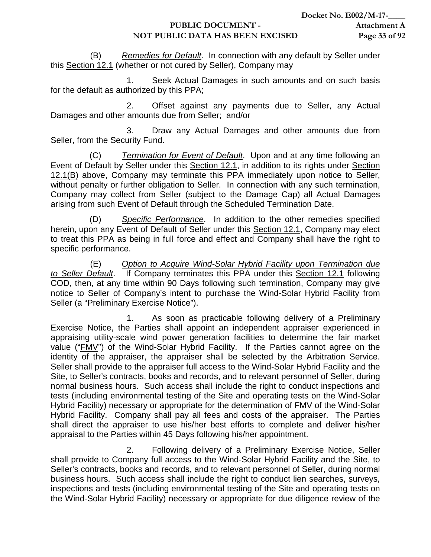(B) *Remedies for Default*. In connection with any default by Seller under this Section 12.1 (whether or not cured by Seller), Company may

1. Seek Actual Damages in such amounts and on such basis for the default as authorized by this PPA;

2. Offset against any payments due to Seller, any Actual Damages and other amounts due from Seller; and/or

3. Draw any Actual Damages and other amounts due from Seller, from the Security Fund.

(C) *Termination for Event of Default*. Upon and at any time following an Event of Default by Seller under this Section 12.1, in addition to its rights under Section 12.1(B) above, Company may terminate this PPA immediately upon notice to Seller, without penalty or further obligation to Seller. In connection with any such termination, Company may collect from Seller (subject to the Damage Cap) all Actual Damages arising from such Event of Default through the Scheduled Termination Date.

(D) *Specific Performance*. In addition to the other remedies specified herein, upon any Event of Default of Seller under this Section 12.1, Company may elect to treat this PPA as being in full force and effect and Company shall have the right to specific performance.

(E) *Option to Acquire Wind-Solar Hybrid Facility upon Termination due to Seller Default*. If Company terminates this PPA under this Section 12.1 following COD, then, at any time within 90 Days following such termination, Company may give notice to Seller of Company's intent to purchase the Wind-Solar Hybrid Facility from Seller (a "Preliminary Exercise Notice").

1. As soon as practicable following delivery of a Preliminary Exercise Notice, the Parties shall appoint an independent appraiser experienced in appraising utility-scale wind power generation facilities to determine the fair market value ("FMV") of the Wind-Solar Hybrid Facility. If the Parties cannot agree on the identity of the appraiser, the appraiser shall be selected by the Arbitration Service. Seller shall provide to the appraiser full access to the Wind-Solar Hybrid Facility and the Site, to Seller's contracts, books and records, and to relevant personnel of Seller, during normal business hours. Such access shall include the right to conduct inspections and tests (including environmental testing of the Site and operating tests on the Wind-Solar Hybrid Facility) necessary or appropriate for the determination of FMV of the Wind-Solar Hybrid Facility. Company shall pay all fees and costs of the appraiser. The Parties shall direct the appraiser to use his/her best efforts to complete and deliver his/her appraisal to the Parties within 45 Days following his/her appointment.

2. Following delivery of a Preliminary Exercise Notice, Seller shall provide to Company full access to the Wind-Solar Hybrid Facility and the Site, to Seller's contracts, books and records, and to relevant personnel of Seller, during normal business hours. Such access shall include the right to conduct lien searches, surveys, inspections and tests (including environmental testing of the Site and operating tests on the Wind-Solar Hybrid Facility) necessary or appropriate for due diligence review of the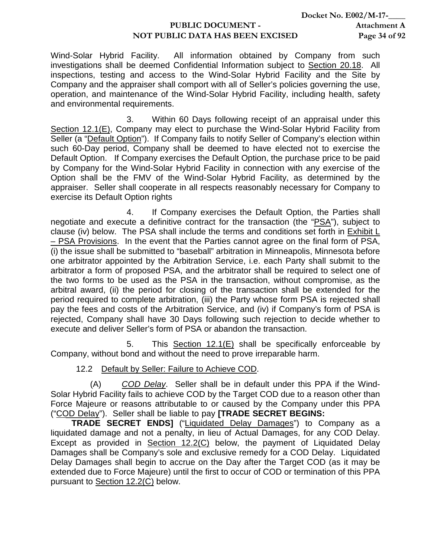Wind-Solar Hybrid Facility. All information obtained by Company from such investigations shall be deemed Confidential Information subject to Section 20.18. All inspections, testing and access to the Wind-Solar Hybrid Facility and the Site by Company and the appraiser shall comport with all of Seller's policies governing the use, operation, and maintenance of the Wind-Solar Hybrid Facility, including health, safety and environmental requirements.

3. Within 60 Days following receipt of an appraisal under this Section 12.1(E), Company may elect to purchase the Wind-Solar Hybrid Facility from Seller (a "Default Option"). If Company fails to notify Seller of Company's election within such 60-Day period, Company shall be deemed to have elected not to exercise the Default Option. If Company exercises the Default Option, the purchase price to be paid by Company for the Wind-Solar Hybrid Facility in connection with any exercise of the Option shall be the FMV of the Wind-Solar Hybrid Facility, as determined by the appraiser. Seller shall cooperate in all respects reasonably necessary for Company to exercise its Default Option rights

4. If Company exercises the Default Option, the Parties shall negotiate and execute a definitive contract for the transaction (the "PSA"), subject to clause (iv) below. The PSA shall include the terms and conditions set forth in Exhibit L – PSA Provisions. In the event that the Parties cannot agree on the final form of PSA, (i) the issue shall be submitted to "baseball" arbitration in Minneapolis, Minnesota before one arbitrator appointed by the Arbitration Service, i.e. each Party shall submit to the arbitrator a form of proposed PSA, and the arbitrator shall be required to select one of the two forms to be used as the PSA in the transaction, without compromise, as the arbitral award, (ii) the period for closing of the transaction shall be extended for the period required to complete arbitration, (iii) the Party whose form PSA is rejected shall pay the fees and costs of the Arbitration Service, and (iv) if Company's form of PSA is rejected, Company shall have 30 Days following such rejection to decide whether to execute and deliver Seller's form of PSA or abandon the transaction.

5. This Section 12.1(E) shall be specifically enforceable by Company, without bond and without the need to prove irreparable harm.

## 12.2 Default by Seller: Failure to Achieve COD.

(A) *COD Delay*. Seller shall be in default under this PPA if the Wind-Solar Hybrid Facility fails to achieve COD by the Target COD due to a reason other than Force Majeure or reasons attributable to or caused by the Company under this PPA ("COD Delay"). Seller shall be liable to pay **[TRADE SECRET BEGINS:**

**TRADE SECRET ENDS]** ("Liquidated Delay Damages") to Company as a liquidated damage and not a penalty, in lieu of Actual Damages, for any COD Delay. Except as provided in Section 12.2(C) below, the payment of Liquidated Delay Damages shall be Company's sole and exclusive remedy for a COD Delay. Liquidated Delay Damages shall begin to accrue on the Day after the Target COD (as it may be extended due to Force Majeure) until the first to occur of COD or termination of this PPA pursuant to Section 12.2(C) below.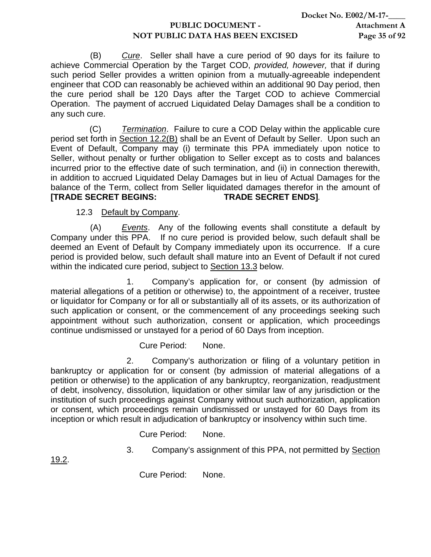(B) *Cure*. Seller shall have a cure period of 90 days for its failure to achieve Commercial Operation by the Target COD, *provided, however,* that if during such period Seller provides a written opinion from a mutually-agreeable independent engineer that COD can reasonably be achieved within an additional 90 Day period, then the cure period shall be 120 Days after the Target COD to achieve Commercial Operation. The payment of accrued Liquidated Delay Damages shall be a condition to any such cure.

(C) *Termination*. Failure to cure a COD Delay within the applicable cure period set forth in Section 12.2(B) shall be an Event of Default by Seller. Upon such an Event of Default, Company may (i) terminate this PPA immediately upon notice to Seller, without penalty or further obligation to Seller except as to costs and balances incurred prior to the effective date of such termination, and (ii) in connection therewith, in addition to accrued Liquidated Delay Damages but in lieu of Actual Damages for the balance of the Term, collect from Seller liquidated damages therefor in the amount of **[TRADE SECRET BEGINS: TRADE SECRET ENDS]***.*

12.3 Default by Company.

(A) *Events*. Any of the following events shall constitute a default by Company under this PPA. If no cure period is provided below, such default shall be deemed an Event of Default by Company immediately upon its occurrence. If a cure period is provided below, such default shall mature into an Event of Default if not cured within the indicated cure period, subject to Section 13.3 below.

1. Company's application for, or consent (by admission of material allegations of a petition or otherwise) to, the appointment of a receiver, trustee or liquidator for Company or for all or substantially all of its assets, or its authorization of such application or consent, or the commencement of any proceedings seeking such appointment without such authorization, consent or application, which proceedings continue undismissed or unstayed for a period of 60 Days from inception.

Cure Period: None.

2. Company's authorization or filing of a voluntary petition in bankruptcy or application for or consent (by admission of material allegations of a petition or otherwise) to the application of any bankruptcy, reorganization, readjustment of debt, insolvency, dissolution, liquidation or other similar law of any jurisdiction or the institution of such proceedings against Company without such authorization, application or consent, which proceedings remain undismissed or unstayed for 60 Days from its inception or which result in adjudication of bankruptcy or insolvency within such time.

Cure Period: None.

3. Company's assignment of this PPA, not permitted by Section

19.2.

Cure Period: None.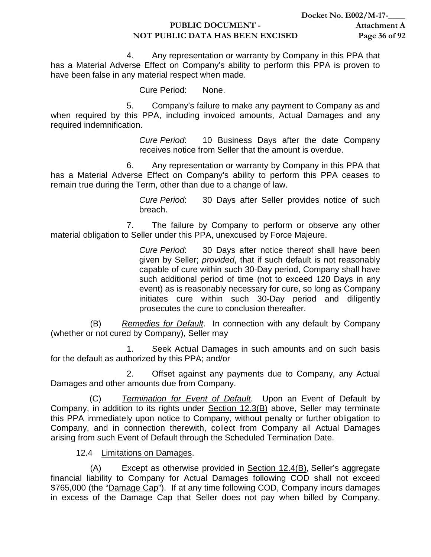#### **PUBLIC DOCUMENT - NOT PUBLIC DATA HAS BEEN EXCISED Docket No. E002/M-17-\_\_\_\_ Attachment A Page 36 of 92**

4. Any representation or warranty by Company in this PPA that has a Material Adverse Effect on Company's ability to perform this PPA is proven to have been false in any material respect when made.

Cure Period: None.

5. Company's failure to make any payment to Company as and when required by this PPA, including invoiced amounts, Actual Damages and any required indemnification.

> *Cure Period*: 10 Business Days after the date Company receives notice from Seller that the amount is overdue.

6. Any representation or warranty by Company in this PPA that has a Material Adverse Effect on Company's ability to perform this PPA ceases to remain true during the Term, other than due to a change of law.

> *Cure Period*: 30 Days after Seller provides notice of such breach.

7. The failure by Company to perform or observe any other material obligation to Seller under this PPA, unexcused by Force Majeure.

> *Cure Period*: 30 Days after notice thereof shall have been given by Seller; *provided*, that if such default is not reasonably capable of cure within such 30-Day period, Company shall have such additional period of time (not to exceed 120 Days in any event) as is reasonably necessary for cure, so long as Company initiates cure within such 30-Day period and diligently prosecutes the cure to conclusion thereafter.

(B) *Remedies for Default*. In connection with any default by Company (whether or not cured by Company), Seller may

1. Seek Actual Damages in such amounts and on such basis for the default as authorized by this PPA; and/or

2. Offset against any payments due to Company, any Actual Damages and other amounts due from Company.

(C) *Termination for Event of Default*. Upon an Event of Default by Company, in addition to its rights under Section 12.3(B) above, Seller may terminate this PPA immediately upon notice to Company, without penalty or further obligation to Company, and in connection therewith, collect from Company all Actual Damages arising from such Event of Default through the Scheduled Termination Date.

12.4 Limitations on Damages.

(A) Except as otherwise provided in Section 12.4(B), Seller's aggregate financial liability to Company for Actual Damages following COD shall not exceed \$765,000 (the "Damage Cap"). If at any time following COD, Company incurs damages in excess of the Damage Cap that Seller does not pay when billed by Company,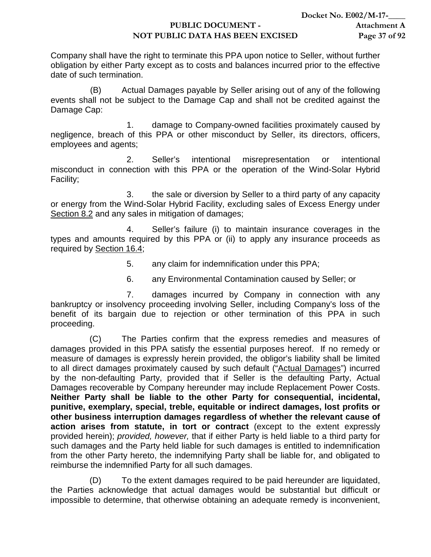#### **PUBLIC DOCUMENT - NOT PUBLIC DATA HAS BEEN EXCISED Docket No. E002/M-17-\_\_\_\_ Attachment A Page 37 of 92**

(B) Actual Damages payable by Seller arising out of any of the following events shall not be subject to the Damage Cap and shall not be credited against the Damage Cap:

date of such termination.

1. damage to Company-owned facilities proximately caused by negligence, breach of this PPA or other misconduct by Seller, its directors, officers, employees and agents;

2. Seller's intentional misrepresentation or intentional misconduct in connection with this PPA or the operation of the Wind-Solar Hybrid Facility;

3. the sale or diversion by Seller to a third party of any capacity or energy from the Wind-Solar Hybrid Facility, excluding sales of Excess Energy under Section 8.2 and any sales in mitigation of damages;

4. Seller's failure (i) to maintain insurance coverages in the types and amounts required by this PPA or (ii) to apply any insurance proceeds as required by Section 16.4;

5. any claim for indemnification under this PPA;

6. any Environmental Contamination caused by Seller; or

7. damages incurred by Company in connection with any bankruptcy or insolvency proceeding involving Seller, including Company's loss of the benefit of its bargain due to rejection or other termination of this PPA in such proceeding.

(C) The Parties confirm that the express remedies and measures of damages provided in this PPA satisfy the essential purposes hereof. If no remedy or measure of damages is expressly herein provided, the obligor's liability shall be limited to all direct damages proximately caused by such default ("Actual Damages") incurred by the non-defaulting Party, provided that if Seller is the defaulting Party, Actual Damages recoverable by Company hereunder may include Replacement Power Costs. **Neither Party shall be liable to the other Party for consequential, incidental, punitive, exemplary, special, treble, equitable or indirect damages, lost profits or other business interruption damages regardless of whether the relevant cause of action arises from statute, in tort or contract** (except to the extent expressly provided herein); *provided, however,* that if either Party is held liable to a third party for such damages and the Party held liable for such damages is entitled to indemnification from the other Party hereto, the indemnifying Party shall be liable for, and obligated to reimburse the indemnified Party for all such damages.

(D) To the extent damages required to be paid hereunder are liquidated, the Parties acknowledge that actual damages would be substantial but difficult or impossible to determine, that otherwise obtaining an adequate remedy is inconvenient,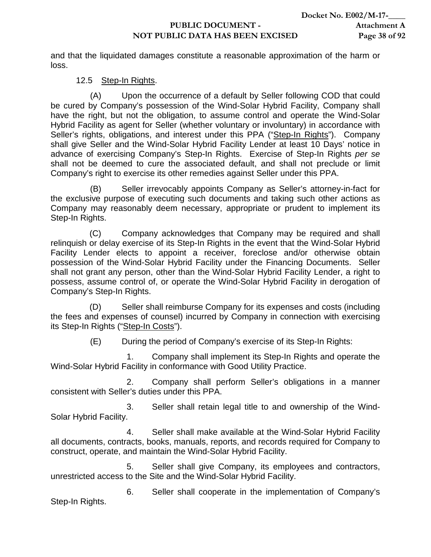and that the liquidated damages constitute a reasonable approximation of the harm or loss.

### 12.5 Step-In Rights.

(A) Upon the occurrence of a default by Seller following COD that could be cured by Company's possession of the Wind-Solar Hybrid Facility, Company shall have the right, but not the obligation, to assume control and operate the Wind-Solar Hybrid Facility as agent for Seller (whether voluntary or involuntary) in accordance with Seller's rights, obligations, and interest under this PPA ("Step-In Rights"). Company shall give Seller and the Wind-Solar Hybrid Facility Lender at least 10 Days' notice in advance of exercising Company's Step-In Rights. Exercise of Step-In Rights *per se* shall not be deemed to cure the associated default, and shall not preclude or limit Company's right to exercise its other remedies against Seller under this PPA.

(B) Seller irrevocably appoints Company as Seller's attorney-in-fact for the exclusive purpose of executing such documents and taking such other actions as Company may reasonably deem necessary, appropriate or prudent to implement its Step-In Rights.

(C) Company acknowledges that Company may be required and shall relinquish or delay exercise of its Step-In Rights in the event that the Wind-Solar Hybrid Facility Lender elects to appoint a receiver, foreclose and/or otherwise obtain possession of the Wind-Solar Hybrid Facility under the Financing Documents. Seller shall not grant any person, other than the Wind-Solar Hybrid Facility Lender, a right to possess, assume control of, or operate the Wind-Solar Hybrid Facility in derogation of Company's Step-In Rights.

(D) Seller shall reimburse Company for its expenses and costs (including the fees and expenses of counsel) incurred by Company in connection with exercising its Step-In Rights ("Step-In Costs").

(E) During the period of Company's exercise of its Step-In Rights:

1. Company shall implement its Step-In Rights and operate the Wind-Solar Hybrid Facility in conformance with Good Utility Practice.

2. Company shall perform Seller's obligations in a manner consistent with Seller's duties under this PPA.

3. Seller shall retain legal title to and ownership of the Wind-Solar Hybrid Facility.

4. Seller shall make available at the Wind-Solar Hybrid Facility all documents, contracts, books, manuals, reports, and records required for Company to construct, operate, and maintain the Wind-Solar Hybrid Facility.

5. Seller shall give Company, its employees and contractors, unrestricted access to the Site and the Wind-Solar Hybrid Facility.

6. Seller shall cooperate in the implementation of Company's Step-In Rights.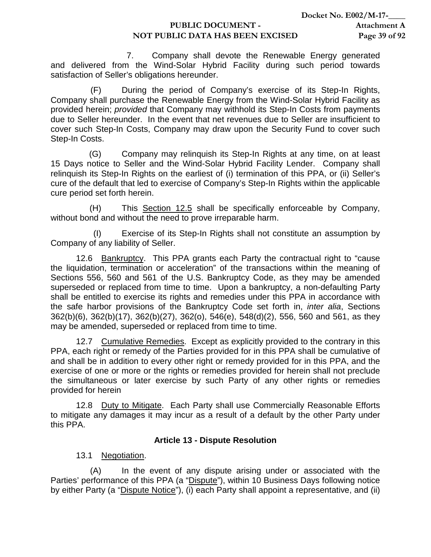7. Company shall devote the Renewable Energy generated and delivered from the Wind-Solar Hybrid Facility during such period towards satisfaction of Seller's obligations hereunder.

(F) During the period of Company's exercise of its Step-In Rights, Company shall purchase the Renewable Energy from the Wind-Solar Hybrid Facility as provided herein; *provided* that Company may withhold its Step-In Costs from payments due to Seller hereunder. In the event that net revenues due to Seller are insufficient to cover such Step-In Costs, Company may draw upon the Security Fund to cover such Step-In Costs.

(G) Company may relinquish its Step-In Rights at any time, on at least 15 Days notice to Seller and the Wind-Solar Hybrid Facility Lender. Company shall relinquish its Step-In Rights on the earliest of (i) termination of this PPA, or (ii) Seller's cure of the default that led to exercise of Company's Step-In Rights within the applicable cure period set forth herein.

(H) This Section 12.5 shall be specifically enforceable by Company, without bond and without the need to prove irreparable harm.

(I) Exercise of its Step-In Rights shall not constitute an assumption by Company of any liability of Seller.

12.6 Bankruptcy. This PPA grants each Party the contractual right to "cause the liquidation, termination or acceleration" of the transactions within the meaning of Sections 556, 560 and 561 of the U.S. Bankruptcy Code, as they may be amended superseded or replaced from time to time. Upon a bankruptcy, a non-defaulting Party shall be entitled to exercise its rights and remedies under this PPA in accordance with the safe harbor provisions of the Bankruptcy Code set forth in, *inter alia*, Sections 362(b)(6), 362(b)(17), 362(b)(27), 362(o), 546(e), 548(d)(2), 556, 560 and 561, as they may be amended, superseded or replaced from time to time.

12.7 Cumulative Remedies. Except as explicitly provided to the contrary in this PPA, each right or remedy of the Parties provided for in this PPA shall be cumulative of and shall be in addition to every other right or remedy provided for in this PPA, and the exercise of one or more or the rights or remedies provided for herein shall not preclude the simultaneous or later exercise by such Party of any other rights or remedies provided for herein

12.8 Duty to Mitigate. Each Party shall use Commercially Reasonable Efforts to mitigate any damages it may incur as a result of a default by the other Party under this PPA.

## **Article 13 - Dispute Resolution**

13.1 Negotiation.

(A) In the event of any dispute arising under or associated with the Parties' performance of this PPA (a "Dispute"), within 10 Business Days following notice by either Party (a "Dispute Notice"), (i) each Party shall appoint a representative, and (ii)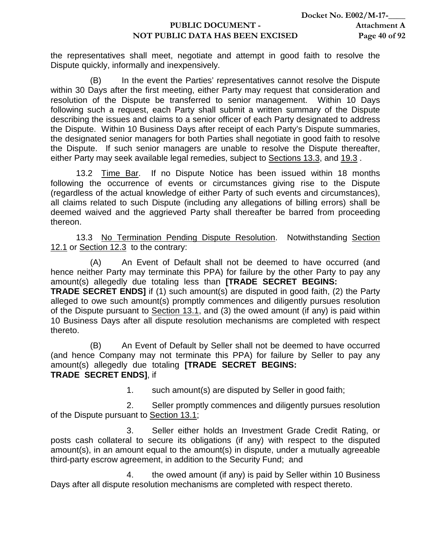the representatives shall meet, negotiate and attempt in good faith to resolve the Dispute quickly, informally and inexpensively.

(B) In the event the Parties' representatives cannot resolve the Dispute within 30 Days after the first meeting, either Party may request that consideration and resolution of the Dispute be transferred to senior management. Within 10 Days following such a request, each Party shall submit a written summary of the Dispute describing the issues and claims to a senior officer of each Party designated to address the Dispute. Within 10 Business Days after receipt of each Party's Dispute summaries, the designated senior managers for both Parties shall negotiate in good faith to resolve the Dispute. If such senior managers are unable to resolve the Dispute thereafter, either Party may seek available legal remedies, subject to Sections 13.3, and 19.3 .

13.2 Time Bar. If no Dispute Notice has been issued within 18 months following the occurrence of events or circumstances giving rise to the Dispute (regardless of the actual knowledge of either Party of such events and circumstances), all claims related to such Dispute (including any allegations of billing errors) shall be deemed waived and the aggrieved Party shall thereafter be barred from proceeding thereon.

13.3 No Termination Pending Dispute Resolution. Notwithstanding Section 12.1 or Section 12.3 to the contrary:

(A) An Event of Default shall not be deemed to have occurred (and hence neither Party may terminate this PPA) for failure by the other Party to pay any amount(s) allegedly due totaling less than **[TRADE SECRET BEGINS: TRADE SECRET ENDS]** if (1) such amount(s) are disputed in good faith, (2) the Party alleged to owe such amount(s) promptly commences and diligently pursues resolution of the Dispute pursuant to Section 13.1, and (3) the owed amount (if any) is paid within 10 Business Days after all dispute resolution mechanisms are completed with respect thereto.

(B) An Event of Default by Seller shall not be deemed to have occurred (and hence Company may not terminate this PPA) for failure by Seller to pay any amount(s) allegedly due totaling **[TRADE SECRET BEGINS: TRADE SECRET ENDS]**, if

1. such amount(s) are disputed by Seller in good faith;

2. Seller promptly commences and diligently pursues resolution of the Dispute pursuant to Section 13.1;

3. Seller either holds an Investment Grade Credit Rating, or posts cash collateral to secure its obligations (if any) with respect to the disputed amount(s), in an amount equal to the amount(s) in dispute, under a mutually agreeable third-party escrow agreement, in addition to the Security Fund; and

4. the owed amount (if any) is paid by Seller within 10 Business Days after all dispute resolution mechanisms are completed with respect thereto.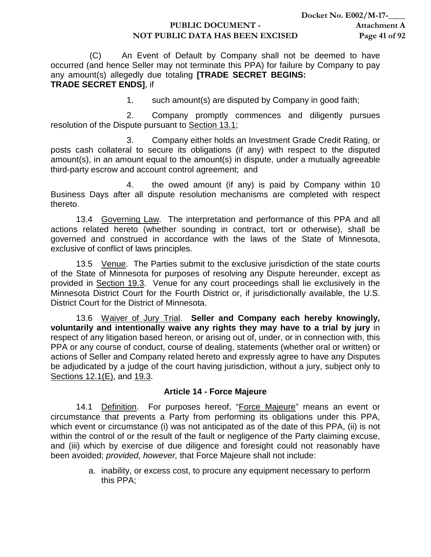(C) An Event of Default by Company shall not be deemed to have occurred (and hence Seller may not terminate this PPA) for failure by Company to pay any amount(s) allegedly due totaling **[TRADE SECRET BEGINS: TRADE SECRET ENDS]**, if

1. such amount(s) are disputed by Company in good faith;

2. Company promptly commences and diligently pursues resolution of the Dispute pursuant to Section 13.1;

3. Company either holds an Investment Grade Credit Rating, or posts cash collateral to secure its obligations (if any) with respect to the disputed amount(s), in an amount equal to the amount(s) in dispute, under a mutually agreeable third-party escrow and account control agreement; and

4. the owed amount (if any) is paid by Company within 10 Business Days after all dispute resolution mechanisms are completed with respect thereto.

13.4 Governing Law. The interpretation and performance of this PPA and all actions related hereto (whether sounding in contract, tort or otherwise), shall be governed and construed in accordance with the laws of the State of Minnesota, exclusive of conflict of laws principles.

13.5 Venue. The Parties submit to the exclusive jurisdiction of the state courts of the State of Minnesota for purposes of resolving any Dispute hereunder, except as provided in Section 19.3. Venue for any court proceedings shall lie exclusively in the Minnesota District Court for the Fourth District or, if jurisdictionally available, the U.S. District Court for the District of Minnesota.

13.6 Waiver of Jury Trial. **Seller and Company each hereby knowingly, voluntarily and intentionally waive any rights they may have to a trial by jury** in respect of any litigation based hereon, or arising out of, under, or in connection with, this PPA or any course of conduct, course of dealing, statements (whether oral or written) or actions of Seller and Company related hereto and expressly agree to have any Disputes be adjudicated by a judge of the court having jurisdiction, without a jury, subject only to Sections 12.1(E), and 19.3.

## **Article 14 - Force Majeure**

14.1 Definition. For purposes hereof, "Force Majeure" means an event or circumstance that prevents a Party from performing its obligations under this PPA, which event or circumstance (i) was not anticipated as of the date of this PPA, (ii) is not within the control of or the result of the fault or negligence of the Party claiming excuse, and (iii) which by exercise of due diligence and foresight could not reasonably have been avoided; *provided, however,* that Force Majeure shall not include:

> a. inability, or excess cost, to procure any equipment necessary to perform this PPA;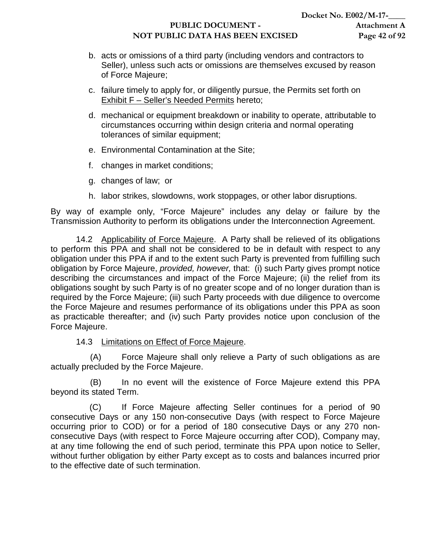#### **PUBLIC DOCUMENT - NOT PUBLIC DATA HAS BEEN EXCISED Docket No. E002/M-17-\_\_\_\_ Attachment A Page 42 of 92**

- b. acts or omissions of a third party (including vendors and contractors to Seller), unless such acts or omissions are themselves excused by reason of Force Majeure;
- c. failure timely to apply for, or diligently pursue, the Permits set forth on Exhibit F – Seller's Needed Permits hereto;
- d. mechanical or equipment breakdown or inability to operate, attributable to circumstances occurring within design criteria and normal operating tolerances of similar equipment;
- e. Environmental Contamination at the Site;
- f. changes in market conditions;
- g. changes of law; or
- h. labor strikes, slowdowns, work stoppages, or other labor disruptions.

By way of example only, "Force Majeure" includes any delay or failure by the Transmission Authority to perform its obligations under the Interconnection Agreement.

14.2 Applicability of Force Majeure. A Party shall be relieved of its obligations to perform this PPA and shall not be considered to be in default with respect to any obligation under this PPA if and to the extent such Party is prevented from fulfilling such obligation by Force Majeure, *provided, however,* that: (i) such Party gives prompt notice describing the circumstances and impact of the Force Majeure; (ii) the relief from its obligations sought by such Party is of no greater scope and of no longer duration than is required by the Force Majeure; (iii) such Party proceeds with due diligence to overcome the Force Majeure and resumes performance of its obligations under this PPA as soon as practicable thereafter; and (iv) such Party provides notice upon conclusion of the Force Majeure.

## 14.3 Limitations on Effect of Force Majeure.

(A) Force Majeure shall only relieve a Party of such obligations as are actually precluded by the Force Majeure.

(B) In no event will the existence of Force Majeure extend this PPA beyond its stated Term.

(C) If Force Majeure affecting Seller continues for a period of 90 consecutive Days or any 150 non-consecutive Days (with respect to Force Majeure occurring prior to COD) or for a period of 180 consecutive Days or any 270 nonconsecutive Days (with respect to Force Majeure occurring after COD), Company may, at any time following the end of such period, terminate this PPA upon notice to Seller, without further obligation by either Party except as to costs and balances incurred prior to the effective date of such termination.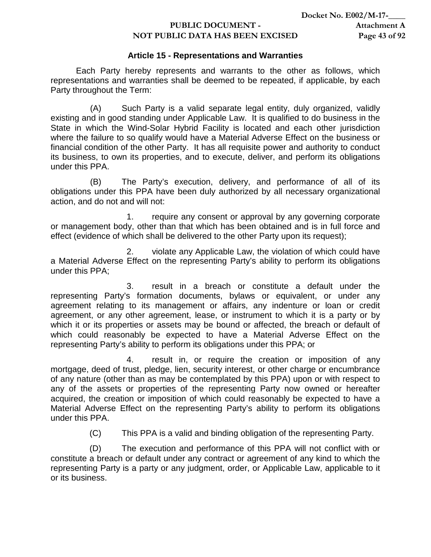#### **Article 15 - Representations and Warranties**

Each Party hereby represents and warrants to the other as follows, which representations and warranties shall be deemed to be repeated, if applicable, by each Party throughout the Term:

(A) Such Party is a valid separate legal entity, duly organized, validly existing and in good standing under Applicable Law. It is qualified to do business in the State in which the Wind-Solar Hybrid Facility is located and each other jurisdiction where the failure to so qualify would have a Material Adverse Effect on the business or financial condition of the other Party. It has all requisite power and authority to conduct its business, to own its properties, and to execute, deliver, and perform its obligations under this PPA.

(B) The Party's execution, delivery, and performance of all of its obligations under this PPA have been duly authorized by all necessary organizational action, and do not and will not:

1. require any consent or approval by any governing corporate or management body, other than that which has been obtained and is in full force and effect (evidence of which shall be delivered to the other Party upon its request);

2. violate any Applicable Law, the violation of which could have a Material Adverse Effect on the representing Party's ability to perform its obligations under this PPA;

3. result in a breach or constitute a default under the representing Party's formation documents, bylaws or equivalent, or under any agreement relating to its management or affairs, any indenture or loan or credit agreement, or any other agreement, lease, or instrument to which it is a party or by which it or its properties or assets may be bound or affected, the breach or default of which could reasonably be expected to have a Material Adverse Effect on the representing Party's ability to perform its obligations under this PPA; or

4. result in, or require the creation or imposition of any mortgage, deed of trust, pledge, lien, security interest, or other charge or encumbrance of any nature (other than as may be contemplated by this PPA) upon or with respect to any of the assets or properties of the representing Party now owned or hereafter acquired, the creation or imposition of which could reasonably be expected to have a Material Adverse Effect on the representing Party's ability to perform its obligations under this PPA.

(C) This PPA is a valid and binding obligation of the representing Party.

(D) The execution and performance of this PPA will not conflict with or constitute a breach or default under any contract or agreement of any kind to which the representing Party is a party or any judgment, order, or Applicable Law, applicable to it or its business.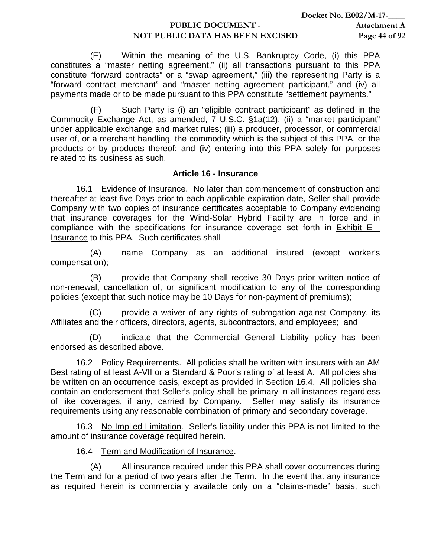(E) Within the meaning of the U.S. Bankruptcy Code, (i) this PPA constitutes a "master netting agreement," (ii) all transactions pursuant to this PPA constitute "forward contracts" or a "swap agreement," (iii) the representing Party is a "forward contract merchant" and "master netting agreement participant," and (iv) all payments made or to be made pursuant to this PPA constitute "settlement payments."

(F) Such Party is (i) an "eligible contract participant" as defined in the Commodity Exchange Act, as amended, 7 U.S.C. §1a(12), (ii) a "market participant" under applicable exchange and market rules; (iii) a producer, processor, or commercial user of, or a merchant handling, the commodity which is the subject of this PPA, or the products or by products thereof; and (iv) entering into this PPA solely for purposes related to its business as such.

### **Article 16 - Insurance**

16.1 Evidence of Insurance. No later than commencement of construction and thereafter at least five Days prior to each applicable expiration date, Seller shall provide Company with two copies of insurance certificates acceptable to Company evidencing that insurance coverages for the Wind-Solar Hybrid Facility are in force and in compliance with the specifications for insurance coverage set forth in  $Exhibit E -$ Insurance to this PPA. Such certificates shall

(A) name Company as an additional insured (except worker's compensation);

(B) provide that Company shall receive 30 Days prior written notice of non-renewal, cancellation of, or significant modification to any of the corresponding policies (except that such notice may be 10 Days for non-payment of premiums);

(C) provide a waiver of any rights of subrogation against Company, its Affiliates and their officers, directors, agents, subcontractors, and employees; and

(D) indicate that the Commercial General Liability policy has been endorsed as described above.

16.2 Policy Requirements. All policies shall be written with insurers with an AM Best rating of at least A-VII or a Standard & Poor's rating of at least A. All policies shall be written on an occurrence basis, except as provided in Section 16.4. All policies shall contain an endorsement that Seller's policy shall be primary in all instances regardless of like coverages, if any, carried by Company. Seller may satisfy its insurance requirements using any reasonable combination of primary and secondary coverage.

16.3 No Implied Limitation. Seller's liability under this PPA is not limited to the amount of insurance coverage required herein.

16.4 Term and Modification of Insurance.

(A) All insurance required under this PPA shall cover occurrences during the Term and for a period of two years after the Term. In the event that any insurance as required herein is commercially available only on a "claims-made" basis, such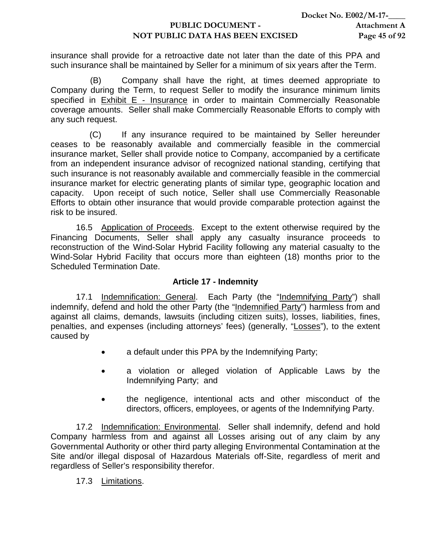insurance shall provide for a retroactive date not later than the date of this PPA and such insurance shall be maintained by Seller for a minimum of six years after the Term.

(B) Company shall have the right, at times deemed appropriate to Company during the Term, to request Seller to modify the insurance minimum limits specified in Exhibit E - Insurance in order to maintain Commercially Reasonable coverage amounts. Seller shall make Commercially Reasonable Efforts to comply with any such request.

(C) If any insurance required to be maintained by Seller hereunder ceases to be reasonably available and commercially feasible in the commercial insurance market, Seller shall provide notice to Company, accompanied by a certificate from an independent insurance advisor of recognized national standing, certifying that such insurance is not reasonably available and commercially feasible in the commercial insurance market for electric generating plants of similar type, geographic location and capacity. Upon receipt of such notice, Seller shall use Commercially Reasonable Efforts to obtain other insurance that would provide comparable protection against the risk to be insured.

16.5 Application of Proceeds. Except to the extent otherwise required by the Financing Documents, Seller shall apply any casualty insurance proceeds to reconstruction of the Wind-Solar Hybrid Facility following any material casualty to the Wind-Solar Hybrid Facility that occurs more than eighteen (18) months prior to the Scheduled Termination Date.

#### **Article 17 - Indemnity**

17.1 Indemnification: General. Each Party (the "Indemnifying Party") shall indemnify, defend and hold the other Party (the "Indemnified Party") harmless from and against all claims, demands, lawsuits (including citizen suits), losses, liabilities, fines, penalties, and expenses (including attorneys' fees) (generally, "Losses"), to the extent caused by

- a default under this PPA by the Indemnifying Party;
- a violation or alleged violation of Applicable Laws by the Indemnifying Party; and
- the negligence, intentional acts and other misconduct of the directors, officers, employees, or agents of the Indemnifying Party.

17.2 Indemnification: Environmental. Seller shall indemnify, defend and hold Company harmless from and against all Losses arising out of any claim by any Governmental Authority or other third party alleging Environmental Contamination at the Site and/or illegal disposal of Hazardous Materials off-Site, regardless of merit and regardless of Seller's responsibility therefor.

17.3 Limitations.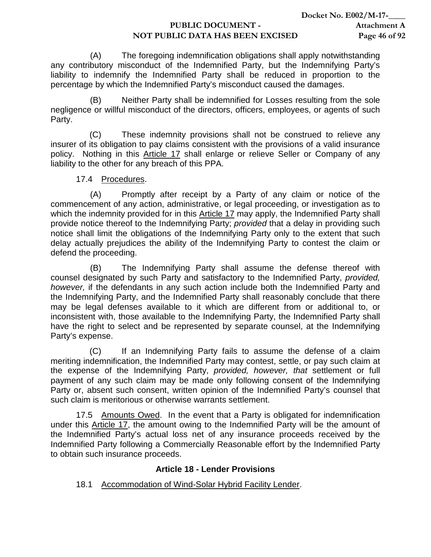(A) The foregoing indemnification obligations shall apply notwithstanding any contributory misconduct of the Indemnified Party, but the Indemnifying Party's liability to indemnify the Indemnified Party shall be reduced in proportion to the percentage by which the Indemnified Party's misconduct caused the damages.

(B) Neither Party shall be indemnified for Losses resulting from the sole negligence or willful misconduct of the directors, officers, employees, or agents of such Party.

(C) These indemnity provisions shall not be construed to relieve any insurer of its obligation to pay claims consistent with the provisions of a valid insurance policy. Nothing in this Article 17 shall enlarge or relieve Seller or Company of any liability to the other for any breach of this PPA.

### 17.4 Procedures.

(A) Promptly after receipt by a Party of any claim or notice of the commencement of any action, administrative, or legal proceeding, or investigation as to which the indemnity provided for in this Article 17 may apply, the Indemnified Party shall provide notice thereof to the Indemnifying Party; *provided* that a delay in providing such notice shall limit the obligations of the Indemnifying Party only to the extent that such delay actually prejudices the ability of the Indemnifying Party to contest the claim or defend the proceeding.

(B) The Indemnifying Party shall assume the defense thereof with counsel designated by such Party and satisfactory to the Indemnified Party, *provided, however,* if the defendants in any such action include both the Indemnified Party and the Indemnifying Party, and the Indemnified Party shall reasonably conclude that there may be legal defenses available to it which are different from or additional to, or inconsistent with, those available to the Indemnifying Party, the Indemnified Party shall have the right to select and be represented by separate counsel, at the Indemnifying Party's expense.

(C) If an Indemnifying Party fails to assume the defense of a claim meriting indemnification, the Indemnified Party may contest, settle, or pay such claim at the expense of the Indemnifying Party, *provided, however, that* settlement or full payment of any such claim may be made only following consent of the Indemnifying Party or, absent such consent, written opinion of the Indemnified Party's counsel that such claim is meritorious or otherwise warrants settlement.

17.5 Amounts Owed. In the event that a Party is obligated for indemnification under this Article 17, the amount owing to the Indemnified Party will be the amount of the Indemnified Party's actual loss net of any insurance proceeds received by the Indemnified Party following a Commercially Reasonable effort by the Indemnified Party to obtain such insurance proceeds.

## **Article 18 - Lender Provisions**

18.1 Accommodation of Wind-Solar Hybrid Facility Lender.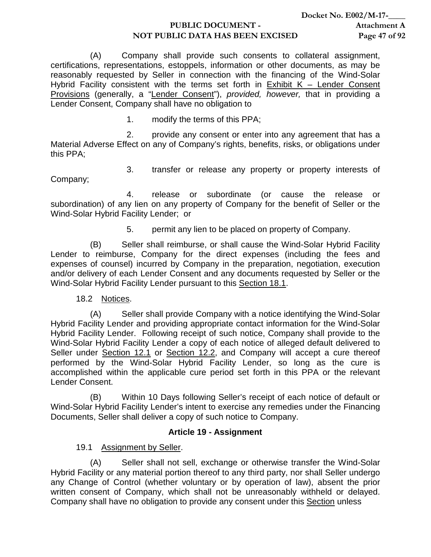(A) Company shall provide such consents to collateral assignment, certifications, representations, estoppels, information or other documents, as may be reasonably requested by Seller in connection with the financing of the Wind-Solar Hybrid Facility consistent with the terms set forth in  $Exhibit K - Lender Constant$ Provisions (generally, a "Lender Consent"), *provided, however,* that in providing a Lender Consent, Company shall have no obligation to

1. modify the terms of this PPA;

2. provide any consent or enter into any agreement that has a Material Adverse Effect on any of Company's rights, benefits, risks, or obligations under this PPA;

3. transfer or release any property or property interests of Company;

4. release or subordinate (or cause the release or subordination) of any lien on any property of Company for the benefit of Seller or the Wind-Solar Hybrid Facility Lender; or

5. permit any lien to be placed on property of Company.

(B) Seller shall reimburse, or shall cause the Wind-Solar Hybrid Facility Lender to reimburse, Company for the direct expenses (including the fees and expenses of counsel) incurred by Company in the preparation, negotiation, execution and/or delivery of each Lender Consent and any documents requested by Seller or the Wind-Solar Hybrid Facility Lender pursuant to this Section 18.1.

## 18.2 Notices.

(A) Seller shall provide Company with a notice identifying the Wind-Solar Hybrid Facility Lender and providing appropriate contact information for the Wind-Solar Hybrid Facility Lender. Following receipt of such notice, Company shall provide to the Wind-Solar Hybrid Facility Lender a copy of each notice of alleged default delivered to Seller under Section 12.1 or Section 12.2, and Company will accept a cure thereof performed by the Wind-Solar Hybrid Facility Lender, so long as the cure is accomplished within the applicable cure period set forth in this PPA or the relevant Lender Consent.

(B) Within 10 Days following Seller's receipt of each notice of default or Wind-Solar Hybrid Facility Lender's intent to exercise any remedies under the Financing Documents, Seller shall deliver a copy of such notice to Company.

## **Article 19 - Assignment**

## 19.1 Assignment by Seller.

(A) Seller shall not sell, exchange or otherwise transfer the Wind-Solar Hybrid Facility or any material portion thereof to any third party, nor shall Seller undergo any Change of Control (whether voluntary or by operation of law), absent the prior written consent of Company, which shall not be unreasonably withheld or delayed. Company shall have no obligation to provide any consent under this Section unless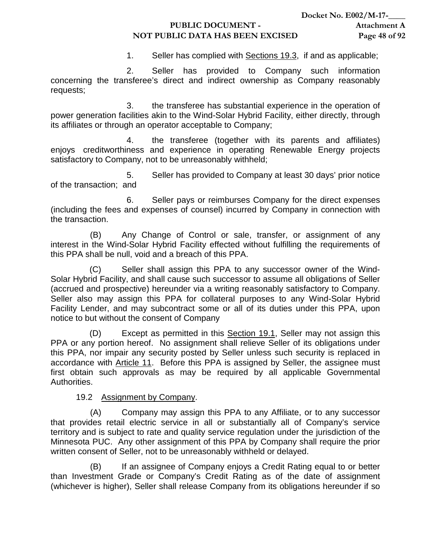1. Seller has complied with Sections 19.3, if and as applicable;

2. Seller has provided to Company such information concerning the transferee's direct and indirect ownership as Company reasonably requests;

3. the transferee has substantial experience in the operation of power generation facilities akin to the Wind-Solar Hybrid Facility, either directly, through its affiliates or through an operator acceptable to Company;

4. the transferee (together with its parents and affiliates) enjoys creditworthiness and experience in operating Renewable Energy projects satisfactory to Company, not to be unreasonably withheld;

5. Seller has provided to Company at least 30 days' prior notice of the transaction; and

6. Seller pays or reimburses Company for the direct expenses (including the fees and expenses of counsel) incurred by Company in connection with the transaction.

(B) Any Change of Control or sale, transfer, or assignment of any interest in the Wind-Solar Hybrid Facility effected without fulfilling the requirements of this PPA shall be null, void and a breach of this PPA.

(C) Seller shall assign this PPA to any successor owner of the Wind-Solar Hybrid Facility, and shall cause such successor to assume all obligations of Seller (accrued and prospective) hereunder via a writing reasonably satisfactory to Company. Seller also may assign this PPA for collateral purposes to any Wind-Solar Hybrid Facility Lender, and may subcontract some or all of its duties under this PPA, upon notice to but without the consent of Company

(D) Except as permitted in this Section 19.1, Seller may not assign this PPA or any portion hereof. No assignment shall relieve Seller of its obligations under this PPA, nor impair any security posted by Seller unless such security is replaced in accordance with Article 11. Before this PPA is assigned by Seller, the assignee must first obtain such approvals as may be required by all applicable Governmental Authorities.

19.2 Assignment by Company.

(A) Company may assign this PPA to any Affiliate, or to any successor that provides retail electric service in all or substantially all of Company's service territory and is subject to rate and quality service regulation under the jurisdiction of the Minnesota PUC. Any other assignment of this PPA by Company shall require the prior written consent of Seller, not to be unreasonably withheld or delayed.

(B) If an assignee of Company enjoys a Credit Rating equal to or better than Investment Grade or Company's Credit Rating as of the date of assignment (whichever is higher), Seller shall release Company from its obligations hereunder if so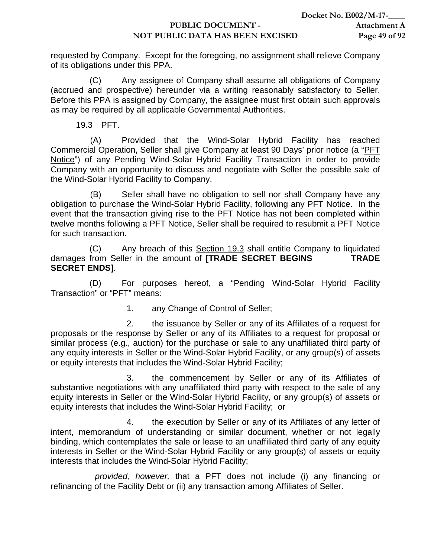#### **PUBLIC DOCUMENT - NOT PUBLIC DATA HAS BEEN EXCISED Docket No. E002/M-17-\_\_\_\_ Attachment A Page 49 of 92**

requested by Company. Except for the foregoing, no assignment shall relieve Company of its obligations under this PPA.

(C) Any assignee of Company shall assume all obligations of Company (accrued and prospective) hereunder via a writing reasonably satisfactory to Seller. Before this PPA is assigned by Company, the assignee must first obtain such approvals as may be required by all applicable Governmental Authorities.

19.3 PFT.

(A) Provided that the Wind-Solar Hybrid Facility has reached Commercial Operation, Seller shall give Company at least 90 Days' prior notice (a "PFT Notice") of any Pending Wind-Solar Hybrid Facility Transaction in order to provide Company with an opportunity to discuss and negotiate with Seller the possible sale of the Wind-Solar Hybrid Facility to Company.

(B) Seller shall have no obligation to sell nor shall Company have any obligation to purchase the Wind-Solar Hybrid Facility, following any PFT Notice. In the event that the transaction giving rise to the PFT Notice has not been completed within twelve months following a PFT Notice, Seller shall be required to resubmit a PFT Notice for such transaction.

(C) Any breach of this Section 19.3 shall entitle Company to liquidated damages from Seller in the amount of **[TRADE SECRET BEGINS TRADE SECRET ENDS]**.

(D) For purposes hereof, a "Pending Wind-Solar Hybrid Facility Transaction" or "PFT" means:

1. any Change of Control of Seller;

2. the issuance by Seller or any of its Affiliates of a request for proposals or the response by Seller or any of its Affiliates to a request for proposal or similar process (e.g., auction) for the purchase or sale to any unaffiliated third party of any equity interests in Seller or the Wind-Solar Hybrid Facility, or any group(s) of assets or equity interests that includes the Wind-Solar Hybrid Facility;

3. the commencement by Seller or any of its Affiliates of substantive negotiations with any unaffiliated third party with respect to the sale of any equity interests in Seller or the Wind-Solar Hybrid Facility, or any group(s) of assets or equity interests that includes the Wind-Solar Hybrid Facility; or

4. the execution by Seller or any of its Affiliates of any letter of intent, memorandum of understanding or similar document, whether or not legally binding, which contemplates the sale or lease to an unaffiliated third party of any equity interests in Seller or the Wind-Solar Hybrid Facility or any group(s) of assets or equity interests that includes the Wind-Solar Hybrid Facility;

*provided, however,* that a PFT does not include (i) any financing or refinancing of the Facility Debt or (ii) any transaction among Affiliates of Seller.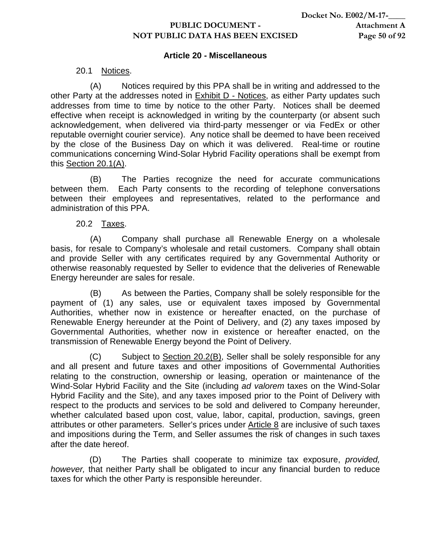#### **Article 20 - Miscellaneous**

#### 20.1 Notices.

(A) Notices required by this PPA shall be in writing and addressed to the other Party at the addresses noted in Exhibit D - Notices, as either Party updates such addresses from time to time by notice to the other Party. Notices shall be deemed effective when receipt is acknowledged in writing by the counterparty (or absent such acknowledgement, when delivered via third-party messenger or via FedEx or other reputable overnight courier service). Any notice shall be deemed to have been received by the close of the Business Day on which it was delivered. Real-time or routine communications concerning Wind-Solar Hybrid Facility operations shall be exempt from this Section 20.1(A).

(B) The Parties recognize the need for accurate communications between them. Each Party consents to the recording of telephone conversations between their employees and representatives, related to the performance and administration of this PPA.

#### 20.2 Taxes.

(A) Company shall purchase all Renewable Energy on a wholesale basis, for resale to Company's wholesale and retail customers. Company shall obtain and provide Seller with any certificates required by any Governmental Authority or otherwise reasonably requested by Seller to evidence that the deliveries of Renewable Energy hereunder are sales for resale.

(B) As between the Parties, Company shall be solely responsible for the payment of (1) any sales, use or equivalent taxes imposed by Governmental Authorities, whether now in existence or hereafter enacted, on the purchase of Renewable Energy hereunder at the Point of Delivery, and (2) any taxes imposed by Governmental Authorities, whether now in existence or hereafter enacted, on the transmission of Renewable Energy beyond the Point of Delivery.

(C) Subject to Section 20.2(B), Seller shall be solely responsible for any and all present and future taxes and other impositions of Governmental Authorities relating to the construction, ownership or leasing, operation or maintenance of the Wind-Solar Hybrid Facility and the Site (including *ad valorem* taxes on the Wind-Solar Hybrid Facility and the Site), and any taxes imposed prior to the Point of Delivery with respect to the products and services to be sold and delivered to Company hereunder, whether calculated based upon cost, value, labor, capital, production, savings, green attributes or other parameters. Seller's prices under Article 8 are inclusive of such taxes and impositions during the Term, and Seller assumes the risk of changes in such taxes after the date hereof.

(D) The Parties shall cooperate to minimize tax exposure, *provided, however,* that neither Party shall be obligated to incur any financial burden to reduce taxes for which the other Party is responsible hereunder.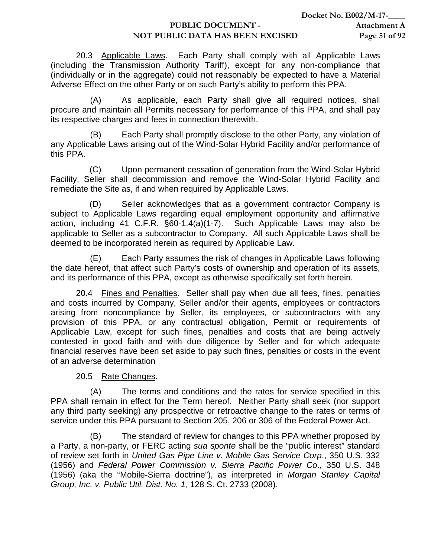20.3 Applicable Laws. Each Party shall comply with all Applicable Laws (including the Transmission Authority Tariff), except for any non-compliance that (individually or in the aggregate) could not reasonably be expected to have a Material Adverse Effect on the other Party or on such Party's ability to perform this PPA.

(A) As applicable, each Party shall give all required notices, shall procure and maintain all Permits necessary for performance of this PPA, and shall pay its respective charges and fees in connection therewith.

(B) Each Party shall promptly disclose to the other Party, any violation of any Applicable Laws arising out of the Wind-Solar Hybrid Facility and/or performance of this PPA.

(C) Upon permanent cessation of generation from the Wind-Solar Hybrid Facility, Seller shall decommission and remove the Wind-Solar Hybrid Facility and remediate the Site as, if and when required by Applicable Laws.

(D) Seller acknowledges that as a government contractor Company is subject to Applicable Laws regarding equal employment opportunity and affirmative action, including 41 C.F.R. §60-1.4(a)(1-7). Such Applicable Laws may also be applicable to Seller as a subcontractor to Company. All such Applicable Laws shall be deemed to be incorporated herein as required by Applicable Law.

(E) Each Party assumes the risk of changes in Applicable Laws following the date hereof, that affect such Party's costs of ownership and operation of its assets, and its performance of this PPA, except as otherwise specifically set forth herein.

20.4 Fines and Penalties. Seller shall pay when due all fees, fines, penalties and costs incurred by Company, Seller and/or their agents, employees or contractors arising from noncompliance by Seller, its employees, or subcontractors with any provision of this PPA, or any contractual obligation, Permit or requirements of Applicable Law, except for such fines, penalties and costs that are being actively contested in good faith and with due diligence by Seller and for which adequate financial reserves have been set aside to pay such fines, penalties or costs in the event of an adverse determination

## 20.5 Rate Changes.

(A) The terms and conditions and the rates for service specified in this PPA shall remain in effect for the Term hereof. Neither Party shall seek (nor support any third party seeking) any prospective or retroactive change to the rates or terms of service under this PPA pursuant to Section 205, 206 or 306 of the Federal Power Act.

(B) The standard of review for changes to this PPA whether proposed by a Party, a non-party, or FERC acting *sua sponte* shall be the "public interest" standard of review set forth in *United Gas Pipe Line v. Mobile Gas Service Corp*., 350 U.S. 332 (1956) and *Federal Power Commission v. Sierra Pacific Power Co*., 350 U.S. 348 (1956) (aka the "Mobile-Sierra doctrine"), as interpreted in *Morgan Stanley Capital Group, Inc. v. Public Util. Dist. No. 1,* 128 S. Ct. 2733 (2008).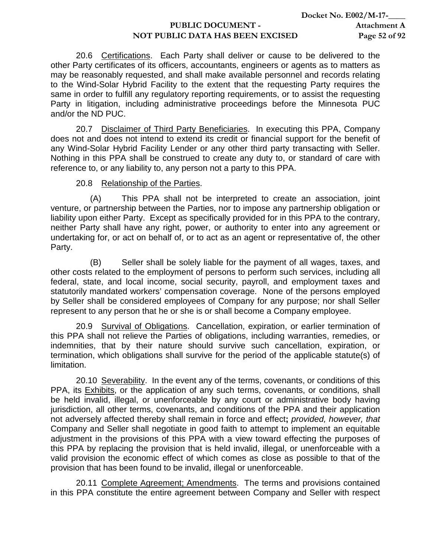20.6 Certifications. Each Party shall deliver or cause to be delivered to the other Party certificates of its officers, accountants, engineers or agents as to matters as may be reasonably requested, and shall make available personnel and records relating to the Wind-Solar Hybrid Facility to the extent that the requesting Party requires the same in order to fulfill any regulatory reporting requirements, or to assist the requesting Party in litigation, including administrative proceedings before the Minnesota PUC and/or the ND PUC.

20.7 Disclaimer of Third Party Beneficiaries. In executing this PPA, Company does not and does not intend to extend its credit or financial support for the benefit of any Wind-Solar Hybrid Facility Lender or any other third party transacting with Seller. Nothing in this PPA shall be construed to create any duty to, or standard of care with reference to, or any liability to, any person not a party to this PPA.

#### 20.8 Relationship of the Parties.

(A) This PPA shall not be interpreted to create an association, joint venture, or partnership between the Parties, nor to impose any partnership obligation or liability upon either Party. Except as specifically provided for in this PPA to the contrary, neither Party shall have any right, power, or authority to enter into any agreement or undertaking for, or act on behalf of, or to act as an agent or representative of, the other Party.

(B) Seller shall be solely liable for the payment of all wages, taxes, and other costs related to the employment of persons to perform such services, including all federal, state, and local income, social security, payroll, and employment taxes and statutorily mandated workers' compensation coverage. None of the persons employed by Seller shall be considered employees of Company for any purpose; nor shall Seller represent to any person that he or she is or shall become a Company employee.

20.9 Survival of Obligations. Cancellation, expiration, or earlier termination of this PPA shall not relieve the Parties of obligations, including warranties, remedies, or indemnities, that by their nature should survive such cancellation, expiration, or termination, which obligations shall survive for the period of the applicable statute(s) of limitation.

20.10 Severability. In the event any of the terms, covenants, or conditions of this PPA, its **Exhibits**, or the application of any such terms, covenants, or conditions, shall be held invalid, illegal, or unenforceable by any court or administrative body having jurisdiction, all other terms, covenants, and conditions of the PPA and their application not adversely affected thereby shall remain in force and effect**;** *provided, however, that*  Company and Seller shall negotiate in good faith to attempt to implement an equitable adjustment in the provisions of this PPA with a view toward effecting the purposes of this PPA by replacing the provision that is held invalid, illegal, or unenforceable with a valid provision the economic effect of which comes as close as possible to that of the provision that has been found to be invalid, illegal or unenforceable.

20.11 Complete Agreement; Amendments. The terms and provisions contained in this PPA constitute the entire agreement between Company and Seller with respect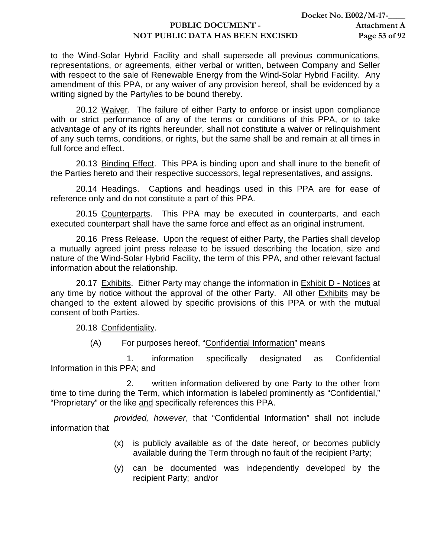to the Wind-Solar Hybrid Facility and shall supersede all previous communications, representations, or agreements, either verbal or written, between Company and Seller with respect to the sale of Renewable Energy from the Wind-Solar Hybrid Facility. Any amendment of this PPA, or any waiver of any provision hereof, shall be evidenced by a writing signed by the Party/ies to be bound thereby.

20.12 Waiver. The failure of either Party to enforce or insist upon compliance with or strict performance of any of the terms or conditions of this PPA, or to take advantage of any of its rights hereunder, shall not constitute a waiver or relinquishment of any such terms, conditions, or rights, but the same shall be and remain at all times in full force and effect.

20.13 Binding Effect. This PPA is binding upon and shall inure to the benefit of the Parties hereto and their respective successors, legal representatives, and assigns.

20.14 Headings. Captions and headings used in this PPA are for ease of reference only and do not constitute a part of this PPA.

20.15 Counterparts. This PPA may be executed in counterparts, and each executed counterpart shall have the same force and effect as an original instrument.

20.16 Press Release. Upon the request of either Party, the Parties shall develop a mutually agreed joint press release to be issued describing the location, size and nature of the Wind-Solar Hybrid Facility, the term of this PPA, and other relevant factual information about the relationship.

20.17 Exhibits. Either Party may change the information in Exhibit D - Notices at any time by notice without the approval of the other Party. All other Exhibits may be changed to the extent allowed by specific provisions of this PPA or with the mutual consent of both Parties.

20.18 Confidentiality.

(A) For purposes hereof, "Confidential Information" means

1. information specifically designated as Confidential Information in this PPA; and

2. written information delivered by one Party to the other from time to time during the Term, which information is labeled prominently as "Confidential," "Proprietary" or the like and specifically references this PPA.

*provided, however*, that "Confidential Information" shall not include information that

- (x) is publicly available as of the date hereof, or becomes publicly available during the Term through no fault of the recipient Party;
- (y) can be documented was independently developed by the recipient Party; and/or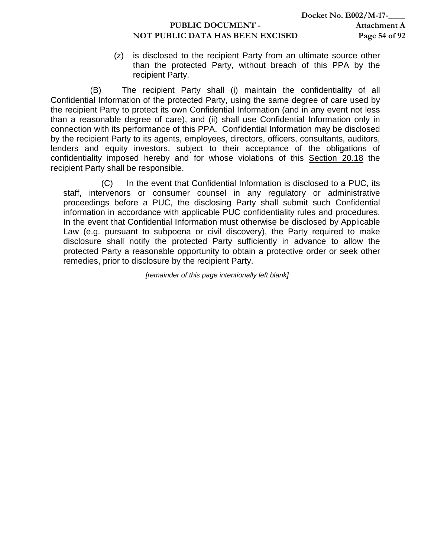(z) is disclosed to the recipient Party from an ultimate source other than the protected Party, without breach of this PPA by the recipient Party.

(B) The recipient Party shall (i) maintain the confidentiality of all Confidential Information of the protected Party, using the same degree of care used by the recipient Party to protect its own Confidential Information (and in any event not less than a reasonable degree of care), and (ii) shall use Confidential Information only in connection with its performance of this PPA. Confidential Information may be disclosed by the recipient Party to its agents, employees, directors, officers, consultants, auditors, lenders and equity investors, subject to their acceptance of the obligations of confidentiality imposed hereby and for whose violations of this Section 20.18 the recipient Party shall be responsible.

 (C) In the event that Confidential Information is disclosed to a PUC, its staff, intervenors or consumer counsel in any regulatory or administrative proceedings before a PUC, the disclosing Party shall submit such Confidential information in accordance with applicable PUC confidentiality rules and procedures. In the event that Confidential Information must otherwise be disclosed by Applicable Law (e.g. pursuant to subpoena or civil discovery), the Party required to make disclosure shall notify the protected Party sufficiently in advance to allow the protected Party a reasonable opportunity to obtain a protective order or seek other remedies, prior to disclosure by the recipient Party.

 *[remainder of this page intentionally left blank]*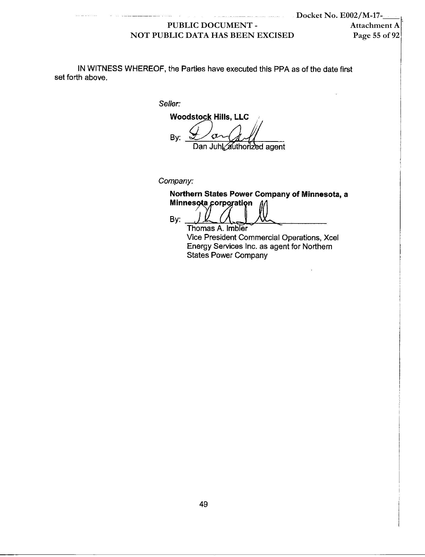#### **PUBLIC DOCUMENT - NOT PUBLIC DATA HAS BEEN EXCISED Docket No. E002/M-17-Attachment A Page 55 of 92**

IN WITNESS WHEREOF, the Parties have executed this PPA as of the date first set forth above.

Seller: **Woodstock Hills, LLC** Bv: Dan Juhl, authorized agent

Company:

By:

Northern States Power Company of Minnesota, a Minnesota corporation

Thomas A. Imbler Vice President Commercial Operations, Xcel Energy Services Inc. as agent for Northern **States Power Company**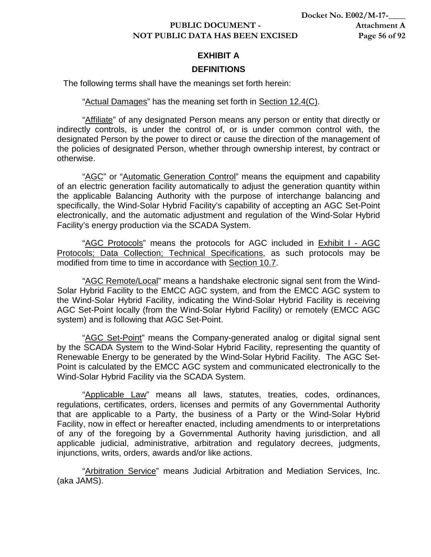### **EXHIBIT A**

#### **DEFINITIONS**

The following terms shall have the meanings set forth herein:

#### "Actual Damages" has the meaning set forth in Section 12.4(C).

"Affiliate" of any designated Person means any person or entity that directly or indirectly controls, is under the control of, or is under common control with, the designated Person by the power to direct or cause the direction of the management of the policies of designated Person, whether through ownership interest, by contract or otherwise.

"AGC" or "Automatic Generation Control" means the equipment and capability of an electric generation facility automatically to adjust the generation quantity within the applicable Balancing Authority with the purpose of interchange balancing and specifically, the Wind-Solar Hybrid Facility's capability of accepting an AGC Set-Point electronically, and the automatic adjustment and regulation of the Wind-Solar Hybrid Facility's energy production via the SCADA System.

"AGC Protocols" means the protocols for AGC included in Exhibit I - AGC Protocols; Data Collection; Technical Specifications, as such protocols may be modified from time to time in accordance with Section 10.7.

"AGC Remote/Local" means a handshake electronic signal sent from the Wind-Solar Hybrid Facility to the EMCC AGC system, and from the EMCC AGC system to the Wind-Solar Hybrid Facility, indicating the Wind-Solar Hybrid Facility is receiving AGC Set-Point locally (from the Wind-Solar Hybrid Facility) or remotely (EMCC AGC system) and is following that AGC Set-Point.

"AGC Set-Point" means the Company-generated analog or digital signal sent by the SCADA System to the Wind-Solar Hybrid Facility, representing the quantity of Renewable Energy to be generated by the Wind-Solar Hybrid Facility. The AGC Set-Point is calculated by the EMCC AGC system and communicated electronically to the Wind-Solar Hybrid Facility via the SCADA System.

"Applicable Law" means all laws, statutes, treaties, codes, ordinances, regulations, certificates, orders, licenses and permits of any Governmental Authority that are applicable to a Party, the business of a Party or the Wind-Solar Hybrid Facility, now in effect or hereafter enacted, including amendments to or interpretations of any of the foregoing by a Governmental Authority having jurisdiction, and all applicable judicial, administrative, arbitration and regulatory decrees, judgments, injunctions, writs, orders, awards and/or like actions.

"Arbitration Service" means Judicial Arbitration and Mediation Services, Inc. (aka JAMS).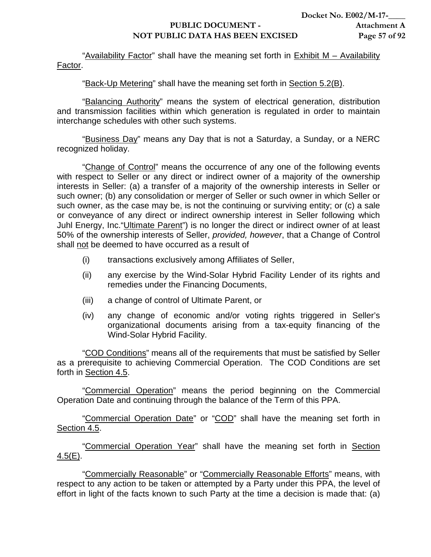"Availability Factor" shall have the meaning set forth in Exhibit M – Availability Factor.

"Back-Up Metering" shall have the meaning set forth in Section 5.2(B).

"Balancing Authority" means the system of electrical generation, distribution and transmission facilities within which generation is regulated in order to maintain interchange schedules with other such systems.

"Business Day" means any Day that is not a Saturday, a Sunday, or a NERC recognized holiday.

"Change of Control" means the occurrence of any one of the following events with respect to Seller or any direct or indirect owner of a majority of the ownership interests in Seller: (a) a transfer of a majority of the ownership interests in Seller or such owner; (b) any consolidation or merger of Seller or such owner in which Seller or such owner, as the case may be, is not the continuing or surviving entity; or (c) a sale or conveyance of any direct or indirect ownership interest in Seller following which Juhl Energy, Inc. "Ultimate Parent") is no longer the direct or indirect owner of at least 50% of the ownership interests of Seller, *provided, however*, that a Change of Control shall not be deemed to have occurred as a result of

- (i) transactions exclusively among Affiliates of Seller,
- (ii) any exercise by the Wind-Solar Hybrid Facility Lender of its rights and remedies under the Financing Documents,
- (iii) a change of control of Ultimate Parent, or
- (iv) any change of economic and/or voting rights triggered in Seller's organizational documents arising from a tax-equity financing of the Wind-Solar Hybrid Facility.

"COD Conditions" means all of the requirements that must be satisfied by Seller as a prerequisite to achieving Commercial Operation. The COD Conditions are set forth in Section 4.5.

"Commercial Operation" means the period beginning on the Commercial Operation Date and continuing through the balance of the Term of this PPA.

"Commercial Operation Date" or "COD" shall have the meaning set forth in Section 4.5.

"Commercial Operation Year" shall have the meaning set forth in Section  $4.5(E)$ .

"Commercially Reasonable" or "Commercially Reasonable Efforts" means, with respect to any action to be taken or attempted by a Party under this PPA, the level of effort in light of the facts known to such Party at the time a decision is made that: (a)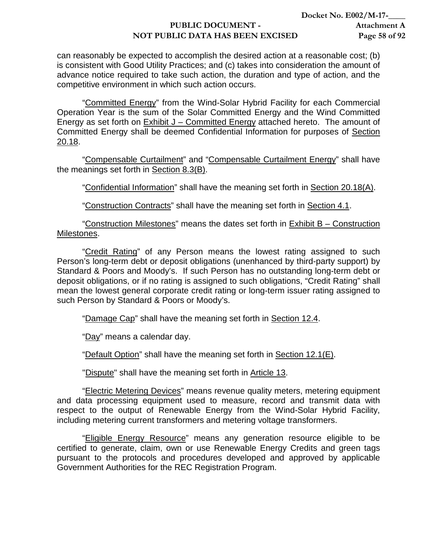can reasonably be expected to accomplish the desired action at a reasonable cost; (b) is consistent with Good Utility Practices; and (c) takes into consideration the amount of advance notice required to take such action, the duration and type of action, and the competitive environment in which such action occurs.

"Committed Energy" from the Wind-Solar Hybrid Facility for each Commercial Operation Year is the sum of the Solar Committed Energy and the Wind Committed Energy as set forth on  $Exhibit J - Committee Energy$  attached hereto. The amount of Committed Energy shall be deemed Confidential Information for purposes of Section 20.18.

"Compensable Curtailment" and "Compensable Curtailment Energy" shall have the meanings set forth in Section 8.3(B).

"Confidential Information" shall have the meaning set forth in Section 20.18(A).

"Construction Contracts" shall have the meaning set forth in Section 4.1.

"Construction Milestones" means the dates set forth in Exhibit B – Construction Milestones.

"Credit Rating" of any Person means the lowest rating assigned to such Person's long-term debt or deposit obligations (unenhanced by third-party support) by Standard & Poors and Moody's. If such Person has no outstanding long-term debt or deposit obligations, or if no rating is assigned to such obligations, "Credit Rating" shall mean the lowest general corporate credit rating or long-term issuer rating assigned to such Person by Standard & Poors or Moody's.

"Damage Cap" shall have the meaning set forth in Section 12.4.

"Day" means a calendar day.

"Default Option" shall have the meaning set forth in Section 12.1(E).

"Dispute" shall have the meaning set forth in Article 13.

"Electric Metering Devices" means revenue quality meters, metering equipment and data processing equipment used to measure, record and transmit data with respect to the output of Renewable Energy from the Wind-Solar Hybrid Facility, including metering current transformers and metering voltage transformers.

"Eligible Energy Resource" means any generation resource eligible to be certified to generate, claim, own or use Renewable Energy Credits and green tags pursuant to the protocols and procedures developed and approved by applicable Government Authorities for the REC Registration Program.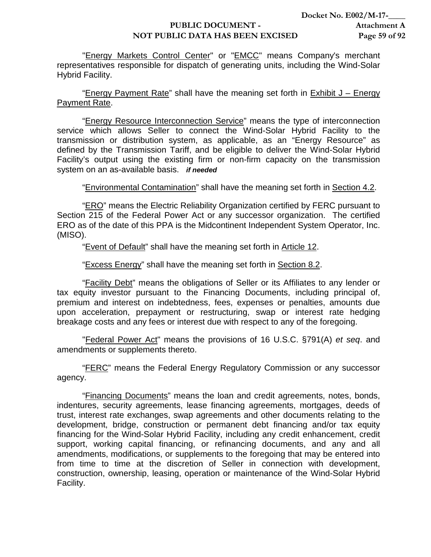"Energy Markets Control Center" or "EMCC" means Company's merchant representatives responsible for dispatch of generating units, including the Wind-Solar Hybrid Facility.

"Energy Payment Rate" shall have the meaning set forth in Exhibit J – Energy Payment Rate.

"Energy Resource Interconnection Service" means the type of interconnection service which allows Seller to connect the Wind-Solar Hybrid Facility to the transmission or distribution system, as applicable, as an "Energy Resource" as defined by the Transmission Tariff, and be eligible to deliver the Wind-Solar Hybrid Facility's output using the existing firm or non-firm capacity on the transmission system on an as-available basis. *if needed*

"Environmental Contamination" shall have the meaning set forth in Section 4.2.

"ERO" means the Electric Reliability Organization certified by FERC pursuant to Section 215 of the Federal Power Act or any successor organization. The certified ERO as of the date of this PPA is the Midcontinent Independent System Operator, Inc. (MISO).

"Event of Default" shall have the meaning set forth in Article 12.

"Excess Energy" shall have the meaning set forth in Section 8.2.

"Facility Debt" means the obligations of Seller or its Affiliates to any lender or tax equity investor pursuant to the Financing Documents, including principal of, premium and interest on indebtedness, fees, expenses or penalties, amounts due upon acceleration, prepayment or restructuring, swap or interest rate hedging breakage costs and any fees or interest due with respect to any of the foregoing.

"Federal Power Act" means the provisions of 16 U.S.C. §791(A) *et seq*. and amendments or supplements thereto.

"FERC" means the Federal Energy Regulatory Commission or any successor agency.

"Financing Documents" means the loan and credit agreements, notes, bonds, indentures, security agreements, lease financing agreements, mortgages, deeds of trust, interest rate exchanges, swap agreements and other documents relating to the development, bridge, construction or permanent debt financing and/or tax equity financing for the Wind-Solar Hybrid Facility, including any credit enhancement, credit support, working capital financing, or refinancing documents, and any and all amendments, modifications, or supplements to the foregoing that may be entered into from time to time at the discretion of Seller in connection with development, construction, ownership, leasing, operation or maintenance of the Wind-Solar Hybrid Facility.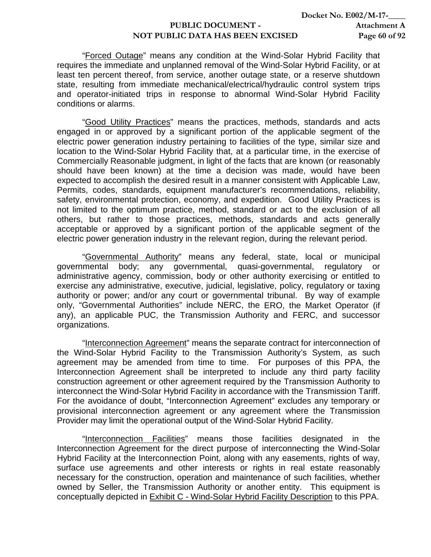**Docket No. E002/M-17-\_\_\_\_ Attachment A Page 60 of 92**

"Forced Outage" means any condition at the Wind-Solar Hybrid Facility that requires the immediate and unplanned removal of the Wind-Solar Hybrid Facility, or at least ten percent thereof, from service, another outage state, or a reserve shutdown state, resulting from immediate mechanical/electrical/hydraulic control system trips and operator-initiated trips in response to abnormal Wind-Solar Hybrid Facility conditions or alarms.

"Good Utility Practices" means the practices, methods, standards and acts engaged in or approved by a significant portion of the applicable segment of the electric power generation industry pertaining to facilities of the type, similar size and location to the Wind-Solar Hybrid Facility that, at a particular time, in the exercise of Commercially Reasonable judgment, in light of the facts that are known (or reasonably should have been known) at the time a decision was made, would have been expected to accomplish the desired result in a manner consistent with Applicable Law, Permits, codes, standards, equipment manufacturer's recommendations, reliability, safety, environmental protection, economy, and expedition. Good Utility Practices is not limited to the optimum practice, method, standard or act to the exclusion of all others, but rather to those practices, methods, standards and acts generally acceptable or approved by a significant portion of the applicable segment of the electric power generation industry in the relevant region, during the relevant period.

"Governmental Authority" means any federal, state, local or municipal governmental body; any governmental, quasi-governmental, regulatory or administrative agency, commission, body or other authority exercising or entitled to exercise any administrative, executive, judicial, legislative, policy, regulatory or taxing authority or power; and/or any court or governmental tribunal. By way of example only, "Governmental Authorities" include NERC, the ERO, the Market Operator (if any), an applicable PUC, the Transmission Authority and FERC, and successor organizations.

"Interconnection Agreement" means the separate contract for interconnection of the Wind-Solar Hybrid Facility to the Transmission Authority's System, as such agreement may be amended from time to time. For purposes of this PPA, the Interconnection Agreement shall be interpreted to include any third party facility construction agreement or other agreement required by the Transmission Authority to interconnect the Wind-Solar Hybrid Facility in accordance with the Transmission Tariff. For the avoidance of doubt, "Interconnection Agreement" excludes any temporary or provisional interconnection agreement or any agreement where the Transmission Provider may limit the operational output of the Wind-Solar Hybrid Facility.

"Interconnection Facilities" means those facilities designated in the Interconnection Agreement for the direct purpose of interconnecting the Wind-Solar Hybrid Facility at the Interconnection Point, along with any easements, rights of way, surface use agreements and other interests or rights in real estate reasonably necessary for the construction, operation and maintenance of such facilities, whether owned by Seller, the Transmission Authority or another entity. This equipment is conceptually depicted in Exhibit C - Wind-Solar Hybrid Facility Description to this PPA.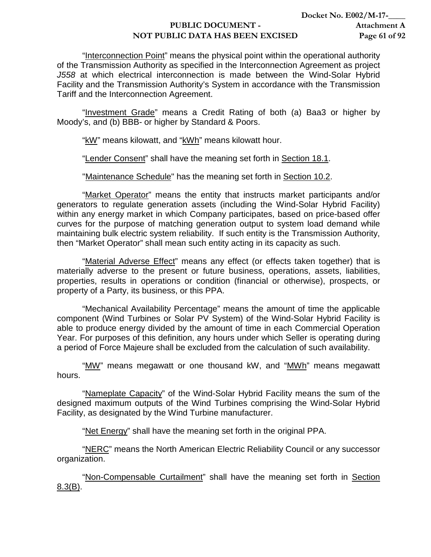"Interconnection Point" means the physical point within the operational authority of the Transmission Authority as specified in the Interconnection Agreement as project *J558* at which electrical interconnection is made between the Wind-Solar Hybrid Facility and the Transmission Authority's System in accordance with the Transmission Tariff and the Interconnection Agreement.

"Investment Grade" means a Credit Rating of both (a) Baa3 or higher by Moody's, and (b) BBB- or higher by Standard & Poors.

"kW" means kilowatt, and "kWh" means kilowatt hour.

"Lender Consent" shall have the meaning set forth in Section 18.1.

"Maintenance Schedule" has the meaning set forth in Section 10.2.

"Market Operator" means the entity that instructs market participants and/or generators to regulate generation assets (including the Wind-Solar Hybrid Facility) within any energy market in which Company participates, based on price-based offer curves for the purpose of matching generation output to system load demand while maintaining bulk electric system reliability. If such entity is the Transmission Authority, then "Market Operator" shall mean such entity acting in its capacity as such.

"Material Adverse Effect" means any effect (or effects taken together) that is materially adverse to the present or future business, operations, assets, liabilities, properties, results in operations or condition (financial or otherwise), prospects, or property of a Party, its business, or this PPA.

"Mechanical Availability Percentage" means the amount of time the applicable component (Wind Turbines or Solar PV System) of the Wind-Solar Hybrid Facility is able to produce energy divided by the amount of time in each Commercial Operation Year. For purposes of this definition, any hours under which Seller is operating during a period of Force Majeure shall be excluded from the calculation of such availability.

"MW" means megawatt or one thousand kW, and "MWh" means megawatt hours.

"Nameplate Capacity" of the Wind-Solar Hybrid Facility means the sum of the designed maximum outputs of the Wind Turbines comprising the Wind-Solar Hybrid Facility, as designated by the Wind Turbine manufacturer.

"Net Energy" shall have the meaning set forth in the original PPA.

"NERC" means the North American Electric Reliability Council or any successor organization.

"Non-Compensable Curtailment" shall have the meaning set forth in Section 8.3(B).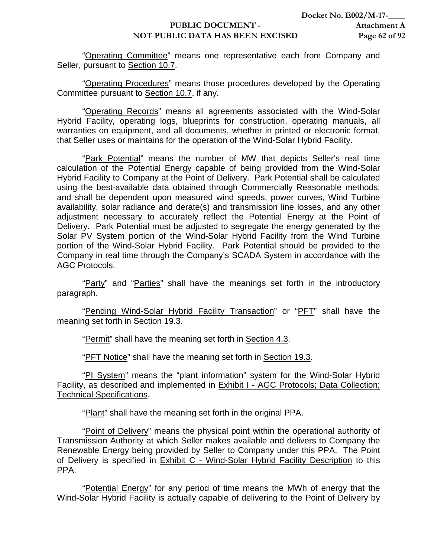"Operating Committee" means one representative each from Company and Seller, pursuant to Section 10.7.

"Operating Procedures" means those procedures developed by the Operating Committee pursuant to Section 10.7, if any.

"Operating Records" means all agreements associated with the Wind-Solar Hybrid Facility, operating logs, blueprints for construction, operating manuals, all warranties on equipment, and all documents, whether in printed or electronic format, that Seller uses or maintains for the operation of the Wind-Solar Hybrid Facility.

"Park Potential" means the number of MW that depicts Seller's real time calculation of the Potential Energy capable of being provided from the Wind-Solar Hybrid Facility to Company at the Point of Delivery. Park Potential shall be calculated using the best-available data obtained through Commercially Reasonable methods; and shall be dependent upon measured wind speeds, power curves, Wind Turbine availability, solar radiance and derate(s) and transmission line losses, and any other adjustment necessary to accurately reflect the Potential Energy at the Point of Delivery. Park Potential must be adjusted to segregate the energy generated by the Solar PV System portion of the Wind-Solar Hybrid Facility from the Wind Turbine portion of the Wind-Solar Hybrid Facility. Park Potential should be provided to the Company in real time through the Company's SCADA System in accordance with the AGC Protocols.

"Party" and "Parties" shall have the meanings set forth in the introductory paragraph.

"Pending Wind-Solar Hybrid Facility Transaction" or "PFT" shall have the meaning set forth in Section 19.3.

"Permit" shall have the meaning set forth in Section 4.3.

"PFT Notice" shall have the meaning set forth in Section 19.3.

"PI System" means the "plant information" system for the Wind-Solar Hybrid Facility, as described and implemented in Exhibit I - AGC Protocols; Data Collection; Technical Specifications.

"Plant" shall have the meaning set forth in the original PPA.

"Point of Delivery" means the physical point within the operational authority of Transmission Authority at which Seller makes available and delivers to Company the Renewable Energy being provided by Seller to Company under this PPA. The Point of Delivery is specified in **Exhibit C - Wind-Solar Hybrid Facility Description** to this PPA.

"Potential Energy" for any period of time means the MWh of energy that the Wind-Solar Hybrid Facility is actually capable of delivering to the Point of Delivery by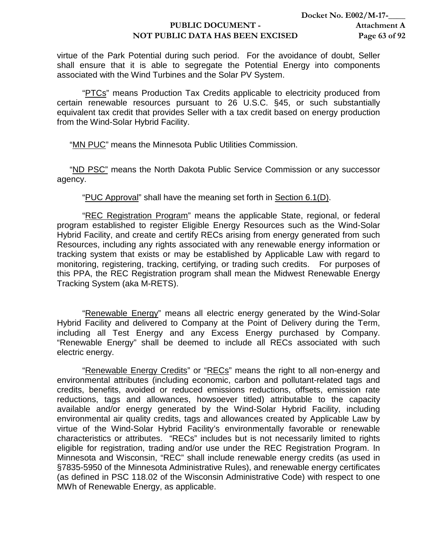virtue of the Park Potential during such period. For the avoidance of doubt, Seller shall ensure that it is able to segregate the Potential Energy into components associated with the Wind Turbines and the Solar PV System.

"PTCs" means Production Tax Credits applicable to electricity produced from certain renewable resources pursuant to 26 U.S.C. §45, or such substantially equivalent tax credit that provides Seller with a tax credit based on energy production from the Wind-Solar Hybrid Facility.

"MN PUC" means the Minnesota Public Utilities Commission.

"ND PSC" means the North Dakota Public Service Commission or any successor agency.

"PUC Approval" shall have the meaning set forth in Section 6.1(D).

"REC Registration Program" means the applicable State, regional, or federal program established to register Eligible Energy Resources such as the Wind-Solar Hybrid Facility, and create and certify RECs arising from energy generated from such Resources, including any rights associated with any renewable energy information or tracking system that exists or may be established by Applicable Law with regard to monitoring, registering, tracking, certifying, or trading such credits. For purposes of this PPA, the REC Registration program shall mean the Midwest Renewable Energy Tracking System (aka M-RETS).

"Renewable Energy" means all electric energy generated by the Wind-Solar Hybrid Facility and delivered to Company at the Point of Delivery during the Term, including all Test Energy and any Excess Energy purchased by Company. "Renewable Energy" shall be deemed to include all RECs associated with such electric energy.

"Renewable Energy Credits" or "RECs" means the right to all non-energy and environmental attributes (including economic, carbon and pollutant-related tags and credits, benefits, avoided or reduced emissions reductions, offsets, emission rate reductions, tags and allowances, howsoever titled) attributable to the capacity available and/or energy generated by the Wind-Solar Hybrid Facility, including environmental air quality credits, tags and allowances created by Applicable Law by virtue of the Wind-Solar Hybrid Facility's environmentally favorable or renewable characteristics or attributes. "RECs" includes but is not necessarily limited to rights eligible for registration, trading and/or use under the REC Registration Program. In Minnesota and Wisconsin, "REC" shall include renewable energy credits (as used in §7835-5950 of the Minnesota Administrative Rules), and renewable energy certificates (as defined in PSC 118.02 of the Wisconsin Administrative Code) with respect to one MWh of Renewable Energy, as applicable.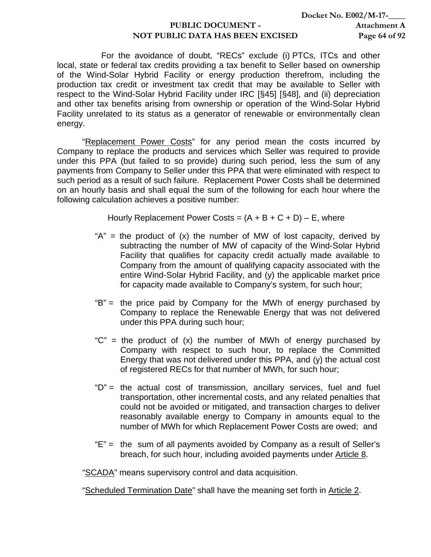For the avoidance of doubt, "RECs" exclude (i) PTCs, ITCs and other local, state or federal tax credits providing a tax benefit to Seller based on ownership of the Wind-Solar Hybrid Facility or energy production therefrom, including the production tax credit or investment tax credit that may be available to Seller with respect to the Wind-Solar Hybrid Facility under IRC [§45] [§48], and (ii) depreciation and other tax benefits arising from ownership or operation of the Wind-Solar Hybrid Facility unrelated to its status as a generator of renewable or environmentally clean energy.

"Replacement Power Costs" for any period mean the costs incurred by Company to replace the products and services which Seller was required to provide under this PPA (but failed to so provide) during such period, less the sum of any payments from Company to Seller under this PPA that were eliminated with respect to such period as a result of such failure. Replacement Power Costs shall be determined on an hourly basis and shall equal the sum of the following for each hour where the following calculation achieves a positive number:

Hourly Replacement Power Costs =  $(A + B + C + D) - E$ , where

- "A" = the product of  $(x)$  the number of MW of lost capacity, derived by subtracting the number of MW of capacity of the Wind-Solar Hybrid Facility that qualifies for capacity credit actually made available to Company from the amount of qualifying capacity associated with the entire Wind-Solar Hybrid Facility, and (y) the applicable market price for capacity made available to Company's system, for such hour;
- "B" = the price paid by Company for the MWh of energy purchased by Company to replace the Renewable Energy that was not delivered under this PPA during such hour;
- " $C$ " = the product of  $(x)$  the number of MWh of energy purchased by Company with respect to such hour, to replace the Committed Energy that was not delivered under this PPA, and (y) the actual cost of registered RECs for that number of MWh, for such hour;
- "D" = the actual cost of transmission, ancillary services, fuel and fuel transportation, other incremental costs, and any related penalties that could not be avoided or mitigated, and transaction charges to deliver reasonably available energy to Company in amounts equal to the number of MWh for which Replacement Power Costs are owed; and
- "E" = the sum of all payments avoided by Company as a result of Seller's breach, for such hour, including avoided payments under Article 8.

"SCADA" means supervisory control and data acquisition.

"Scheduled Termination Date" shall have the meaning set forth in Article 2.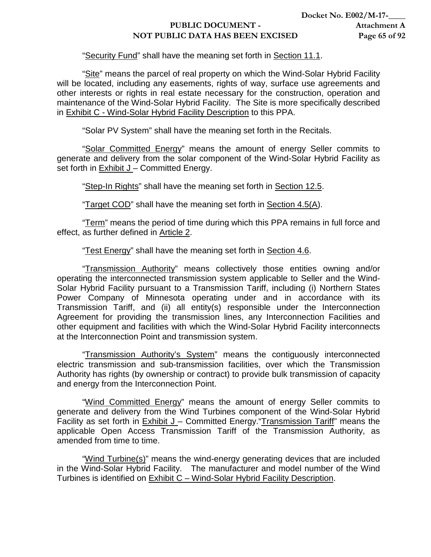### "Security Fund" shall have the meaning set forth in Section 11.1.

"Site" means the parcel of real property on which the Wind-Solar Hybrid Facility will be located, including any easements, rights of way, surface use agreements and other interests or rights in real estate necessary for the construction, operation and maintenance of the Wind-Solar Hybrid Facility. The Site is more specifically described in Exhibit C - Wind-Solar Hybrid Facility Description to this PPA.

"Solar PV System" shall have the meaning set forth in the Recitals.

"Solar Committed Energy" means the amount of energy Seller commits to generate and delivery from the solar component of the Wind-Solar Hybrid Facility as set forth in Exhibit J – Committed Energy.

"Step-In Rights" shall have the meaning set forth in Section 12.5.

"Target COD" shall have the meaning set forth in Section 4.5(A).

"Term" means the period of time during which this PPA remains in full force and effect, as further defined in Article 2.

"Test Energy" shall have the meaning set forth in Section 4.6.

"Transmission Authority" means collectively those entities owning and/or operating the interconnected transmission system applicable to Seller and the Wind-Solar Hybrid Facility pursuant to a Transmission Tariff, including (i) Northern States Power Company of Minnesota operating under and in accordance with its Transmission Tariff, and (ii) all entity(s) responsible under the Interconnection Agreement for providing the transmission lines, any Interconnection Facilities and other equipment and facilities with which the Wind-Solar Hybrid Facility interconnects at the Interconnection Point and transmission system.

"Transmission Authority's System" means the contiguously interconnected electric transmission and sub-transmission facilities, over which the Transmission Authority has rights (by ownership or contract) to provide bulk transmission of capacity and energy from the Interconnection Point.

"Wind Committed Energy" means the amount of energy Seller commits to generate and delivery from the Wind Turbines component of the Wind-Solar Hybrid Facility as set forth in Exhibit  $J -$  Committed Energy. "Transmission Tariff" means the applicable Open Access Transmission Tariff of the Transmission Authority, as amended from time to time.

"Wind Turbine(s)" means the wind-energy generating devices that are included in the Wind-Solar Hybrid Facility. The manufacturer and model number of the Wind Turbines is identified on Exhibit C – Wind-Solar Hybrid Facility Description.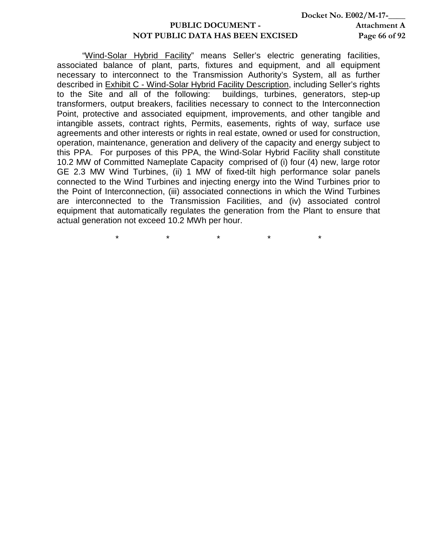**Docket No. E002/M-17-\_\_\_\_ Attachment A Page 66 of 92**

"Wind-Solar Hybrid Facility" means Seller's electric generating facilities, associated balance of plant, parts, fixtures and equipment, and all equipment necessary to interconnect to the Transmission Authority's System, all as further described in Exhibit C - Wind-Solar Hybrid Facility Description, including Seller's rights to the Site and all of the following: buildings, turbines, generators, step-up transformers, output breakers, facilities necessary to connect to the Interconnection Point, protective and associated equipment, improvements, and other tangible and intangible assets, contract rights, Permits, easements, rights of way, surface use agreements and other interests or rights in real estate, owned or used for construction, operation, maintenance, generation and delivery of the capacity and energy subject to this PPA. For purposes of this PPA, the Wind-Solar Hybrid Facility shall constitute 10.2 MW of Committed Nameplate Capacity comprised of (i) four (4) new, large rotor GE 2.3 MW Wind Turbines, (ii) 1 MW of fixed-tilt high performance solar panels connected to the Wind Turbines and injecting energy into the Wind Turbines prior to the Point of Interconnection, (iii) associated connections in which the Wind Turbines are interconnected to the Transmission Facilities, and (iv) associated control equipment that automatically regulates the generation from the Plant to ensure that actual generation not exceed 10.2 MWh per hour.

\* \* \* \* \*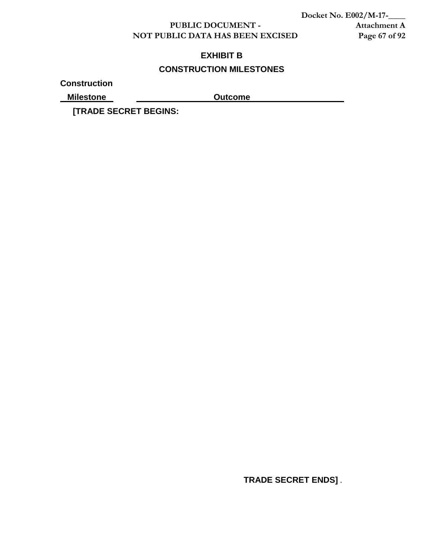**Docket No. E002/M-17-\_\_\_\_ Attachment A Page 67 of 92**

# **EXHIBIT B**

# **CONSTRUCTION MILESTONES**

**Construction**

**Milestone Cutcome Outcome** 

**[TRADE SECRET BEGINS:**

**TRADE SECRET ENDS]** *.*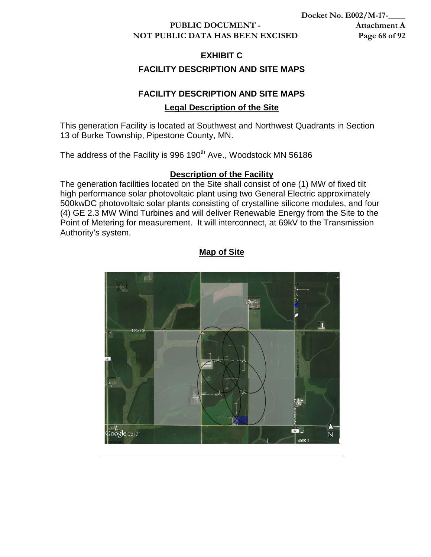**Docket No. E002/M-17-\_\_\_\_ Attachment A Page 68 of 92**

### **EXHIBIT C**

#### **FACILITY DESCRIPTION AND SITE MAPS**

### **FACILITY DESCRIPTION AND SITE MAPS**

#### **Legal Description of the Site**

This generation Facility is located at Southwest and Northwest Quadrants in Section 13 of Burke Township, Pipestone County, MN.

The address of the Facility is 996 190<sup>th</sup> Ave., Woodstock MN 56186

#### **Description of the Facility**

The generation facilities located on the Site shall consist of one (1) MW of fixed tilt high performance solar photovoltaic plant using two General Electric approximately 500kwDC photovoltaic solar plants consisting of crystalline silicone modules, and four (4) GE 2.3 MW Wind Turbines and will deliver Renewable Energy from the Site to the Point of Metering for measurement. It will interconnect, at 69kV to the Transmission Authority's system.

### **Map of Site**

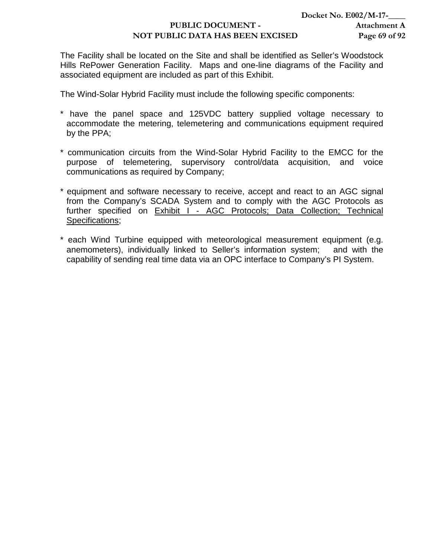#### **PUBLIC DOCUMENT - NOT PUBLIC DATA HAS BEEN EXCISED Docket No. E002/M-17-\_\_\_\_ Attachment A Page 69 of 92**

The Facility shall be located on the Site and shall be identified as Seller's Woodstock Hills RePower Generation Facility. Maps and one-line diagrams of the Facility and associated equipment are included as part of this Exhibit.

The Wind-Solar Hybrid Facility must include the following specific components:

- \* have the panel space and 125VDC battery supplied voltage necessary to accommodate the metering, telemetering and communications equipment required by the PPA;
- \* communication circuits from the Wind-Solar Hybrid Facility to the EMCC for the purpose of telemetering, supervisory control/data acquisition, and voice communications as required by Company;
- \* equipment and software necessary to receive, accept and react to an AGC signal from the Company's SCADA System and to comply with the AGC Protocols as further specified on Exhibit I - AGC Protocols; Data Collection; Technical Specifications;
- \* each Wind Turbine equipped with meteorological measurement equipment (e.g. anemometers), individually linked to Seller's information system; and with the capability of sending real time data via an OPC interface to Company's PI System.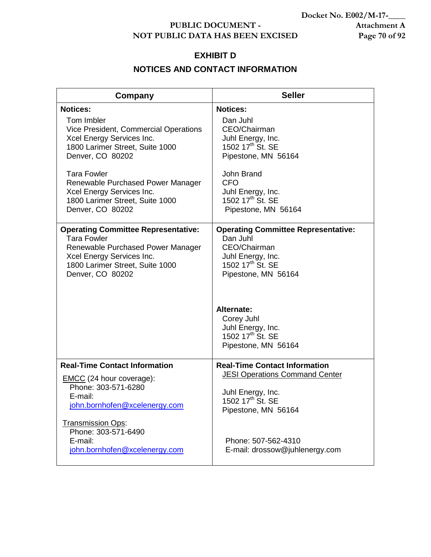**Docket No. E002/M-17-\_\_\_\_ Attachment A Page 70 of 92**

# **EXHIBIT D**

# **NOTICES AND CONTACT INFORMATION**

| Company                                                                                                                                                                                   | <b>Seller</b>                                                                                                                                      |
|-------------------------------------------------------------------------------------------------------------------------------------------------------------------------------------------|----------------------------------------------------------------------------------------------------------------------------------------------------|
| <b>Notices:</b><br>Tom Imbler<br>Vice President, Commercial Operations<br>Xcel Energy Services Inc.<br>1800 Larimer Street, Suite 1000<br>Denver, CO 80202                                | <b>Notices:</b><br>Dan Juhl<br>CEO/Chairman<br>Juhl Energy, Inc.<br>1502 17th St. SE<br>Pipestone, MN 56164                                        |
| <b>Tara Fowler</b><br>Renewable Purchased Power Manager<br>Xcel Energy Services Inc.<br>1800 Larimer Street, Suite 1000<br>Denver, CO 80202                                               | John Brand<br><b>CFO</b><br>Juhl Energy, Inc.<br>1502 17 <sup>th</sup> St. SE<br>Pipestone, MN 56164                                               |
| <b>Operating Committee Representative:</b><br><b>Tara Fowler</b><br>Renewable Purchased Power Manager<br>Xcel Energy Services Inc.<br>1800 Larimer Street, Suite 1000<br>Denver, CO 80202 | <b>Operating Committee Representative:</b><br>Dan Juhl<br>CEO/Chairman<br>Juhl Energy, Inc.<br>1502 17 <sup>th</sup> St. SE<br>Pipestone, MN 56164 |
|                                                                                                                                                                                           | Alternate:<br>Corey Juhl<br>Juhl Energy, Inc.<br>1502 17 <sup>th</sup> St. SE<br>Pipestone, MN 56164                                               |
| <b>Real-Time Contact Information</b>                                                                                                                                                      | <b>Real-Time Contact Information</b><br><b>JESI Operations Command Center</b>                                                                      |
| <b>EMCC</b> (24 hour coverage):<br>Phone: 303-571-6280<br>E-mail:<br>john.bornhofen@xcelenergy.com                                                                                        | Juhl Energy, Inc.<br>1502 17 <sup>th</sup> St. SE<br>Pipestone, MN 56164                                                                           |
| <b>Transmission Ops:</b><br>Phone: 303-571-6490<br>E-mail:<br>john.bornhofen@xcelenergy.com                                                                                               | Phone: 507-562-4310<br>E-mail: drossow@juhlenergy.com                                                                                              |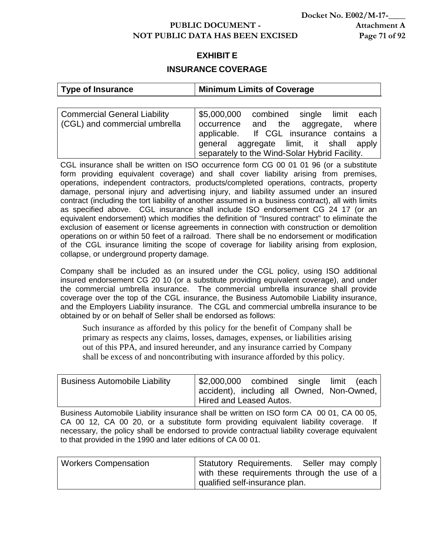**Docket No. E002/M-17-\_\_\_\_ Attachment A Page 71 of 92**

#### **EXHIBIT E**

#### **INSURANCE COVERAGE**

| Type of Insurance                                                    | <b>Minimum Limits of Coverage</b>                                                                                                                                                                                             |  |
|----------------------------------------------------------------------|-------------------------------------------------------------------------------------------------------------------------------------------------------------------------------------------------------------------------------|--|
|                                                                      |                                                                                                                                                                                                                               |  |
| <b>Commercial General Liability</b><br>(CGL) and commercial umbrella | \$5,000,000<br>combined single limit<br>each<br>occurrence and the aggregate,<br>where<br>applicable. If CGL insurance contains a<br>general aggregate limit, it shall apply<br>separately to the Wind-Solar Hybrid Facility. |  |

CGL insurance shall be written on ISO occurrence form CG 00 01 01 96 (or a substitute form providing equivalent coverage) and shall cover liability arising from premises, operations, independent contractors, products/completed operations, contracts, property damage, personal injury and advertising injury, and liability assumed under an insured contract (including the tort liability of another assumed in a business contract), all with limits as specified above. CGL insurance shall include ISO endorsement CG 24 17 (or an equivalent endorsement) which modifies the definition of "Insured contract" to eliminate the exclusion of easement or license agreements in connection with construction or demolition operations on or within 50 feet of a railroad. There shall be no endorsement or modification of the CGL insurance limiting the scope of coverage for liability arising from explosion, collapse, or underground property damage.

Company shall be included as an insured under the CGL policy, using ISO additional insured endorsement CG 20 10 (or a substitute providing equivalent coverage), and under the commercial umbrella insurance. The commercial umbrella insurance shall provide coverage over the top of the CGL insurance, the Business Automobile Liability insurance, and the Employers Liability insurance. The CGL and commercial umbrella insurance to be obtained by or on behalf of Seller shall be endorsed as follows:

Such insurance as afforded by this policy for the benefit of Company shall be primary as respects any claims, losses, damages, expenses, or liabilities arising out of this PPA, and insured hereunder, and any insurance carried by Company shall be excess of and noncontributing with insurance afforded by this policy.

| <b>Business Automobile Liability</b> | \$2,000,000 combined single limit (each    |  |  |  |
|--------------------------------------|--------------------------------------------|--|--|--|
|                                      | accident), including all Owned, Non-Owned, |  |  |  |
|                                      | Hired and Leased Autos.                    |  |  |  |

Business Automobile Liability insurance shall be written on ISO form CA 00 01, CA 00 05, CA 00 12, CA 00 20, or a substitute form providing equivalent liability coverage. If necessary, the policy shall be endorsed to provide contractual liability coverage equivalent to that provided in the 1990 and later editions of CA 00 01.

| <b>Workers Compensation</b> | Statutory Requirements. Seller may comply<br>with these requirements through the use of a |
|-----------------------------|-------------------------------------------------------------------------------------------|
|                             | qualified self-insurance plan.                                                            |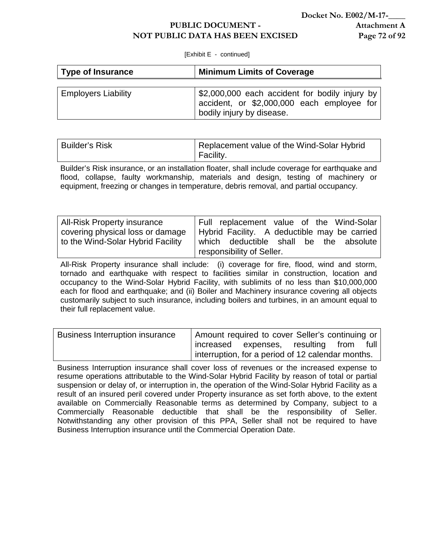[Exhibit E - continued]

| <b>Type of Insurance</b>   | <b>Minimum Limits of Coverage</b>                                                                                         |
|----------------------------|---------------------------------------------------------------------------------------------------------------------------|
| <b>Employers Liability</b> | \$2,000,000 each accident for bodily injury by<br>accident, or \$2,000,000 each employee for<br>bodily injury by disease. |

| Builder's Risk | Replacement value of the Wind-Solar Hybrid |
|----------------|--------------------------------------------|
|                | $\vert$ Facility.                          |

Builder's Risk insurance, or an installation floater, shall include coverage for earthquake and flood, collapse, faulty workmanship, materials and design, testing of machinery or equipment, freezing or changes in temperature, debris removal, and partial occupancy.

| <b>All-Risk Property insurance</b> | Full replacement value of the Wind-Solar     |
|------------------------------------|----------------------------------------------|
| covering physical loss or damage   | Hybrid Facility. A deductible may be carried |
| to the Wind-Solar Hybrid Facility  | which deductible shall be the absolute       |
|                                    | responsibility of Seller.                    |

All-Risk Property insurance shall include: (i) coverage for fire, flood, wind and storm, tornado and earthquake with respect to facilities similar in construction, location and occupancy to the Wind-Solar Hybrid Facility, with sublimits of no less than \$10,000,000 each for flood and earthquake; and (ii) Boiler and Machinery insurance covering all objects customarily subject to such insurance, including boilers and turbines, in an amount equal to their full replacement value.

| <b>Business Interruption insurance</b> | Amount required to cover Seller's continuing or   |  |      |
|----------------------------------------|---------------------------------------------------|--|------|
|                                        | I increased expenses, resulting from              |  | full |
|                                        | interruption, for a period of 12 calendar months. |  |      |

Business Interruption insurance shall cover loss of revenues or the increased expense to resume operations attributable to the Wind-Solar Hybrid Facility by reason of total or partial suspension or delay of, or interruption in, the operation of the Wind-Solar Hybrid Facility as a result of an insured peril covered under Property insurance as set forth above, to the extent available on Commercially Reasonable terms as determined by Company, subject to a Commercially Reasonable deductible that shall be the responsibility of Seller. Notwithstanding any other provision of this PPA, Seller shall not be required to have Business Interruption insurance until the Commercial Operation Date.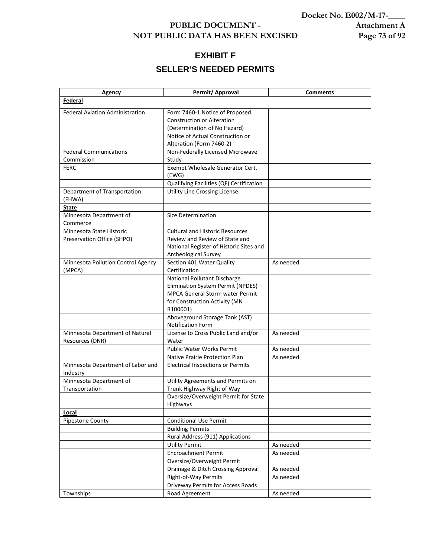**Docket No. E002/M-17-\_\_\_\_ Attachment A Page 73 of 92**

# **EXHIBIT F SELLER'S NEEDED PERMITS**

| Agency                                    | Permit/ Approval                                                   | <b>Comments</b>        |
|-------------------------------------------|--------------------------------------------------------------------|------------------------|
| Federal                                   |                                                                    |                        |
| <b>Federal Aviation Administration</b>    | Form 7460-1 Notice of Proposed                                     |                        |
|                                           | <b>Construction or Alteration</b>                                  |                        |
|                                           | (Determination of No Hazard)                                       |                        |
|                                           | Notice of Actual Construction or                                   |                        |
|                                           | Alteration (Form 7460-2)                                           |                        |
| <b>Federal Communications</b>             | Non-Federally Licensed Microwave                                   |                        |
| Commission                                | Study                                                              |                        |
| <b>FERC</b>                               | Exempt Wholesale Generator Cert.                                   |                        |
|                                           | (EWG)                                                              |                        |
|                                           | Qualifying Facilities (QF) Certification                           |                        |
| Department of Transportation              | <b>Utility Line Crossing License</b>                               |                        |
| (FHWA)                                    |                                                                    |                        |
| <b>State</b>                              |                                                                    |                        |
| Minnesota Department of                   | Size Determination                                                 |                        |
| Commerce                                  |                                                                    |                        |
| Minnesota State Historic                  | <b>Cultural and Historic Resources</b>                             |                        |
| Preservation Office (SHPO)                | Review and Review of State and                                     |                        |
|                                           | National Register of Historic Sites and                            |                        |
|                                           | Archeological Survey                                               |                        |
| Minnesota Pollution Control Agency        | Section 401 Water Quality                                          | As needed              |
| (MPCA)                                    | Certification                                                      |                        |
|                                           | National Pollutant Discharge                                       |                        |
|                                           | Elimination System Permit (NPDES) -                                |                        |
|                                           | <b>MPCA General Storm water Permit</b>                             |                        |
|                                           | for Construction Activity (MN                                      |                        |
|                                           | R100001)                                                           |                        |
|                                           | Aboveground Storage Tank (AST)                                     |                        |
|                                           | <b>Notification Form</b>                                           |                        |
| Minnesota Department of Natural           | License to Cross Public Land and/or                                | As needed              |
| Resources (DNR)                           | Water                                                              |                        |
|                                           | <b>Public Water Works Permit</b>                                   | As needed              |
|                                           | Native Prairie Protection Plan                                     | As needed              |
| Minnesota Department of Labor and         | <b>Electrical Inspections or Permits</b>                           |                        |
| Industry                                  |                                                                    |                        |
| Minnesota Department of<br>Transportation | Utility Agreements and Permits on                                  |                        |
|                                           | Trunk Highway Right of Way<br>Oversize/Overweight Permit for State |                        |
|                                           | <b>Highways</b>                                                    |                        |
| Local                                     |                                                                    |                        |
| Pipestone County                          | <b>Conditional Use Permit</b>                                      |                        |
|                                           | <b>Building Permits</b>                                            |                        |
|                                           |                                                                    |                        |
|                                           | Rural Address (911) Applications<br><b>Utility Permit</b>          | As needed              |
|                                           | <b>Encroachment Permit</b>                                         | As needed              |
|                                           | Oversize/Overweight Permit                                         |                        |
|                                           |                                                                    |                        |
|                                           | Drainage & Ditch Crossing Approval<br>Right-of-Way Permits         | As needed<br>As needed |
|                                           | <b>Driveway Permits for Access Roads</b>                           |                        |
| Townships                                 | Road Agreement                                                     |                        |
|                                           |                                                                    | As needed              |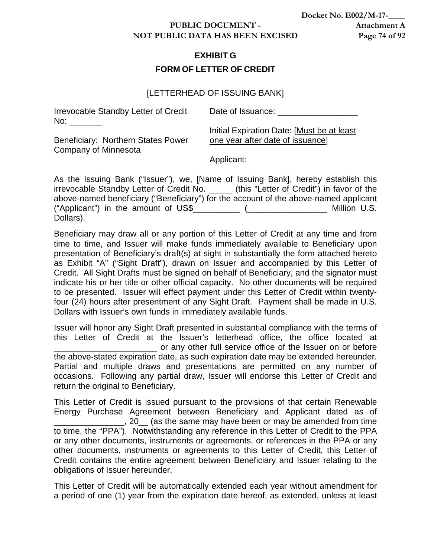**Docket No. E002/M-17-\_\_\_\_ Attachment A Page 74 of 92**

#### **EXHIBIT G**

#### **FORM OF LETTER OF CREDIT**

#### [LETTERHEAD OF ISSUING BANK]

Irrevocable Standby Letter of Credit No:  $\_\_\_\_\_\_\_\_\_\_\_$ 

Date of Issuance:  $\Box$ 

Beneficiary: Northern States Power Company of Minnesota

Initial Expiration Date: [Must be at least one year after date of issuance]

Applicant:

As the Issuing Bank ("Issuer"), we, [Name of Issuing Bank], hereby establish this irrevocable Standby Letter of Credit No. \_\_\_\_\_ (this "Letter of Credit") in favor of the above-named beneficiary ("Beneficiary") for the account of the above-named applicant ("Applicant") in the amount of US\$\_\_\_\_\_\_\_\_\_\_ (\_\_\_\_\_\_\_\_\_\_\_\_\_\_\_\_\_ Million U.S. Dollars).

Beneficiary may draw all or any portion of this Letter of Credit at any time and from time to time, and Issuer will make funds immediately available to Beneficiary upon presentation of Beneficiary's draft(s) at sight in substantially the form attached hereto as Exhibit "A" ("Sight Draft"), drawn on Issuer and accompanied by this Letter of Credit. All Sight Drafts must be signed on behalf of Beneficiary, and the signator must indicate his or her title or other official capacity. No other documents will be required to be presented. Issuer will effect payment under this Letter of Credit within twentyfour (24) hours after presentment of any Sight Draft. Payment shall be made in U.S. Dollars with Issuer's own funds in immediately available funds.

Issuer will honor any Sight Draft presented in substantial compliance with the terms of this Letter of Credit at the Issuer's letterhead office, the office located at **Example 20** or any other full service office of the Issuer on or before the above-stated expiration date, as such expiration date may be extended hereunder. Partial and multiple draws and presentations are permitted on any number of occasions. Following any partial draw, Issuer will endorse this Letter of Credit and return the original to Beneficiary.

This Letter of Credit is issued pursuant to the provisions of that certain Renewable Energy Purchase Agreement between Beneficiary and Applicant dated as of  $\Box$ , 20 (as the same may have been or may be amended from time to time, the "PPA"). Notwithstanding any reference in this Letter of Credit to the PPA or any other documents, instruments or agreements, or references in the PPA or any other documents, instruments or agreements to this Letter of Credit, this Letter of Credit contains the entire agreement between Beneficiary and Issuer relating to the obligations of Issuer hereunder.

This Letter of Credit will be automatically extended each year without amendment for a period of one (1) year from the expiration date hereof, as extended, unless at least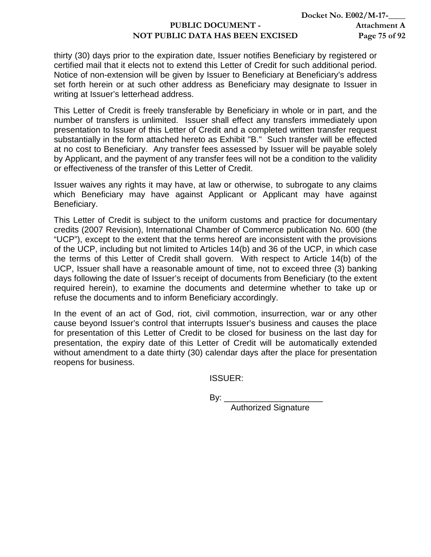thirty (30) days prior to the expiration date, Issuer notifies Beneficiary by registered or certified mail that it elects not to extend this Letter of Credit for such additional period. Notice of non-extension will be given by Issuer to Beneficiary at Beneficiary's address set forth herein or at such other address as Beneficiary may designate to Issuer in writing at Issuer's letterhead address.

This Letter of Credit is freely transferable by Beneficiary in whole or in part, and the number of transfers is unlimited. Issuer shall effect any transfers immediately upon presentation to Issuer of this Letter of Credit and a completed written transfer request substantially in the form attached hereto as Exhibit "B." Such transfer will be effected at no cost to Beneficiary. Any transfer fees assessed by Issuer will be payable solely by Applicant, and the payment of any transfer fees will not be a condition to the validity or effectiveness of the transfer of this Letter of Credit.

Issuer waives any rights it may have, at law or otherwise, to subrogate to any claims which Beneficiary may have against Applicant or Applicant may have against Beneficiary.

This Letter of Credit is subject to the uniform customs and practice for documentary credits (2007 Revision), International Chamber of Commerce publication No. 600 (the "UCP"), except to the extent that the terms hereof are inconsistent with the provisions of the UCP, including but not limited to Articles 14(b) and 36 of the UCP, in which case the terms of this Letter of Credit shall govern. With respect to Article 14(b) of the UCP, Issuer shall have a reasonable amount of time, not to exceed three (3) banking days following the date of Issuer's receipt of documents from Beneficiary (to the extent required herein), to examine the documents and determine whether to take up or refuse the documents and to inform Beneficiary accordingly.

In the event of an act of God, riot, civil commotion, insurrection, war or any other cause beyond Issuer's control that interrupts Issuer's business and causes the place for presentation of this Letter of Credit to be closed for business on the last day for presentation, the expiry date of this Letter of Credit will be automatically extended without amendment to a date thirty (30) calendar days after the place for presentation reopens for business.

ISSUER:

By:  $\_$ 

Authorized Signature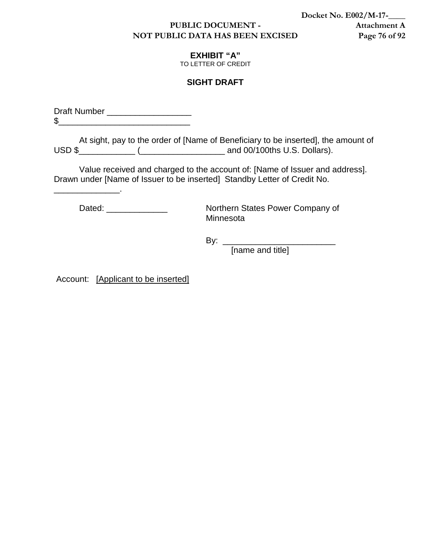**Docket No. E002/M-17-\_\_\_\_ Attachment A Page 76 of 92**

# **EXHIBIT "A"**

TO LETTER OF CREDIT

### **SIGHT DRAFT**

| <b>Draft Number</b> |  |
|---------------------|--|
| ¢                   |  |

At sight, pay to the order of [Name of Beneficiary to be inserted], the amount of USD \$\_\_\_\_\_\_\_\_\_\_\_\_ (\_\_\_\_\_\_\_\_\_\_\_\_\_\_\_\_\_\_ and 00/100ths U.S. Dollars).

Value received and charged to the account of: [Name of Issuer and address]. Drawn under [Name of Issuer to be inserted] Standby Letter of Credit No.

 $\mathcal{L}=\mathcal{L}^{\mathcal{L}}$ 

Dated: **Dated:** Northern States Power Company of Minnesota

By: \_\_\_\_\_\_\_\_\_\_\_\_\_\_\_\_\_\_\_\_\_\_\_\_

[name and title]

Account: [Applicant to be inserted]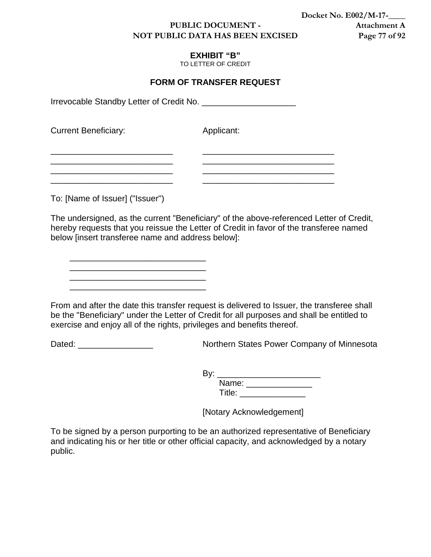**Docket No. E002/M-17-\_\_\_\_ Attachment A Page 77 of 92**

# **EXHIBIT "B"**

TO LETTER OF CREDIT

### **FORM OF TRANSFER REQUEST**

Irrevocable Standby Letter of Credit No. \_\_\_\_\_\_\_\_\_\_\_\_\_\_\_\_\_\_\_\_

\_\_\_\_\_\_\_\_\_\_\_\_\_\_\_\_\_\_\_\_\_\_\_\_\_\_ \_\_\_\_\_\_\_\_\_\_\_\_\_\_\_\_\_\_\_\_\_\_\_\_\_\_\_\_

\_\_\_\_\_\_\_\_\_\_\_\_\_\_\_\_\_\_\_\_\_\_\_\_\_\_ \_\_\_\_\_\_\_\_\_\_\_\_\_\_\_\_\_\_\_\_\_\_\_\_\_\_\_\_

Current Beneficiary: Applicant:

To: [Name of Issuer] ("Issuer")

\_\_\_\_\_\_\_\_\_\_\_\_\_\_\_\_\_\_\_\_\_\_\_\_\_\_ \_\_\_\_\_\_\_\_\_\_\_\_\_\_\_\_\_\_\_\_\_\_\_\_\_\_\_\_

The undersigned, as the current "Beneficiary" of the above-referenced Letter of Credit, hereby requests that you reissue the Letter of Credit in favor of the transferee named below [insert transferee name and address below]:

\_\_\_\_\_\_\_\_\_\_\_\_\_\_\_\_\_\_\_\_\_\_\_\_\_\_\_\_\_  $\mathcal{L}=\{1,2,3,4,5\}$ \_\_\_\_\_\_\_\_\_\_\_\_\_\_\_\_\_\_\_\_\_\_\_\_\_\_\_\_\_

From and after the date this transfer request is delivered to Issuer, the transferee shall be the "Beneficiary" under the Letter of Credit for all purposes and shall be entitled to exercise and enjoy all of the rights, privileges and benefits thereof.

Dated: \_\_\_\_\_\_\_\_\_\_\_\_\_\_\_\_ Northern States Power Company of Minnesota

By: \_\_\_\_\_\_\_\_\_\_\_\_\_\_\_\_\_\_\_\_\_\_

 Name: \_\_\_\_\_\_\_\_\_\_\_\_\_\_ Title: \_\_\_\_\_\_\_\_\_\_\_\_\_\_\_\_\_\_\_

[Notary Acknowledgement]

To be signed by a person purporting to be an authorized representative of Beneficiary and indicating his or her title or other official capacity, and acknowledged by a notary public.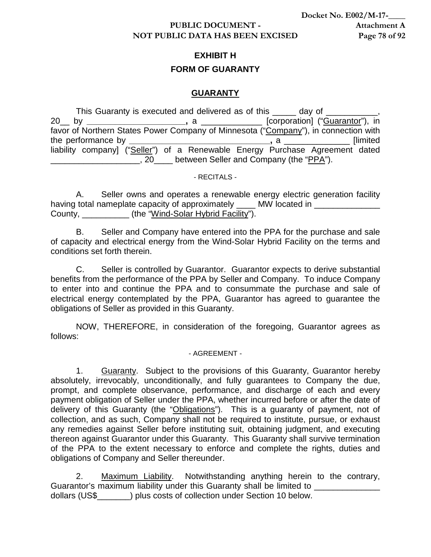### **EXHIBIT H**

### **FORM OF GUARANTY**

#### **GUARANTY**

This Guaranty is executed and delivered as of this \_\_\_\_\_ day of \_\_\_\_\_\_\_\_\_, 20\_\_ by **\_\_\_\_\_\_\_\_\_\_\_\_\_\_\_\_\_\_\_\_\_,** a \_\_\_\_\_\_\_\_\_\_\_\_\_ [corporation] ("Guarantor"), in favor of Northern States Power Company of Minnesota ("<u>Company</u>"), in connection with the performance by **\_\_\_\_\_\_\_\_\_\_\_\_\_\_\_\_\_\_\_\_\_\_\_\_\_\_\_\_\_\_,** a \_\_\_\_\_\_\_\_\_\_\_\_\_\_ [limited liability company] ("Seller") of a Renewable Energy Purchase Agreement dated \_\_\_\_\_\_\_\_\_\_\_\_\_\_\_\_\_\_\_, 20\_\_\_\_ between Seller and Company (the "PPA").

- RECITALS -

A. Seller owns and operates a renewable energy electric generation facility having total nameplate capacity of approximately \_\_\_\_\_ MW located in \_\_\_\_\_\_\_\_\_\_\_ County,  $($ the "Wind-Solar Hybrid Facility").

B. Seller and Company have entered into the PPA for the purchase and sale of capacity and electrical energy from the Wind-Solar Hybrid Facility on the terms and conditions set forth therein.

C. Seller is controlled by Guarantor. Guarantor expects to derive substantial benefits from the performance of the PPA by Seller and Company. To induce Company to enter into and continue the PPA and to consummate the purchase and sale of electrical energy contemplated by the PPA, Guarantor has agreed to guarantee the obligations of Seller as provided in this Guaranty.

NOW, THEREFORE, in consideration of the foregoing, Guarantor agrees as follows:

- AGREEMENT -

1. Guaranty. Subject to the provisions of this Guaranty, Guarantor hereby absolutely, irrevocably, unconditionally, and fully guarantees to Company the due, prompt, and complete observance, performance, and discharge of each and every payment obligation of Seller under the PPA, whether incurred before or after the date of delivery of this Guaranty (the "Obligations"). This is a guaranty of payment, not of collection, and as such, Company shall not be required to institute, pursue, or exhaust any remedies against Seller before instituting suit, obtaining judgment, and executing thereon against Guarantor under this Guaranty. This Guaranty shall survive termination of the PPA to the extent necessary to enforce and complete the rights, duties and obligations of Company and Seller thereunder.

2. Maximum Liability. Notwithstanding anything herein to the contrary, Guarantor's maximum liability under this Guaranty shall be limited to dollars (US\$\_\_\_\_\_\_\_) plus costs of collection under Section 10 below.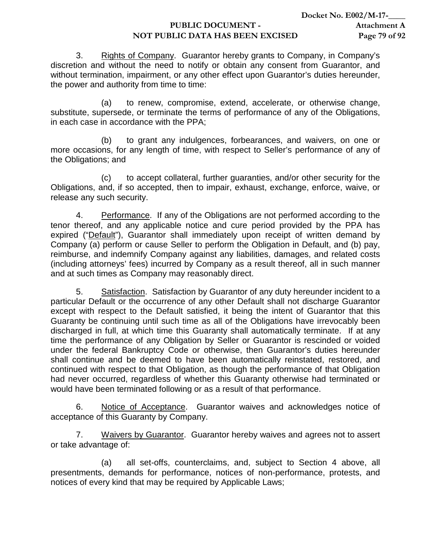3. Rights of Company. Guarantor hereby grants to Company, in Company's discretion and without the need to notify or obtain any consent from Guarantor, and without termination, impairment, or any other effect upon Guarantor's duties hereunder, the power and authority from time to time:

(a) to renew, compromise, extend, accelerate, or otherwise change, substitute, supersede, or terminate the terms of performance of any of the Obligations, in each case in accordance with the PPA;

(b) to grant any indulgences, forbearances, and waivers, on one or more occasions, for any length of time, with respect to Seller's performance of any of the Obligations; and

(c) to accept collateral, further guaranties, and/or other security for the Obligations, and, if so accepted, then to impair, exhaust, exchange, enforce, waive, or release any such security.

4. Performance. If any of the Obligations are not performed according to the tenor thereof, and any applicable notice and cure period provided by the PPA has expired ("Default"), Guarantor shall immediately upon receipt of written demand by Company (a) perform or cause Seller to perform the Obligation in Default, and (b) pay, reimburse, and indemnify Company against any liabilities, damages, and related costs (including attorneys' fees) incurred by Company as a result thereof, all in such manner and at such times as Company may reasonably direct.

5. Satisfaction. Satisfaction by Guarantor of any duty hereunder incident to a particular Default or the occurrence of any other Default shall not discharge Guarantor except with respect to the Default satisfied, it being the intent of Guarantor that this Guaranty be continuing until such time as all of the Obligations have irrevocably been discharged in full, at which time this Guaranty shall automatically terminate. If at any time the performance of any Obligation by Seller or Guarantor is rescinded or voided under the federal Bankruptcy Code or otherwise, then Guarantor's duties hereunder shall continue and be deemed to have been automatically reinstated, restored, and continued with respect to that Obligation, as though the performance of that Obligation had never occurred, regardless of whether this Guaranty otherwise had terminated or would have been terminated following or as a result of that performance.

6. Notice of Acceptance. Guarantor waives and acknowledges notice of acceptance of this Guaranty by Company.

7. Waivers by Guarantor. Guarantor hereby waives and agrees not to assert or take advantage of:

(a) all set-offs, counterclaims, and, subject to Section 4 above, all presentments, demands for performance, notices of non-performance, protests, and notices of every kind that may be required by Applicable Laws;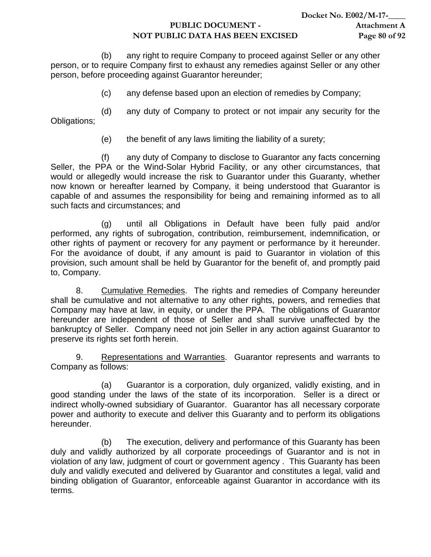(b) any right to require Company to proceed against Seller or any other person, or to require Company first to exhaust any remedies against Seller or any other person, before proceeding against Guarantor hereunder;

(c) any defense based upon an election of remedies by Company;

(d) any duty of Company to protect or not impair any security for the Obligations;

(e) the benefit of any laws limiting the liability of a surety;

(f) any duty of Company to disclose to Guarantor any facts concerning Seller, the PPA or the Wind-Solar Hybrid Facility, or any other circumstances, that would or allegedly would increase the risk to Guarantor under this Guaranty, whether now known or hereafter learned by Company, it being understood that Guarantor is capable of and assumes the responsibility for being and remaining informed as to all such facts and circumstances; and

(g) until all Obligations in Default have been fully paid and/or performed, any rights of subrogation, contribution, reimbursement, indemnification, or other rights of payment or recovery for any payment or performance by it hereunder. For the avoidance of doubt, if any amount is paid to Guarantor in violation of this provision, such amount shall be held by Guarantor for the benefit of, and promptly paid to, Company.

8. Cumulative Remedies. The rights and remedies of Company hereunder shall be cumulative and not alternative to any other rights, powers, and remedies that Company may have at law, in equity, or under the PPA. The obligations of Guarantor hereunder are independent of those of Seller and shall survive unaffected by the bankruptcy of Seller. Company need not join Seller in any action against Guarantor to preserve its rights set forth herein.

9. Representations and Warranties. Guarantor represents and warrants to Company as follows:

(a) Guarantor is a corporation, duly organized, validly existing, and in good standing under the laws of the state of its incorporation. Seller is a direct or indirect wholly-owned subsidiary of Guarantor. Guarantor has all necessary corporate power and authority to execute and deliver this Guaranty and to perform its obligations hereunder.

(b) The execution, delivery and performance of this Guaranty has been duly and validly authorized by all corporate proceedings of Guarantor and is not in violation of any law, judgment of court or government agency . This Guaranty has been duly and validly executed and delivered by Guarantor and constitutes a legal, valid and binding obligation of Guarantor, enforceable against Guarantor in accordance with its terms.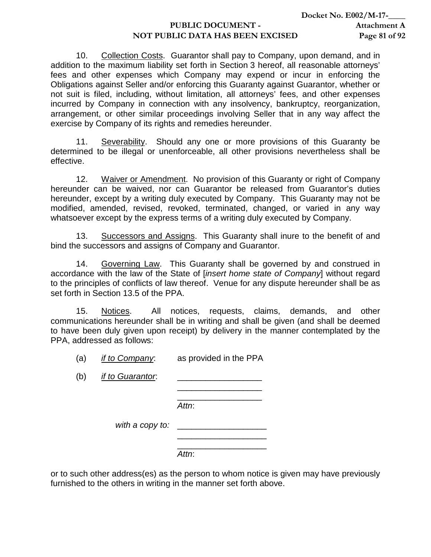10. Collection Costs. Guarantor shall pay to Company, upon demand, and in addition to the maximum liability set forth in Section 3 hereof, all reasonable attorneys' fees and other expenses which Company may expend or incur in enforcing the Obligations against Seller and/or enforcing this Guaranty against Guarantor, whether or not suit is filed, including, without limitation, all attorneys' fees, and other expenses incurred by Company in connection with any insolvency, bankruptcy, reorganization, arrangement, or other similar proceedings involving Seller that in any way affect the exercise by Company of its rights and remedies hereunder.

11. Severability. Should any one or more provisions of this Guaranty be determined to be illegal or unenforceable, all other provisions nevertheless shall be effective.

12. Waiver or Amendment. No provision of this Guaranty or right of Company hereunder can be waived, nor can Guarantor be released from Guarantor's duties hereunder, except by a writing duly executed by Company. This Guaranty may not be modified, amended, revised, revoked, terminated, changed, or varied in any way whatsoever except by the express terms of a writing duly executed by Company.

13. Successors and Assigns. This Guaranty shall inure to the benefit of and bind the successors and assigns of Company and Guarantor.

14. Governing Law. This Guaranty shall be governed by and construed in accordance with the law of the State of [*insert home state of Company*] without regard to the principles of conflicts of law thereof. Venue for any dispute hereunder shall be as set forth in Section 13.5 of the PPA.

15. Notices. All notices, requests, claims, demands, and other communications hereunder shall be in writing and shall be given (and shall be deemed to have been duly given upon receipt) by delivery in the manner contemplated by the PPA, addressed as follows:

| (a)<br><u>if to Company:</u> | as provided in the PPA |
|------------------------------|------------------------|
|------------------------------|------------------------|

| (b) | if to Guarantor. |       |
|-----|------------------|-------|
|     |                  | Attn: |
|     | with a copy to:  |       |
|     |                  | Attn: |

or to such other address(es) as the person to whom notice is given may have previously furnished to the others in writing in the manner set forth above.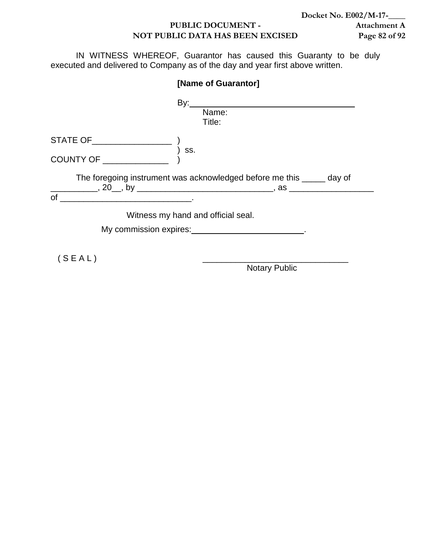#### **PUBLIC DOCUMENT - NOT PUBLIC DATA HAS BEEN EXCISED Docket No. E002/M-17-\_\_\_\_ Attachment A Page 82 of 92**

IN WITNESS WHEREOF, Guarantor has caused this Guaranty to be duly executed and delivered to Company as of the day and year first above written.

|        | [Name of Guarantor]                                                   |
|--------|-----------------------------------------------------------------------|
|        | Name:<br>Title:                                                       |
|        |                                                                       |
|        |                                                                       |
|        | The foregoing instrument was acknowledged before me this _____ day of |
|        |                                                                       |
|        | Witness my hand and official seal.                                    |
|        | My commission expires: My commission expires:                         |
| (SEAL) |                                                                       |
|        | <b>Notary Public</b>                                                  |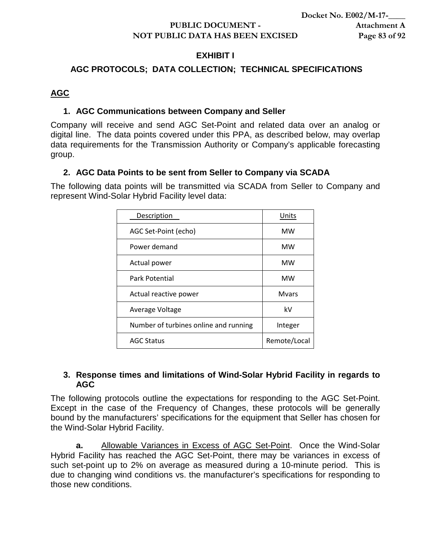### **EXHIBIT I**

### **AGC PROTOCOLS; DATA COLLECTION; TECHNICAL SPECIFICATIONS**

### **AGC**

### **1. AGC Communications between Company and Seller**

Company will receive and send AGC Set-Point and related data over an analog or digital line. The data points covered under this PPA, as described below, may overlap data requirements for the Transmission Authority or Company's applicable forecasting group.

### **2. AGC Data Points to be sent from Seller to Company via SCADA**

The following data points will be transmitted via SCADA from Seller to Company and represent Wind-Solar Hybrid Facility level data:

| Description                           | Units        |
|---------------------------------------|--------------|
| AGC Set-Point (echo)                  | MW           |
| Power demand                          | MW           |
| Actual power                          | МW           |
| Park Potential                        | MW           |
| Actual reactive power                 | <b>Myars</b> |
| Average Voltage                       | kV           |
| Number of turbines online and running | Integer      |
| <b>AGC Status</b>                     | Remote/Local |

### **3. Response times and limitations of Wind-Solar Hybrid Facility in regards to AGC**

The following protocols outline the expectations for responding to the AGC Set-Point. Except in the case of the Frequency of Changes, these protocols will be generally bound by the manufacturers' specifications for the equipment that Seller has chosen for the Wind-Solar Hybrid Facility.

**a.** Allowable Variances in Excess of AGC Set-Point. Once the Wind-Solar Hybrid Facility has reached the AGC Set-Point, there may be variances in excess of such set-point up to 2% on average as measured during a 10-minute period. This is due to changing wind conditions vs. the manufacturer's specifications for responding to those new conditions.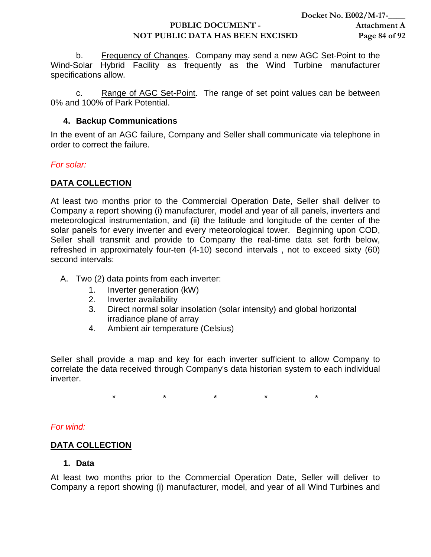b. Frequency of Changes. Company may send a new AGC Set-Point to the Wind-Solar Hybrid Facility as frequently as the Wind Turbine manufacturer specifications allow.

c. Range of AGC Set-Point. The range of set point values can be between 0% and 100% of Park Potential.

### **4. Backup Communications**

In the event of an AGC failure, Company and Seller shall communicate via telephone in order to correct the failure.

### *For solar:*

### **DATA COLLECTION**

At least two months prior to the Commercial Operation Date, Seller shall deliver to Company a report showing (i) manufacturer, model and year of all panels, inverters and meteorological instrumentation, and (ii) the latitude and longitude of the center of the solar panels for every inverter and every meteorological tower. Beginning upon COD, Seller shall transmit and provide to Company the real-time data set forth below, refreshed in approximately four-ten (4-10) second intervals , not to exceed sixty (60) second intervals:

- A. Two (2) data points from each inverter:
	- 1. Inverter generation (kW)
	- 2. Inverter availability
	- 3. Direct normal solar insolation (solar intensity) and global horizontal irradiance plane of array
	- 4. Ambient air temperature (Celsius)

Seller shall provide a map and key for each inverter sufficient to allow Company to correlate the data received through Company's data historian system to each individual inverter.

\* \* \* \* \*

### *For wind:*

### **DATA COLLECTION**

### **1. Data**

At least two months prior to the Commercial Operation Date, Seller will deliver to Company a report showing (i) manufacturer, model, and year of all Wind Turbines and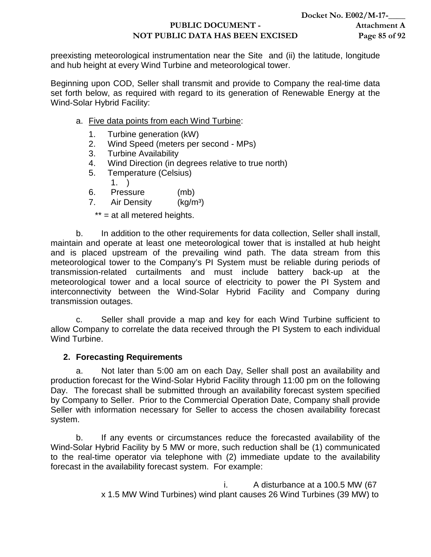preexisting meteorological instrumentation near the Site and (ii) the latitude, longitude and hub height at every Wind Turbine and meteorological tower.

Beginning upon COD, Seller shall transmit and provide to Company the real-time data set forth below, as required with regard to its generation of Renewable Energy at the Wind-Solar Hybrid Facility:

- a. Five data points from each Wind Turbine:
	- 1. Turbine generation (kW)
	- 2. Wind Speed (meters per second MPs)
	- 3. Turbine Availability
	- 4. Wind Direction (in degrees relative to true north)
	- 5. Temperature (Celsius)
		- 1. )
	- 6. Pressure (mb)
	- 7. Air Density (kg/m<sup>3</sup>)
		- \*\* = at all metered heights.

b. In addition to the other requirements for data collection, Seller shall install, maintain and operate at least one meteorological tower that is installed at hub height and is placed upstream of the prevailing wind path. The data stream from this meteorological tower to the Company's PI System must be reliable during periods of transmission-related curtailments and must include battery back-up at the meteorological tower and a local source of electricity to power the PI System and interconnectivity between the Wind-Solar Hybrid Facility and Company during transmission outages.

c. Seller shall provide a map and key for each Wind Turbine sufficient to allow Company to correlate the data received through the PI System to each individual Wind Turbine.

### **2. Forecasting Requirements**

a. Not later than 5:00 am on each Day, Seller shall post an availability and production forecast for the Wind-Solar Hybrid Facility through 11:00 pm on the following Day. The forecast shall be submitted through an availability forecast system specified by Company to Seller. Prior to the Commercial Operation Date, Company shall provide Seller with information necessary for Seller to access the chosen availability forecast system.

b. If any events or circumstances reduce the forecasted availability of the Wind-Solar Hybrid Facility by 5 MW or more, such reduction shall be (1) communicated to the real-time operator via telephone with (2) immediate update to the availability forecast in the availability forecast system. For example:

> i. A disturbance at a 100.5 MW (67 x 1.5 MW Wind Turbines) wind plant causes 26 Wind Turbines (39 MW) to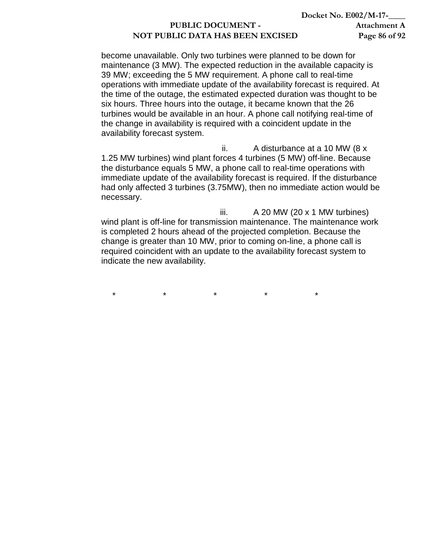**Docket No. E002/M-17-\_\_\_\_ Attachment A Page 86 of 92**

become unavailable. Only two turbines were planned to be down for maintenance (3 MW). The expected reduction in the available capacity is 39 MW; exceeding the 5 MW requirement. A phone call to real-time operations with immediate update of the availability forecast is required. At the time of the outage, the estimated expected duration was thought to be six hours. Three hours into the outage, it became known that the 26 turbines would be available in an hour. A phone call notifying real-time of the change in availability is required with a coincident update in the availability forecast system.

ii. A disturbance at a 10 MW (8 x 1.25 MW turbines) wind plant forces 4 turbines (5 MW) off-line. Because the disturbance equals 5 MW, a phone call to real-time operations with immediate update of the availability forecast is required. If the disturbance had only affected 3 turbines (3.75MW), then no immediate action would be necessary.

iii.  $A 20 MW (20 x 1 MW$  turbines) wind plant is off-line for transmission maintenance. The maintenance work is completed 2 hours ahead of the projected completion. Because the change is greater than 10 MW, prior to coming on-line, a phone call is required coincident with an update to the availability forecast system to indicate the new availability.

\* \* \* \* \*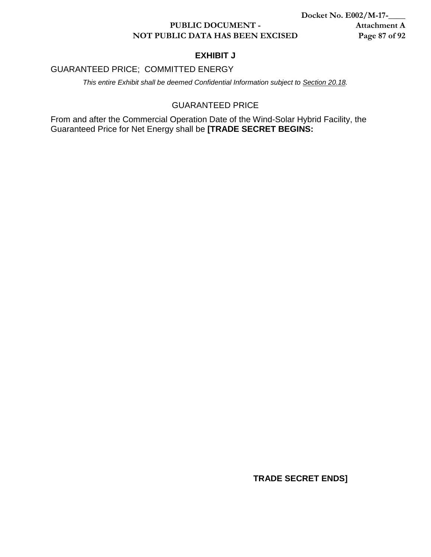**Docket No. E002/M-17-\_\_\_\_ Attachment A Page 87 of 92**

### **EXHIBIT J**

#### GUARANTEED PRICE; COMMITTED ENERGY

*This entire Exhibit shall be deemed Confidential Information subject to Section 20.18.* 

#### GUARANTEED PRICE

From and after the Commercial Operation Date of the Wind-Solar Hybrid Facility, the Guaranteed Price for Net Energy shall be **[TRADE SECRET BEGINS:** 

**TRADE SECRET ENDS]**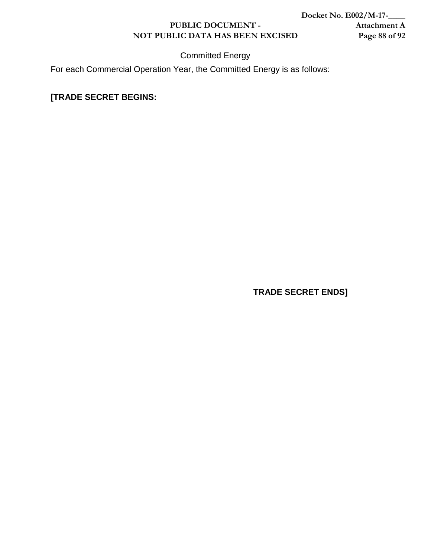**Docket No. E002/M-17-\_\_\_\_ Attachment A Page 88 of 92**

# Committed Energy

For each Commercial Operation Year, the Committed Energy is as follows:

### **[TRADE SECRET BEGINS:**

**TRADE SECRET ENDS]**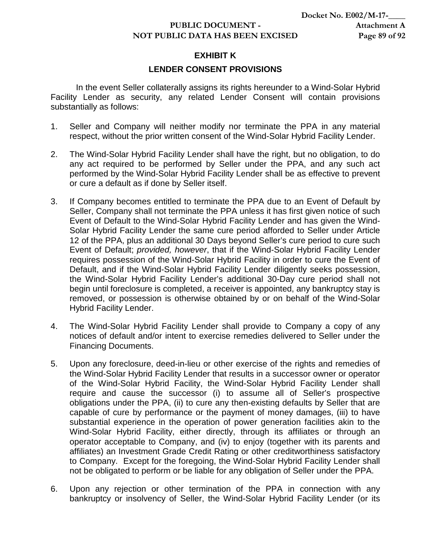#### **EXHIBIT K**

#### **LENDER CONSENT PROVISIONS**

In the event Seller collaterally assigns its rights hereunder to a Wind-Solar Hybrid Facility Lender as security, any related Lender Consent will contain provisions substantially as follows:

- 1. Seller and Company will neither modify nor terminate the PPA in any material respect, without the prior written consent of the Wind-Solar Hybrid Facility Lender.
- 2. The Wind-Solar Hybrid Facility Lender shall have the right, but no obligation, to do any act required to be performed by Seller under the PPA, and any such act performed by the Wind-Solar Hybrid Facility Lender shall be as effective to prevent or cure a default as if done by Seller itself.
- 3. If Company becomes entitled to terminate the PPA due to an Event of Default by Seller, Company shall not terminate the PPA unless it has first given notice of such Event of Default to the Wind-Solar Hybrid Facility Lender and has given the Wind-Solar Hybrid Facility Lender the same cure period afforded to Seller under Article 12 of the PPA, plus an additional 30 Days beyond Seller's cure period to cure such Event of Default; *provided, however*, that if the Wind-Solar Hybrid Facility Lender requires possession of the Wind-Solar Hybrid Facility in order to cure the Event of Default, and if the Wind-Solar Hybrid Facility Lender diligently seeks possession, the Wind-Solar Hybrid Facility Lender's additional 30-Day cure period shall not begin until foreclosure is completed, a receiver is appointed, any bankruptcy stay is removed, or possession is otherwise obtained by or on behalf of the Wind-Solar Hybrid Facility Lender.
- 4. The Wind-Solar Hybrid Facility Lender shall provide to Company a copy of any notices of default and/or intent to exercise remedies delivered to Seller under the Financing Documents.
- 5. Upon any foreclosure, deed-in-lieu or other exercise of the rights and remedies of the Wind-Solar Hybrid Facility Lender that results in a successor owner or operator of the Wind-Solar Hybrid Facility, the Wind-Solar Hybrid Facility Lender shall require and cause the successor (i) to assume all of Seller's prospective obligations under the PPA, (ii) to cure any then-existing defaults by Seller that are capable of cure by performance or the payment of money damages, (iii) to have substantial experience in the operation of power generation facilities akin to the Wind-Solar Hybrid Facility, either directly, through its affiliates or through an operator acceptable to Company, and (iv) to enjoy (together with its parents and affiliates) an Investment Grade Credit Rating or other creditworthiness satisfactory to Company. Except for the foregoing, the Wind-Solar Hybrid Facility Lender shall not be obligated to perform or be liable for any obligation of Seller under the PPA.
- 6. Upon any rejection or other termination of the PPA in connection with any bankruptcy or insolvency of Seller, the Wind-Solar Hybrid Facility Lender (or its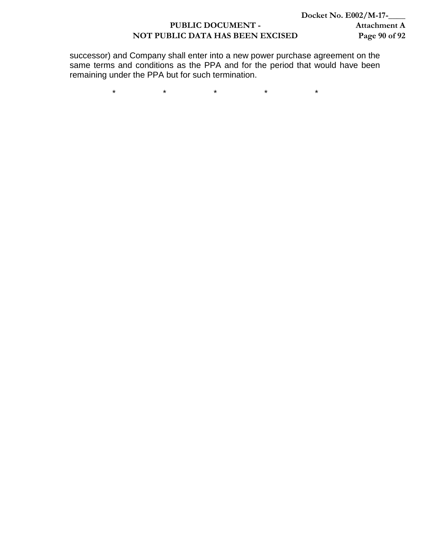successor) and Company shall enter into a new power purchase agreement on the same terms and conditions as the PPA and for the period that would have been remaining under the PPA but for such termination.

\* \* \* \* \*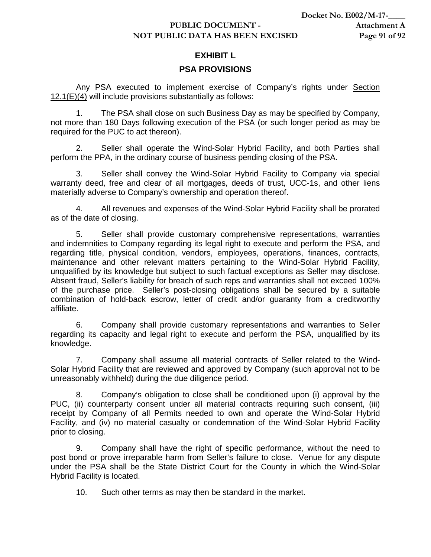### **EXHIBIT L**

#### **PSA PROVISIONS**

Any PSA executed to implement exercise of Company's rights under Section 12.1(E)(4) will include provisions substantially as follows:

1. The PSA shall close on such Business Day as may be specified by Company, not more than 180 Days following execution of the PSA (or such longer period as may be required for the PUC to act thereon).

2. Seller shall operate the Wind-Solar Hybrid Facility, and both Parties shall perform the PPA, in the ordinary course of business pending closing of the PSA.

3. Seller shall convey the Wind-Solar Hybrid Facility to Company via special warranty deed, free and clear of all mortgages, deeds of trust, UCC-1s, and other liens materially adverse to Company's ownership and operation thereof.

4. All revenues and expenses of the Wind-Solar Hybrid Facility shall be prorated as of the date of closing.

5. Seller shall provide customary comprehensive representations, warranties and indemnities to Company regarding its legal right to execute and perform the PSA, and regarding title, physical condition, vendors, employees, operations, finances, contracts, maintenance and other relevant matters pertaining to the Wind-Solar Hybrid Facility, unqualified by its knowledge but subject to such factual exceptions as Seller may disclose. Absent fraud, Seller's liability for breach of such reps and warranties shall not exceed 100% of the purchase price. Seller's post-closing obligations shall be secured by a suitable combination of hold-back escrow, letter of credit and/or guaranty from a creditworthy affiliate.

6. Company shall provide customary representations and warranties to Seller regarding its capacity and legal right to execute and perform the PSA, unqualified by its knowledge.

7. Company shall assume all material contracts of Seller related to the Wind-Solar Hybrid Facility that are reviewed and approved by Company (such approval not to be unreasonably withheld) during the due diligence period.

8. Company's obligation to close shall be conditioned upon (i) approval by the PUC, (ii) counterparty consent under all material contracts requiring such consent, (iii) receipt by Company of all Permits needed to own and operate the Wind-Solar Hybrid Facility, and (iv) no material casualty or condemnation of the Wind-Solar Hybrid Facility prior to closing.

9. Company shall have the right of specific performance, without the need to post bond or prove irreparable harm from Seller's failure to close. Venue for any dispute under the PSA shall be the State District Court for the County in which the Wind-Solar Hybrid Facility is located.

10. Such other terms as may then be standard in the market.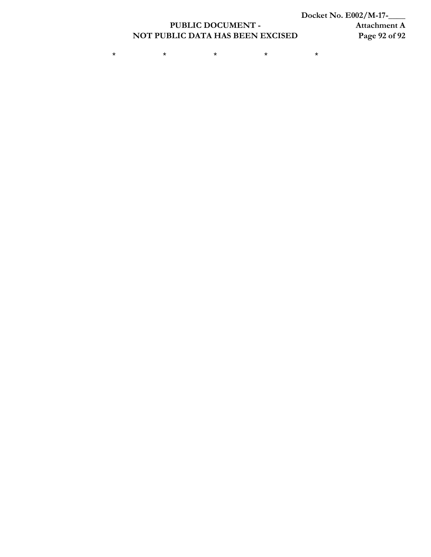**Docket No. E002/M-17-\_\_\_\_ Attachment A Page 92 of 92**

 $\star$  \* \* \* \* \* \* \*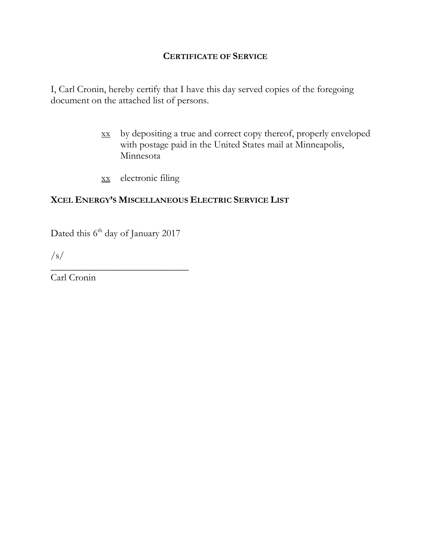# **CERTIFICATE OF SERVICE**

I, Carl Cronin, hereby certify that I have this day served copies of the foregoing document on the attached list of persons.

- xx by depositing a true and correct copy thereof, properly enveloped with postage paid in the United States mail at Minneapolis, Minnesota
- xx electronic filing

# **XCEL ENERGY'S MISCELLANEOUS ELECTRIC SERVICE LIST**

Dated this 6<sup>th</sup> day of January 2017

\_\_\_\_\_\_\_\_\_\_\_\_\_\_\_\_\_\_\_\_\_\_\_\_\_\_\_\_

 $\sqrt{s/}$ 

Carl Cronin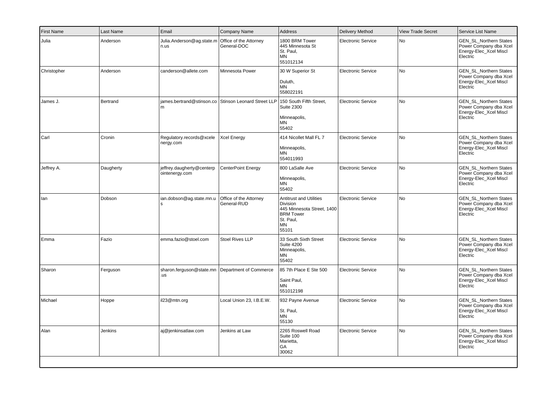| <b>First Name</b> | Last Name | Email                                                  | Company Name                          | <b>Address</b>                                                                                                           | <b>Delivery Method</b>    | <b>View Trade Secret</b> | Service List Name                                                                             |
|-------------------|-----------|--------------------------------------------------------|---------------------------------------|--------------------------------------------------------------------------------------------------------------------------|---------------------------|--------------------------|-----------------------------------------------------------------------------------------------|
| Julia             | Anderson  | Julia.Anderson@ag.state.m<br>n.us                      | Office of the Attorney<br>General-DOC | 1800 BRM Tower<br>445 Minnesota St<br>St. Paul,<br>ΜN<br>551012134                                                       | <b>Electronic Service</b> | No                       | <b>GEN SL Northern States</b><br>Power Company dba Xcel<br>Energy-Elec_Xcel Miscl<br>Electric |
| Christopher       | Anderson  | canderson@allete.com                                   | Minnesota Power                       | 30 W Superior St<br>Duluth,<br><b>MN</b><br>558022191                                                                    | <b>Electronic Service</b> | No                       | GEN_SL_Northern States<br>Power Company dba Xcel<br>Energy-Elec_Xcel Miscl<br>Electric        |
| James J.          | Bertrand  | james.bertrand@stinson.co<br>l m                       | Stinson Leonard Street LLP            | 150 South Fifth Street,<br><b>Suite 2300</b><br>Minneapolis,<br>MN<br>55402                                              | <b>Electronic Service</b> | No                       | GEN_SL_Northern States<br>Power Company dba Xcel<br>Energy-Elec Xcel Miscl<br>Electric        |
| Carl              | Cronin    | Regulatory.records@xcele<br>nergy.com                  | <b>Xcel Energy</b>                    | 414 Nicollet Mall FL 7<br>Minneapolis,<br>MN<br>554011993                                                                | <b>Electronic Service</b> | No                       | <b>GEN SL Northern States</b><br>Power Company dba Xcel<br>Energy-Elec_Xcel Miscl<br>Electric |
| Jeffrey A.        | Daugherty | jeffrey.daugherty@centerp<br>ointenergy.com            | CenterPoint Energy                    | 800 LaSalle Ave<br>Minneapolis,<br>ΜN<br>55402                                                                           | <b>Electronic Service</b> | No                       | <b>GEN SL Northern States</b><br>Power Company dba Xcel<br>Energy-Elec_Xcel Miscl<br>Electric |
| lan               | Dobson    | ian.dobson@ag.state.mn.u                               | Office of the Attorney<br>General-RUD | Antitrust and Utilities<br>Division<br>445 Minnesota Street, 1400<br><b>BRM Tower</b><br>St. Paul,<br><b>MN</b><br>55101 | <b>Electronic Service</b> | No                       | <b>GEN SL Northern States</b><br>Power Company dba Xcel<br>Energy-Elec_Xcel Miscl<br>Electric |
| Emma              | Fazio     | emma.fazio@stoel.com                                   | <b>Stoel Rives LLP</b>                | 33 South Sixth Street<br><b>Suite 4200</b><br>Minneapolis,<br><b>MN</b><br>55402                                         | <b>Electronic Service</b> | <b>No</b>                | <b>GEN SL Northern States</b><br>Power Company dba Xcel<br>Energy-Elec_Xcel Miscl<br>Electric |
| Sharon            | Ferguson  | sharon.ferguson@state.mn Department of Commerce<br>.us |                                       | 85 7th Place E Ste 500<br>Saint Paul.<br><b>MN</b><br>551012198                                                          | Electronic Service        | <b>No</b>                | <b>GEN SL Northern States</b><br>Power Company dba Xcel<br>Energy-Elec_Xcel Miscl<br>Electric |
| Michael           | Hoppe     | il23@mtn.org                                           | Local Union 23, I.B.E.W.              | 932 Payne Avenue<br>St. Paul,<br>ΜN<br>55130                                                                             | <b>Electronic Service</b> | <b>No</b>                | <b>GEN SL Northern States</b><br>Power Company dba Xcel<br>Energy-Elec_Xcel Miscl<br>Electric |
| Alan              | Jenkins   | aj@jenkinsatlaw.com                                    | Jenkins at Law                        | 2265 Roswell Road<br>Suite 100<br>Marietta,<br>GA<br>30062                                                               | <b>Electronic Service</b> | No                       | GEN_SL_Northern States<br>Power Company dba Xcel<br>Energy-Elec_Xcel Miscl<br>Electric        |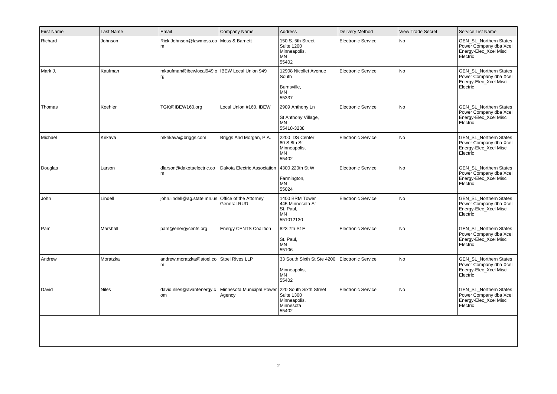| <b>First Name</b> | Last Name    | Email                                                | Company Name                                               | <b>Address</b>                                                            | <b>Delivery Method</b>    | <b>View Trade Secret</b> | Service List Name                                                                             |
|-------------------|--------------|------------------------------------------------------|------------------------------------------------------------|---------------------------------------------------------------------------|---------------------------|--------------------------|-----------------------------------------------------------------------------------------------|
| Richard           | Johnson      | Rick.Johnson@lawmoss.co Moss & Barnett<br>l m        |                                                            | 150 S. 5th Street<br><b>Suite 1200</b><br>Minneapolis,<br>ΜN<br>55402     | <b>Electronic Service</b> | <b>No</b>                | <b>GEN SL Northern States</b><br>Power Company dba Xcel<br>Energy-Elec_Xcel Miscl<br>Electric |
| Mark J.           | Kaufman      | mkaufman@ibewlocal949.o   IBEW Local Union 949<br>rg |                                                            | 12908 Nicollet Avenue<br>South<br>Burnsville,<br><b>MN</b><br>55337       | <b>Electronic Service</b> | <b>No</b>                | GEN_SL_Northern States<br>Power Company dba Xcel<br>Energy-Elec_Xcel Miscl<br>Electric        |
| Thomas            | Koehler      | TGK@IBEW160.org                                      | Local Union #160, IBEW                                     | 2909 Anthony Ln<br>St Anthony Village,<br><b>MN</b><br>55418-3238         | <b>Electronic Service</b> | No                       | GEN_SL_Northern States<br>Power Company dba Xcel<br>Energy-Elec_Xcel Miscl<br>Electric        |
| Michael           | Krikava      | mkrikava@briggs.com                                  | Briggs And Morgan, P.A.                                    | 2200 IDS Center<br>80 S 8th St<br>Minneapolis,<br><b>MN</b><br>55402      | <b>Electronic Service</b> | No                       | GEN_SL_Northern States<br>Power Company dba Xcel<br>Energy-Elec_Xcel Miscl<br>Electric        |
| Douglas           | Larson       | dlarson@dakotaelectric.co<br>m                       | Dakota Electric Association   4300 220th St W              | Farmington,<br>MN<br>55024                                                | <b>Electronic Service</b> | No                       | <b>GEN SL Northern States</b><br>Power Company dba Xcel<br>Energy-Elec_Xcel Miscl<br>Electric |
| John              | Lindell      | john.lindell@ag.state.mn.us                          | Office of the Attorney<br>General-RUD                      | 1400 BRM Tower<br>445 Minnesota St<br>St. Paul,<br><b>MN</b><br>551012130 | <b>Electronic Service</b> | No                       | GEN_SL_Northern States<br>Power Company dba Xcel<br>Energy-Elec_Xcel Miscl<br>Electric        |
| Pam               | Marshall     | pam@energycents.org                                  | <b>Energy CENTS Coalition</b>                              | 823 7th St E<br>St. Paul,<br>MN<br>55106                                  | Electronic Service        | No                       | <b>GEN SL Northern States</b><br>Power Company dba Xcel<br>Energy-Elec_Xcel Miscl<br>Electric |
| Andrew            | Moratzka     | andrew.moratzka@stoel.co Stoel Rives LLP<br>l m      |                                                            | 33 South Sixth St Ste 4200<br>Minneapolis,<br><b>MN</b><br>55402          | <b>Electronic Service</b> | No                       | GEN_SL_Northern States<br>Power Company dba Xcel<br>Energy-Elec_Xcel Miscl<br>Electric        |
| David             | <b>Niles</b> | david.niles@avantenergy.c<br>l om                    | Minnesota Municipal Power 220 South Sixth Street<br>Agency | <b>Suite 1300</b><br>Minneapolis,<br>Minnesota<br>55402                   | Electronic Service        | N <sub>o</sub>           | <b>GEN SL Northern States</b><br>Power Company dba Xcel<br>Energy-Elec_Xcel Miscl<br>Electric |
|                   |              |                                                      |                                                            |                                                                           |                           |                          |                                                                                               |